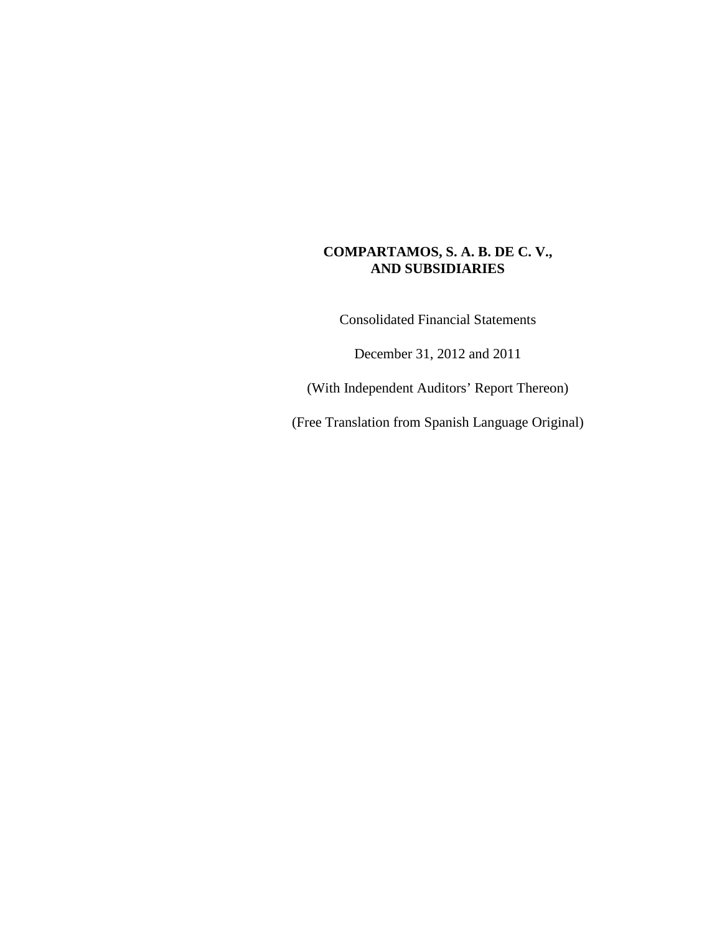Consolidated Financial Statements

December 31, 2012 and 2011

(With Independent Auditors' Report Thereon)

(Free Translation from Spanish Language Original)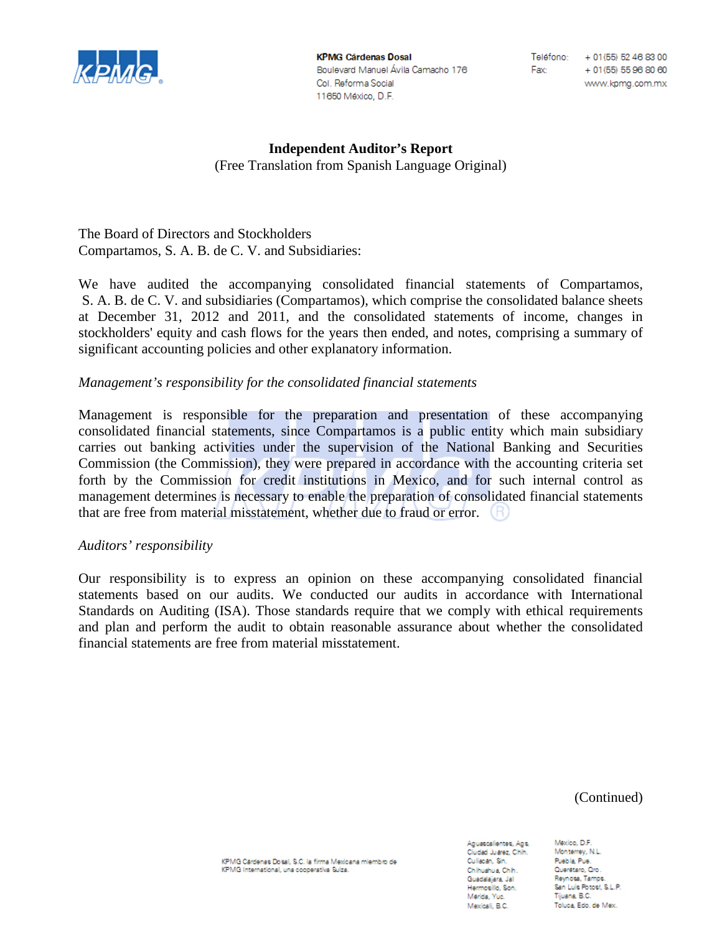

**KPMG Cárdenas Dosal** Boulevard Manuel Ávila Camacho 176 Col. Reforma Social 11650 México, D.F.

Fax:

Teléfono: + 01(55) 52 46 83 00 + 01(55) 55 96 80 60 www.kpmg.com.mx

# **Independent Auditor's Report** (Free Translation from Spanish Language Original)

The Board of Directors and Stockholders Compartamos, S. A. B. de C. V. and Subsidiaries:

We have audited the accompanying consolidated financial statements of Compartamos, S. A. B. de C. V. and subsidiaries (Compartamos), which comprise the consolidated balance sheets at December 31, 2012 and 2011, and the consolidated statements of income, changes in stockholders' equity and cash flows for the years then ended, and notes, comprising a summary of significant accounting policies and other explanatory information.

# *Management's responsibility for the consolidated financial statements*

Management is responsible for the preparation and presentation of these accompanying consolidated financial statements, since Compartamos is a public entity which main subsidiary carries out banking activities under the supervision of the National Banking and Securities Commission (the Commission), they were prepared in accordance with the accounting criteria set forth by the Commission for credit institutions in Mexico, and for such internal control as management determines is necessary to enable the preparation of consolidated financial statements that are free from material misstatement, whether due to fraud or error.

# *Auditors' responsibility*

Our responsibility is to express an opinion on these accompanying consolidated financial statements based on our audits. We conducted our audits in accordance with International Standards on Auditing (ISA). Those standards require that we comply with ethical requirements and plan and perform the audit to obtain reasonable assurance about whether the consolidated financial statements are free from material misstatement.

(Continued)

KPMG Cardenas Dosal, S.C. la firma Mexicana miembro de KPMG International, una cooperativa Suiza.

Aguascalientes, Ags. Ciudad Juarez, Chih. Culiacan, Sin. Chihuahua, Chih. Guadalajara, Jal Hermosillo, Son. Merida, Yuc. Mexicali, B.C.

Mexico, D.F. Monterrey, N.L. Puebla, Pue. Querétaro, Qro. Reynosa, Tamps. San Luis Potost, S.L.P. Tijuana, B.C. Toluca, Edo, de Mex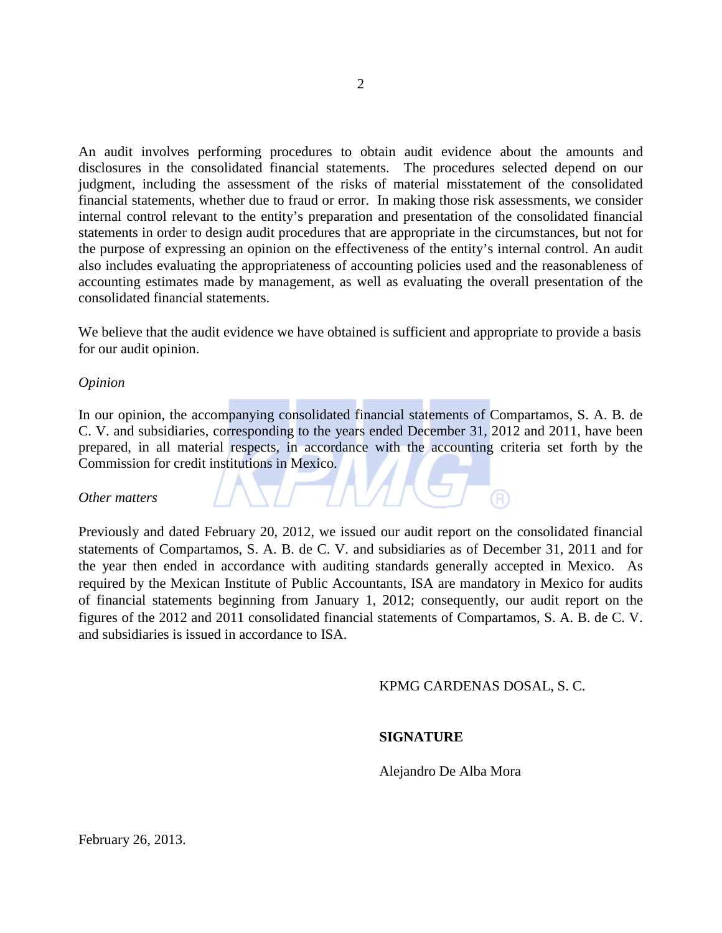An audit involves performing procedures to obtain audit evidence about the amounts and disclosures in the consolidated financial statements. The procedures selected depend on our judgment, including the assessment of the risks of material misstatement of the consolidated financial statements, whether due to fraud or error. In making those risk assessments, we consider internal control relevant to the entity's preparation and presentation of the consolidated financial statements in order to design audit procedures that are appropriate in the circumstances, but not for the purpose of expressing an opinion on the effectiveness of the entity's internal control. An audit also includes evaluating the appropriateness of accounting policies used and the reasonableness of accounting estimates made by management, as well as evaluating the overall presentation of the consolidated financial statements.

We believe that the audit evidence we have obtained is sufficient and appropriate to provide a basis for our audit opinion.

*Opinion*

In our opinion, the accompanying consolidated financial statements of Compartamos, S. A. B. de C. V. and subsidiaries, corresponding to the years ended December 31, 2012 and 2011, have been prepared, in all material respects, in accordance with the accounting criteria set forth by the Commission for credit institutions in Mexico.

*Other matters*

Previously and dated February 20, 2012, we issued our audit report on the consolidated financial statements of Compartamos, S. A. B. de C. V. and subsidiaries as of December 31, 2011 and for the year then ended in accordance with auditing standards generally accepted in Mexico. As required by the Mexican Institute of Public Accountants, ISA are mandatory in Mexico for audits of financial statements beginning from January 1, 2012; consequently, our audit report on the figures of the 2012 and 2011 consolidated financial statements of Compartamos, S. A. B. de C. V. and subsidiaries is issued in accordance to ISA.

KPMG CARDENAS DOSAL, S. C.

#### **SIGNATURE**

Alejandro De Alba Mora

February 26, 2013.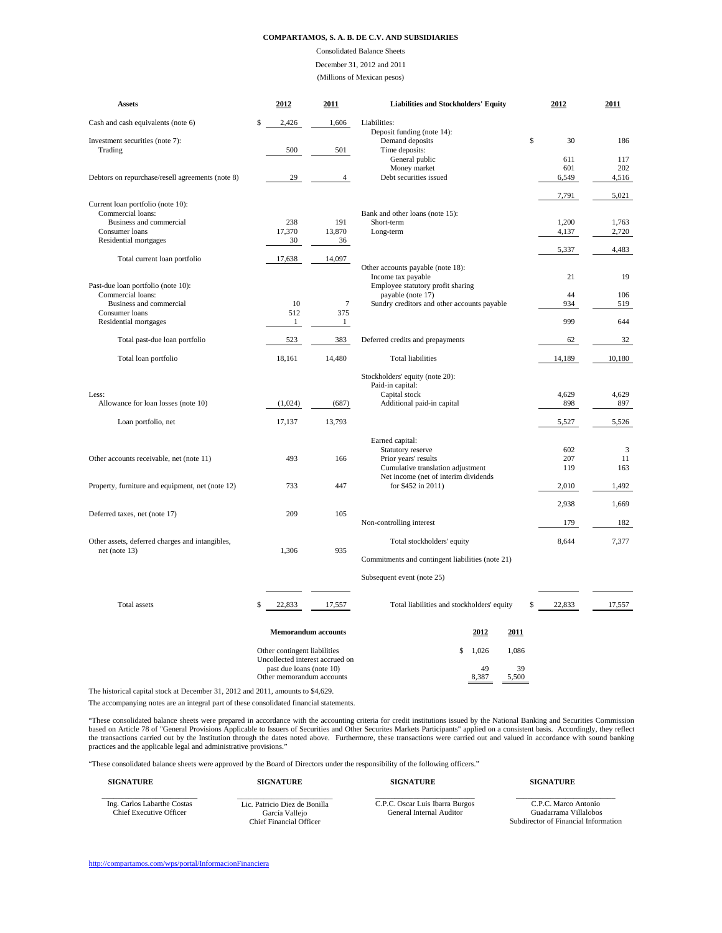# Consolidated Balance Sheets

# December 31, 2012 and 2011

(Millions of Mexican pesos)

| <b>Assets</b>                                    | 2012        | 2011   | <b>Liabilities and Stockholders' Equity</b> | 2012     | 2011   |
|--------------------------------------------------|-------------|--------|---------------------------------------------|----------|--------|
| Cash and cash equivalents (note 6)               | \$<br>2,426 | 1,606  | Liabilities:                                |          |        |
|                                                  |             |        | Deposit funding (note 14):                  |          |        |
| Investment securities (note 7):<br>Trading       | 500         | 501    | Demand deposits<br>Time deposits:           | \$<br>30 | 186    |
|                                                  |             |        | General public                              | 611      | 117    |
|                                                  |             |        | Money market                                | 601      | 202    |
| Debtors on repurchase/resell agreements (note 8) | 29          | 4      | Debt securities issued                      | 6,549    | 4,516  |
|                                                  |             |        |                                             | 7,791    | 5,021  |
| Current loan portfolio (note 10):                |             |        |                                             |          |        |
| Commercial loans:                                |             |        | Bank and other loans (note 15):             |          |        |
| Business and commercial                          | 238         | 191    | Short-term                                  | 1,200    | 1,763  |
| Consumer loans                                   | 17,370      | 13,870 | Long-term                                   | 4,137    | 2,720  |
| Residential mortgages                            | 30          | 36     |                                             | 5,337    | 4,483  |
| Total current loan portfolio                     | 17,638      | 14,097 |                                             |          |        |
|                                                  |             |        | Other accounts payable (note 18):           |          |        |
|                                                  |             |        | Income tax payable                          | 21       | 19     |
| Past-due loan portfolio (note 10):               |             |        | Employee statutory profit sharing           |          |        |
| Commercial loans:                                |             |        | payable (note 17)                           | 44       | 106    |
| Business and commercial                          | 10          | 7      | Sundry creditors and other accounts payable | 934      | 519    |
| Consumer loans                                   | 512         | 375    |                                             |          |        |
| Residential mortgages                            |             |        |                                             | 999      | 644    |
| Total past-due loan portfolio                    | 523         | 383    | Deferred credits and prepayments            | 62       | 32     |
| Total loan portfolio                             | 18,161      | 14,480 | <b>Total liabilities</b>                    | 14,189   | 10,180 |
|                                                  |             |        | Stockholders' equity (note 20):             |          |        |
|                                                  |             |        | Paid-in capital:                            |          |        |
| Less:                                            |             |        | Capital stock                               | 4,629    | 4,629  |
| Allowance for loan losses (note 10)              | (1,024)     | (687)  | Additional paid-in capital                  | 898      | 897    |
|                                                  |             |        |                                             |          |        |
| Loan portfolio, net                              | 17,137      | 13,793 |                                             | 5,527    | 5,526  |
|                                                  |             |        | Earned capital:                             |          |        |
|                                                  |             |        | <b>Statutory reserve</b>                    | 602      | 3      |
| Other accounts receivable, net (note 11)         | 493         | 166    | Prior years' results                        | 207      | 11     |
|                                                  |             |        | Cumulative translation adjustment           | 119      | 163    |
|                                                  |             |        | Net income (net of interim dividends)       |          |        |
| Property, furniture and equipment, net (note 12) | 733         | 447    | for \$452 in 2011)                          | 2,010    | 1,492  |
|                                                  |             |        |                                             |          |        |
|                                                  |             |        |                                             | 2,938    | 1,669  |
| Deferred taxes, net (note 17)                    | 209         | 105    |                                             |          |        |
|                                                  |             |        | Non-controlling interest                    | 179      | 182    |
| Other assets, deferred charges and intangibles,  |             |        | Total stockholders' equity                  | 8,644    | 7,377  |
| net (note $13$ )                                 | 1,306       | 935    |                                             |          |        |

Commitments and contingent liabilities (note 21)

|              | Subsequent event (note 25)                                      |                                            |             |        |  |
|--------------|-----------------------------------------------------------------|--------------------------------------------|-------------|--------|--|
| Total assets | 22,833<br>17,557                                                | Total liabilities and stockholders' equity | 22,833      | 17,557 |  |
|              | <b>Memorandum accounts</b>                                      | 2012                                       | 2011        |        |  |
|              | Other contingent liabilities<br>Uncollected interest accrued on | ,026<br>\$                                 | 1,086       |        |  |
|              | past due loans (note 10)<br>Other memorandum accounts           | 49<br>8,387                                | 39<br>5,500 |        |  |

The historical capital stock at December 31, 2012 and 2011, amounts to \$4,629.

<http://compartamos.com/wps/portal/InformacionFinanciera>

The accompanying notes are an integral part of these consolidated financial statements.

"These consolidated balance sheets were prepared in accordance with the accounting criteria for credit institutions issued by the National Banking and Securities Commission based on Article 78 of "General Provisions Applicable to Issuers of Securities and Other Securities Markets Participants" applied on a consistent basis. Accordingly, they reflect the transactions carried out by the Institution through the dates noted above. Furthermore, these transactions were carried out and valued in accordance with sound banking practices and the applicable legal and administrative provisions."

| <b>SIGNATURE</b>                                              | <b>SIGNATURE</b>                                                                  | <b>SIGNATURE</b>                                                   | <b>SIGNATURE</b>                                                                      |
|---------------------------------------------------------------|-----------------------------------------------------------------------------------|--------------------------------------------------------------------|---------------------------------------------------------------------------------------|
| Ing. Carlos Labarthe Costas<br><b>Chief Executive Officer</b> | Lic. Patricio Diez de Bonilla<br>García Vallejo<br><b>Chief Financial Officer</b> | C.P.C. Oscar Luis Ibarra Burgos<br><b>General Internal Auditor</b> | C.P.C. Marco Antonio<br>Guadarrama Villalobos<br>Subdirector of Financial Information |

"These consolidated balance sheets were approved by the Board of Directors under the responsibility of the following officers."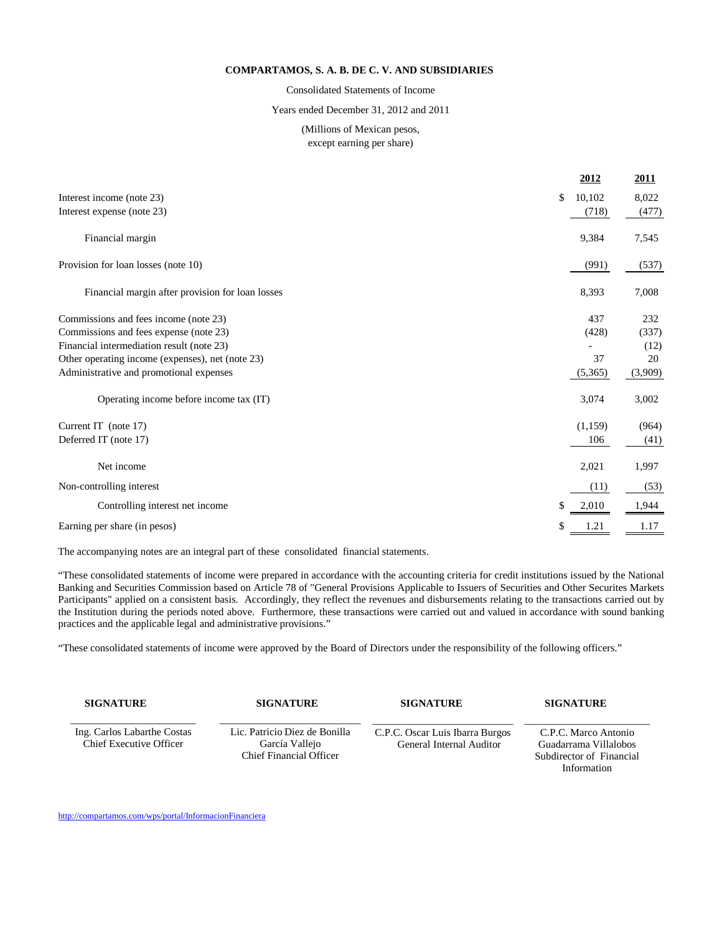Consolidated Statements of Income

Years ended December 31, 2012 and 2011

# (Millions of Mexican pesos, except earning per share)

|                                                  | <u>2012</u>  | <u>2011</u> |
|--------------------------------------------------|--------------|-------------|
| Interest income (note 23)                        | \$<br>10,102 | 8,022       |
| Interest expense (note 23)                       | (718)        | (477)       |
| Financial margin                                 | 9,384        | 7,545       |
| Provision for loan losses (note 10)              | (991)        | (537)       |
| Financial margin after provision for loan losses | 8,393        | 7,008       |
| Commissions and fees income (note 23)            | 437          | 232         |
| Commissions and fees expense (note 23)           | (428)        | (337)       |
| Financial intermediation result (note 23)        |              | (12)        |
| Other operating income (expenses), net (note 23) | 37           | 20          |
| Administrative and promotional expenses          | (5,365)      | (3,909)     |
| Operating income before income tax (IT)          | 3,074        | 3,002       |
| Current IT (note 17)                             | (1,159)      | (964)       |
| Deferred IT (note 17)                            | 106          | (41)        |
| Net income                                       | 2,021        | 1,997       |
| Non-controlling interest                         | (11)         | (53)        |
| Controlling interest net income                  | \$<br>2,010  | 1,944       |
| Earning per share (in pesos)                     | \$<br>1.21   | 1.17        |
|                                                  |              |             |

The accompanying notes are an integral part of these consolidated financial statements.

"These consolidated statements of income were prepared in accordance with the accounting criteria for credit institutions issued by the National Banking and Securities Commission based on Article 78 of "General Provisions Applicable to Issuers of Securities and Other Securites Markets Participants" applied on a consistent basis. Accordingly, they reflect the revenues and disbursements relating to the transactions carried out by the Institution during the periods noted above. Furthermore, these transactions were carried out and valued in accordance with sound banking practices and the applicable legal and administrative provisions."

"These consolidated statements of income were approved by the Board of Directors under the responsibility of the following officers."

| <b>SIGNATURE</b>                                              | <b>SIGNATURE</b>                                | <b>SIGNATURE</b>                                                   | <b>SIGNATURE</b>                              |
|---------------------------------------------------------------|-------------------------------------------------|--------------------------------------------------------------------|-----------------------------------------------|
| Ing. Carlos Labarthe Costas<br><b>Chief Executive Officer</b> | Lic. Patricio Diez de Bonilla<br>García Vallejo | C.P.C. Oscar Luis Ibarra Burgos<br><b>General Internal Auditor</b> | C.P.C. Marco Antonio<br>Guadarrama Villalobos |
|                                                               | <b>Chief Financial Officer</b>                  |                                                                    | Subdirector of Financial                      |

Information

<http://compartamos.com/wps/portal/InformacionFinanciera>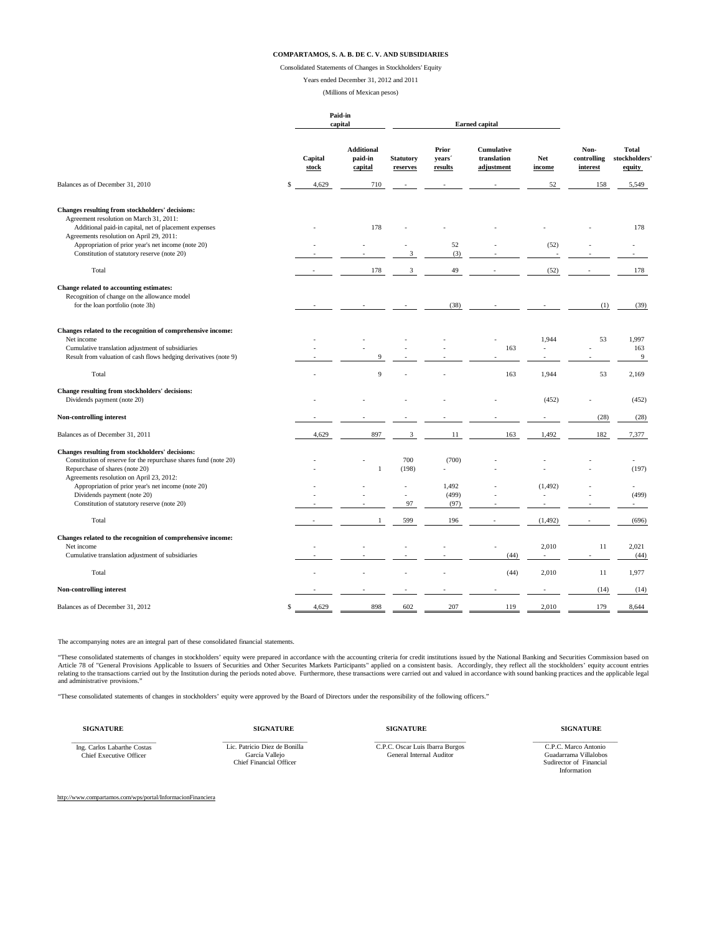Consolidated Statements of Changes in Stockholders' Equity

Years ended December 31, 2012 and 2011

(Millions of Mexican pesos)

|                                                                                                                                                                                                    |                  | Paid-in<br>capital                      |                                | <b>Earned capital</b>                         |                                                |                      |                                 |                                         |
|----------------------------------------------------------------------------------------------------------------------------------------------------------------------------------------------------|------------------|-----------------------------------------|--------------------------------|-----------------------------------------------|------------------------------------------------|----------------------|---------------------------------|-----------------------------------------|
|                                                                                                                                                                                                    | Capital<br>stock | <b>Additional</b><br>paid-in<br>capital | <b>Statutory</b><br>reserves   | <b>Prior</b><br>years <sup>2</sup><br>results | <b>Cumulative</b><br>translation<br>adjustment | <b>Net</b><br>income | Non-<br>controlling<br>interest | <b>Total</b><br>stockholders'<br>equity |
| Balances as of December 31, 2010                                                                                                                                                                   | 4,629            | 710                                     |                                |                                               | $\sim$                                         | 52                   | 158                             | 5,549                                   |
| Changes resulting from stockholders' decisions:<br>Agreement resolution on March 31, 2011:<br>Additional paid-in capital, net of placement expenses                                                |                  | 178                                     |                                |                                               |                                                |                      |                                 | 178                                     |
| Agreements resolution on April 29, 2011:<br>Appropriation of prior year's net income (note 20)<br>Constitution of statutory reserve (note 20)                                                      |                  |                                         | 3                              | 52<br>(3)                                     |                                                | (52)                 |                                 |                                         |
| Total                                                                                                                                                                                              |                  | 178                                     | 3                              | 49                                            |                                                | (52)                 |                                 | 178                                     |
| Change related to accounting estimates:<br>Recognition of change on the allowance model<br>for the loan portfolio (note 3h)                                                                        |                  |                                         |                                | (38)                                          |                                                |                      | (1)                             | (39)                                    |
| Changes related to the recognition of comprehensive income:<br>Net income<br>Cumulative translation adjustment of subsidiaries<br>Result from valuation of cash flows hedging derivatives (note 9) |                  | 9                                       |                                |                                               | 163                                            | 1,944                | 53                              | 1,997<br>163<br>9                       |
| Total                                                                                                                                                                                              |                  | 9                                       |                                |                                               | 163                                            | 1,944                | 53                              | 2,169                                   |
| Change resulting from stockholders' decisions:<br>Dividends payment (note 20)                                                                                                                      |                  |                                         |                                |                                               |                                                | (452)                |                                 | (452)                                   |
| Non-controlling interest                                                                                                                                                                           |                  |                                         |                                |                                               |                                                |                      | (28)                            | (28)                                    |
| Balances as of December 31, 2011                                                                                                                                                                   | 4,629            | 897                                     | 3                              | 11                                            | 163                                            | 1,492                | 182                             | 7,377                                   |
| Changes resulting from stockholders' decisions:<br>Constitution of reserve for the repurchase shares fund (note 20)<br>Repurchase of shares (note 20)<br>Agreements resolution on April 23, 2012:  |                  |                                         | 700<br>(198)                   | (700)                                         |                                                |                      |                                 | (197)                                   |
| Appropriation of prior year's net income (note 20)<br>Dividends payment (note 20)<br>Constitution of statutory reserve (note 20)                                                                   |                  |                                         | $\overline{\phantom{a}}$<br>97 | 1,492<br>(499)<br>(97)                        | $\overline{\phantom{a}}$                       | (1, 492)             |                                 | (499)                                   |

| Total                                                       |                          |                          | 599                      | 196                      |                          | (1, 492) |      | (696) |
|-------------------------------------------------------------|--------------------------|--------------------------|--------------------------|--------------------------|--------------------------|----------|------|-------|
| Changes related to the recognition of comprehensive income: |                          |                          |                          |                          |                          |          |      |       |
| Net income                                                  |                          | $\overline{\phantom{0}}$ | $\overline{\phantom{0}}$ |                          |                          | 2,010    |      | 2,021 |
| Cumulative translation adjustment of subsidiaries           |                          |                          |                          |                          | (44)                     |          |      | (44)  |
| Total                                                       | $\overline{\phantom{0}}$ |                          |                          |                          | (44)                     | 2,010    |      | 1,977 |
| <b>Non-controlling interest</b>                             |                          |                          | $\overline{\phantom{0}}$ | $\overline{\phantom{0}}$ | $\overline{\phantom{0}}$ |          | (14) | (14)  |
| Balances as of December 31, 2012                            | 4,629                    | 898                      | 602                      | 207                      | 119                      | 2,010    | 179  | 8,644 |

**SIGNATURE SIGNATURE SIGNATURE SIGNATURE**

<http://www.compartamos.com/wps/portal/InformacionFinanciera>

The accompanying notes are an integral part of these consolidated financial statements.

"These consolidated statements of changes in stockholders' equity were prepared in accordance with the accounting criteria for credit institutions issued by the National Banking and Securities Commission based on Article 78 of "General Provisions Applicable to Issuers of Securities and Other Securites Markets Participants" applied on a consistent basis. Accordingly, they reflect all the stockholders' equity account entries relating to the transactions carried out by the Institution during the periods noted above. Furthermore, these transactions were carried out and valued in accordance with sound banking practices and the applicable legal and administrative provisions."

"These consolidated statements of changes in stockholders' equity were approved by the Board of Directors under the responsibility of the following officers."

\_\_\_\_\_\_\_\_\_\_\_\_\_\_\_\_\_\_\_\_\_\_\_\_\_ Ing. Carlos Labarthe Costas Chief Executive Officer

\_\_\_\_\_\_\_\_\_\_\_\_\_\_\_\_\_\_\_\_\_\_\_\_\_ Lic. Patricio Diez de Bonilla García Vallejo Chief Financial Officer

\_\_\_\_\_\_\_\_\_\_\_\_\_\_\_\_\_\_\_\_\_\_\_\_\_\_\_

C.P.C. Oscar Luis Ibarra Burgos General Internal Auditor

\_\_\_\_\_\_\_\_\_\_\_\_\_\_\_\_\_\_\_\_\_\_\_\_\_ C.P.C. Marco Antonio Guadarrama Villalobos Sudirector of Financial Information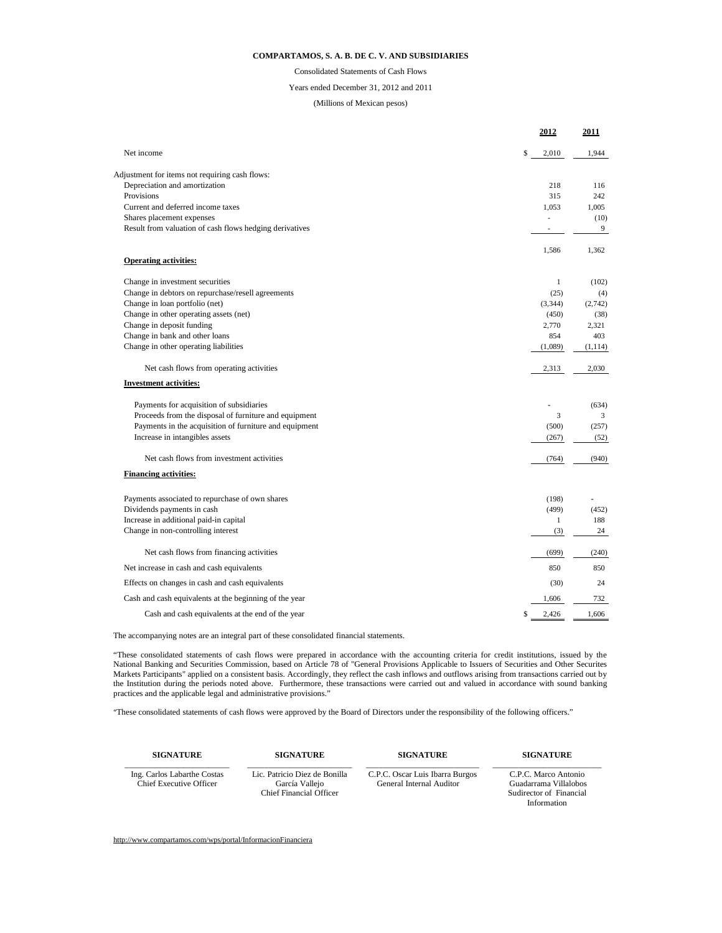|                                                         | <u>2012</u>              | <u>2011</u> |
|---------------------------------------------------------|--------------------------|-------------|
| Net income                                              | \$<br>2,010              | 1,944       |
| Adjustment for items not requiring cash flows:          |                          |             |
| Depreciation and amortization                           | 218                      | 116         |
| Provisions                                              | 315                      | 242         |
| Current and deferred income taxes                       | 1,053                    | 1,005       |
| Shares placement expenses                               |                          | (10)        |
| Result from valuation of cash flows hedging derivatives | $\overline{\phantom{a}}$ | 9           |
| <b>Operating activities:</b>                            | 1,586                    | 1,362       |
|                                                         |                          |             |
| Change in investment securities                         |                          | (102)       |
| Change in debtors on repurchase/resell agreements       | (25)                     | (4)         |
| Change in loan portfolio (net)                          | (3,344)                  | (2,742)     |
| Change in other operating assets (net)                  | (450)                    | (38)        |
| Change in deposit funding                               | 2,770                    | 2,321       |
| Change in bank and other loans                          | 854                      | 403         |
| Change in other operating liabilities                   | (1,089)                  | (1, 114)    |
| Net cash flows from operating activities                | 2,313                    | 2,030       |
| <b>Investment activities:</b>                           |                          |             |
| Payments for acquisition of subsidiaries                |                          | (634)       |
| Proceeds from the disposal of furniture and equipment   | 3                        | 3           |
| Payments in the acquisition of furniture and equipment  | (500)                    | (257)       |
| Increase in intangibles assets                          | (267)                    | (52)        |
| Net cash flows from investment activities               | (764)                    | (940)       |
| <b>Financing activities:</b>                            |                          |             |
| Payments associated to repurchase of own shares         | (198)                    |             |
| Dividends payments in cash                              | (499)                    | (452)       |
| Increase in additional paid-in capital                  |                          | 188         |
| Change in non-controlling interest                      | (3)                      | 24          |
| Net cash flows from financing activities                | (699)                    | (240)       |
| Net increase in cash and cash equivalents               | 850                      | 850         |
| Effects on changes in cash and cash equivalents         | (30)                     | 24          |
| Cash and cash equivalents at the beginning of the year  | 1,606                    | 732         |
| Cash and cash equivalents at the end of the year        | \$<br>2,426              | 1,606       |

[http://www.compartamos.com/wps/portal/InformacionFinanciera](http://compartamos.com/wps/portal/InformacionFinanciera)

# **COMPARTAMOS, S. A. B. DE C. V. AND SUBSIDIARIES**

#### Years ended December 31, 2012 and 2011

Consolidated Statements of Cash Flows

# (Millions of Mexican pesos)

The accompanying notes are an integral part of these consolidated financial statements.

"These consolidated statements of cash flows were prepared in accordance with the accounting criteria for credit institutions, issued by the National Banking and Securities Commission, based on Article 78 of "General Provisions Applicable to Issuers of Securities and Other Securites Markets Participants" applied on a consistent basis. Accordingly, they reflect the cash inflows and outflows arising from transactions carried out by the Institution during the periods noted above. Furthermore, these transactions were carried out and valued in accordance with sound banking practices and the applicable legal and administrative provisions."

"These consolidated statements of cash flows were approved by the Board of Directors under the responsibility of the following officers."

| <b>SIGNATURE</b>                                              | <b>SIGNATURE</b>                                                                  | <b>SIGNATURE</b>                                            | <b>SIGNATURE</b>                                                                        |
|---------------------------------------------------------------|-----------------------------------------------------------------------------------|-------------------------------------------------------------|-----------------------------------------------------------------------------------------|
| Ing. Carlos Labarthe Costas<br><b>Chief Executive Officer</b> | Lic. Patricio Diez de Bonilla<br>García Vallejo<br><b>Chief Financial Officer</b> | C.P.C. Oscar Luis Ibarra Burgos<br>General Internal Auditor | C.P.C. Marco Antonio<br>Guadarrama Villalobos<br>Sudirector of Financial<br>Information |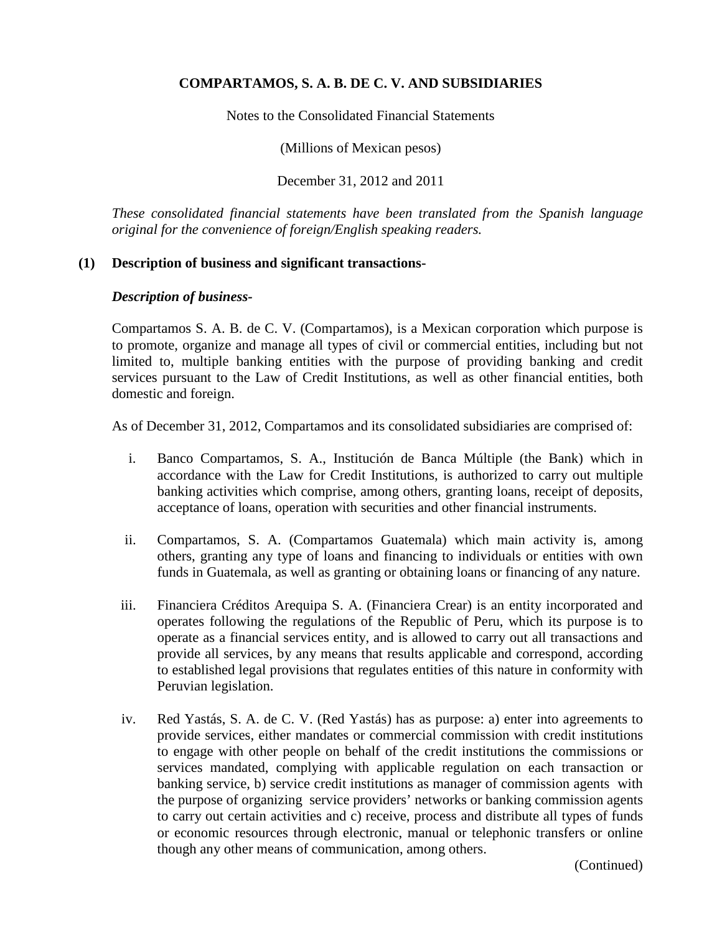Notes to the Consolidated Financial Statements

(Millions of Mexican pesos)

December 31, 2012 and 2011

*These consolidated financial statements have been translated from the Spanish language original for the convenience of foreign/English speaking readers.*

# **(1) Description of business and significant transactions-**

#### *Description of business-*

Compartamos S. A. B. de C. V. (Compartamos), is a Mexican corporation which purpose is to promote, organize and manage all types of civil or commercial entities, including but not limited to, multiple banking entities with the purpose of providing banking and credit services pursuant to the Law of Credit Institutions, as well as other financial entities, both domestic and foreign.

As of December 31, 2012, Compartamos and its consolidated subsidiaries are comprised of:

- i. Banco Compartamos, S. A., Institución de Banca Múltiple (the Bank) which in accordance with the Law for Credit Institutions, is authorized to carry out multiple banking activities which comprise, among others, granting loans, receipt of deposits, acceptance of loans, operation with securities and other financial instruments.
- ii. Compartamos, S. A. (Compartamos Guatemala) which main activity is, among others, granting any type of loans and financing to individuals or entities with own funds in Guatemala, as well as granting or obtaining loans or financing of any nature.
- iii. Financiera Créditos Arequipa S. A. (Financiera Crear) is an entity incorporated and operates following the regulations of the Republic of Peru, which its purpose is to operate as a financial services entity, and is allowed to carry out all transactions and provide all services, by any means that results applicable and correspond, according to established legal provisions that regulates entities of this nature in conformity with Peruvian legislation.
- iv. Red Yastás, S. A. de C. V. (Red Yastás) has as purpose: a) enter into agreements to provide services, either mandates or commercial commission with credit institutions to engage with other people on behalf of the credit institutions the commissions or services mandated, complying with applicable regulation on each transaction or banking service, b) service credit institutions as manager of commission agents with the purpose of organizing service providers' networks or banking commission agents to carry out certain activities and c) receive, process and distribute all types of funds or economic resources through electronic, manual or telephonic transfers or online though any other means of communication, among others.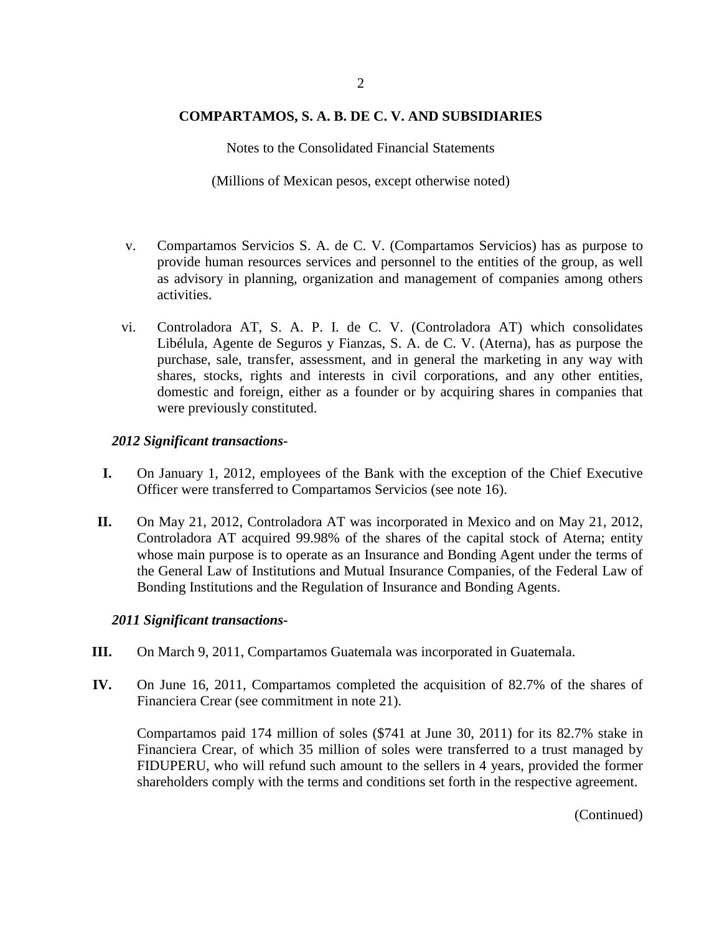Notes to the Consolidated Financial Statements

(Millions of Mexican pesos, except otherwise noted)

- v. Compartamos Servicios S. A. de C. V. (Compartamos Servicios) has as purpose to provide human resources services and personnel to the entities of the group, as well as advisory in planning, organization and management of companies among others activities.
- vi. Controladora AT, S. A. P. I. de C. V. (Controladora AT) which consolidates Libélula, Agente de Seguros y Fianzas, S. A. de C. V. (Aterna), has as purpose the purchase, sale, transfer, assessment, and in general the marketing in any way with shares, stocks, rights and interests in civil corporations, and any other entities, domestic and foreign, either as a founder or by acquiring shares in companies that were previously constituted.

### *2012 Significant transactions-*

- **I.** On January 1, 2012, employees of the Bank with the exception of the Chief Executive Officer were transferred to Compartamos Servicios (see note 16).
- **II.** On May 21, 2012, Controladora AT was incorporated in Mexico and on May 21, 2012, Controladora AT acquired 99.98% of the shares of the capital stock of Aterna; entity whose main purpose is to operate as an Insurance and Bonding Agent under the terms of the General Law of Institutions and Mutual Insurance Companies, of the Federal Law of Bonding Institutions and the Regulation of Insurance and Bonding Agents.

#### *2011 Significant transactions-*

- **III.** On March 9, 2011, Compartamos Guatemala was incorporated in Guatemala.
- **IV.** On June 16, 2011, Compartamos completed the acquisition of 82.7% of the shares of Financiera Crear (see commitment in note 21).

Compartamos paid 174 million of soles (\$741 at June 30, 2011) for its 82.7% stake in Financiera Crear, of which 35 million of soles were transferred to a trust managed by FIDUPERU, who will refund such amount to the sellers in 4 years, provided the former shareholders comply with the terms and conditions set forth in the respective agreement.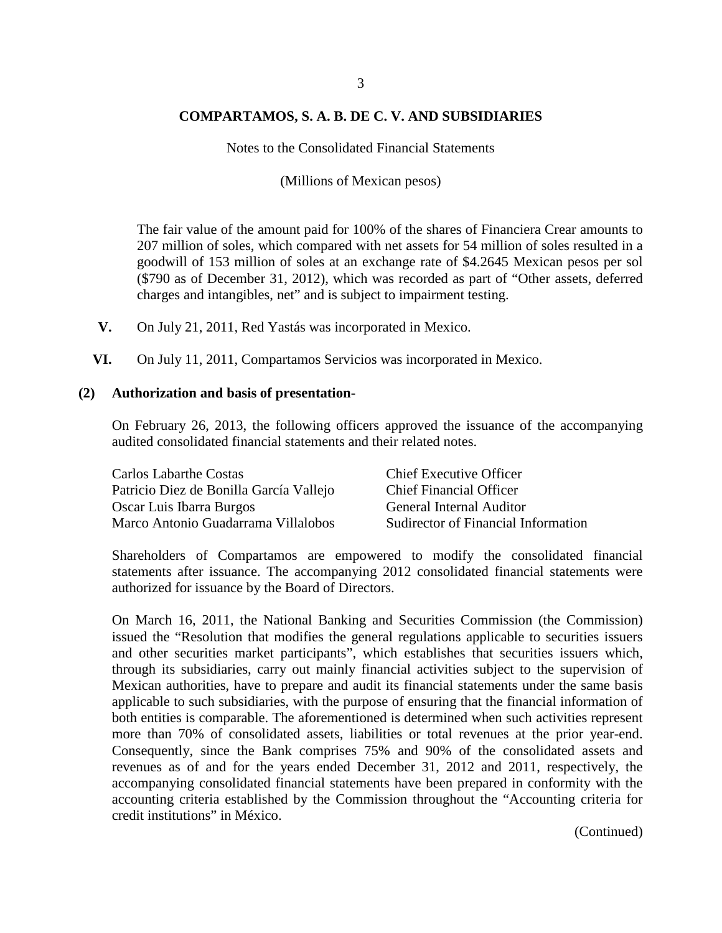Notes to the Consolidated Financial Statements

(Millions of Mexican pesos)

The fair value of the amount paid for 100% of the shares of Financiera Crear amounts to 207 million of soles, which compared with net assets for 54 million of soles resulted in a goodwill of 153 million of soles at an exchange rate of \$4.2645 Mexican pesos per sol (\$790 as of December 31, 2012), which was recorded as part of "Other assets, deferred charges and intangibles, net" and is subject to impairment testing.

- **V.** On July 21, 2011, Red Yastás was incorporated in Mexico.
- **VI.** On July 11, 2011, Compartamos Servicios was incorporated in Mexico.

#### **(2) Authorization and basis of presentation-**

On February 26, 2013, the following officers approved the issuance of the accompanying audited consolidated financial statements and their related notes.

| Carlos Labarthe Costas                  | <b>Chief Executive Officer</b>      |
|-----------------------------------------|-------------------------------------|
| Patricio Diez de Bonilla García Vallejo | <b>Chief Financial Officer</b>      |
| Oscar Luis Ibarra Burgos                | <b>General Internal Auditor</b>     |
| Marco Antonio Guadarrama Villalobos     | Sudirector of Financial Information |

Shareholders of Compartamos are empowered to modify the consolidated financial statements after issuance. The accompanying 2012 consolidated financial statements were authorized for issuance by the Board of Directors.

On March 16, 2011, the National Banking and Securities Commission (the Commission) issued the "Resolution that modifies the general regulations applicable to securities issuers and other securities market participants", which establishes that securities issuers which, through its subsidiaries, carry out mainly financial activities subject to the supervision of Mexican authorities, have to prepare and audit its financial statements under the same basis applicable to such subsidiaries, with the purpose of ensuring that the financial information of both entities is comparable. The aforementioned is determined when such activities represent more than 70% of consolidated assets, liabilities or total revenues at the prior year-end. Consequently, since the Bank comprises 75% and 90% of the consolidated assets and revenues as of and for the years ended December 31, 2012 and 2011, respectively, the accompanying consolidated financial statements have been prepared in conformity with the accounting criteria established by the Commission throughout the "Accounting criteria for credit institutions" in México.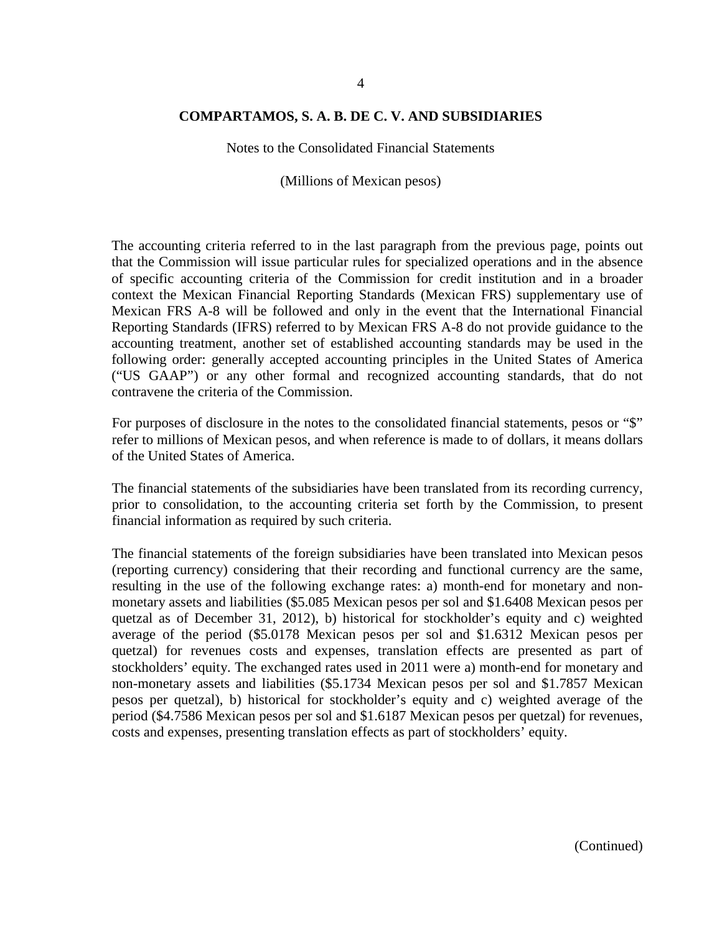Notes to the Consolidated Financial Statements

(Millions of Mexican pesos)

The accounting criteria referred to in the last paragraph from the previous page, points out that the Commission will issue particular rules for specialized operations and in the absence of specific accounting criteria of the Commission for credit institution and in a broader context the Mexican Financial Reporting Standards (Mexican FRS) supplementary use of Mexican FRS A-8 will be followed and only in the event that the International Financial Reporting Standards (IFRS) referred to by Mexican FRS A-8 do not provide guidance to the accounting treatment, another set of established accounting standards may be used in the following order: generally accepted accounting principles in the United States of America ("US GAAP") or any other formal and recognized accounting standards, that do not contravene the criteria of the Commission.

For purposes of disclosure in the notes to the consolidated financial statements, pesos or "\$" refer to millions of Mexican pesos, and when reference is made to of dollars, it means dollars of the United States of America.

The financial statements of the subsidiaries have been translated from its recording currency, prior to consolidation, to the accounting criteria set forth by the Commission, to present financial information as required by such criteria.

The financial statements of the foreign subsidiaries have been translated into Mexican pesos (reporting currency) considering that their recording and functional currency are the same, resulting in the use of the following exchange rates: a) month-end for monetary and nonmonetary assets and liabilities (\$5.085 Mexican pesos per sol and \$1.6408 Mexican pesos per quetzal as of December 31, 2012), b) historical for stockholder's equity and c) weighted average of the period (\$5.0178 Mexican pesos per sol and \$1.6312 Mexican pesos per quetzal) for revenues costs and expenses, translation effects are presented as part of stockholders' equity. The exchanged rates used in 2011 were a) month-end for monetary and non-monetary assets and liabilities (\$5.1734 Mexican pesos per sol and \$1.7857 Mexican pesos per quetzal), b) historical for stockholder's equity and c) weighted average of the period (\$4.7586 Mexican pesos per sol and \$1.6187 Mexican pesos per quetzal) for revenues, costs and expenses, presenting translation effects as part of stockholders' equity.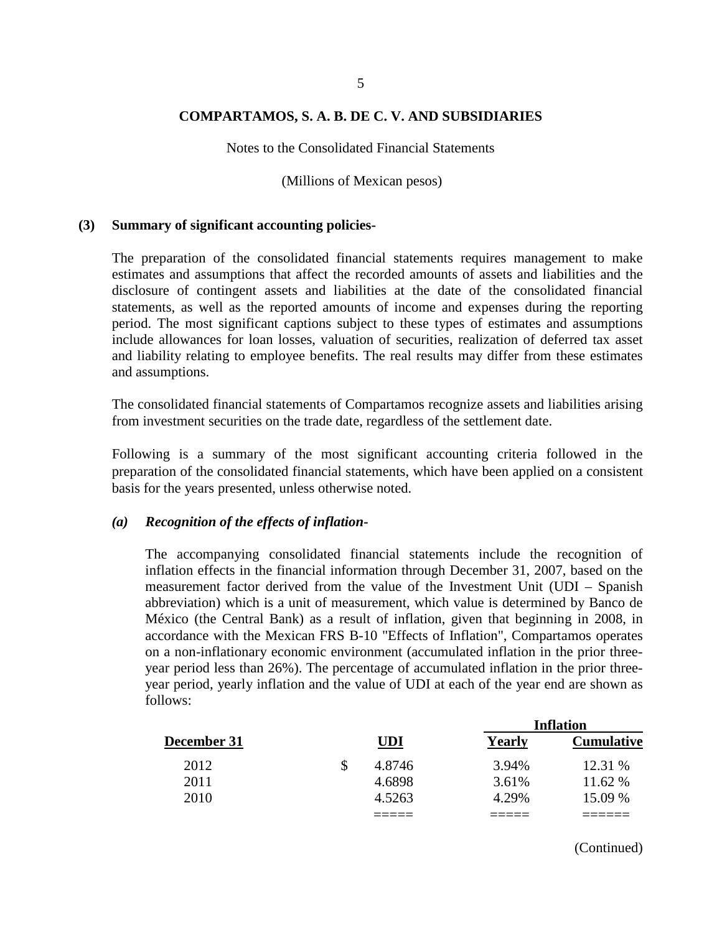Notes to the Consolidated Financial Statements

(Millions of Mexican pesos)

#### **(3) Summary of significant accounting policies-**

The preparation of the consolidated financial statements requires management to make estimates and assumptions that affect the recorded amounts of assets and liabilities and the disclosure of contingent assets and liabilities at the date of the consolidated financial statements, as well as the reported amounts of income and expenses during the reporting period. The most significant captions subject to these types of estimates and assumptions include allowances for loan losses, valuation of securities, realization of deferred tax asset and liability relating to employee benefits. The real results may differ from these estimates and assumptions.

The consolidated financial statements of Compartamos recognize assets and liabilities arising from investment securities on the trade date, regardless of the settlement date.

Following is a summary of the most significant accounting criteria followed in the preparation of the consolidated financial statements, which have been applied on a consistent basis for the years presented, unless otherwise noted.

#### *(a) Recognition of the effects of inflation-*

The accompanying consolidated financial statements include the recognition of inflation effects in the financial information through December 31, 2007, based on the measurement factor derived from the value of the Investment Unit (UDI – Spanish abbreviation) which is a unit of measurement, which value is determined by Banco de México (the Central Bank) as a result of inflation, given that beginning in 2008, in accordance with the Mexican FRS B-10 "Effects of Inflation", Compartamos operates on a non-inflationary economic environment (accumulated inflation in the prior threeyear period less than 26%). The percentage of accumulated inflation in the prior threeyear period, yearly inflation and the value of UDI at each of the year end are shown as follows:

|             |        |        | <b>Inflation</b>  |
|-------------|--------|--------|-------------------|
| December 31 | UDI    | Yearly | <b>Cumulative</b> |
| 2012        | 4.8746 | 3.94%  | 12.31 %           |
| 2011        | 4.6898 | 3.61%  | 11.62 %           |
| 2010        | 4.5263 | 4.29%  | 15.09 %           |
|             |        |        |                   |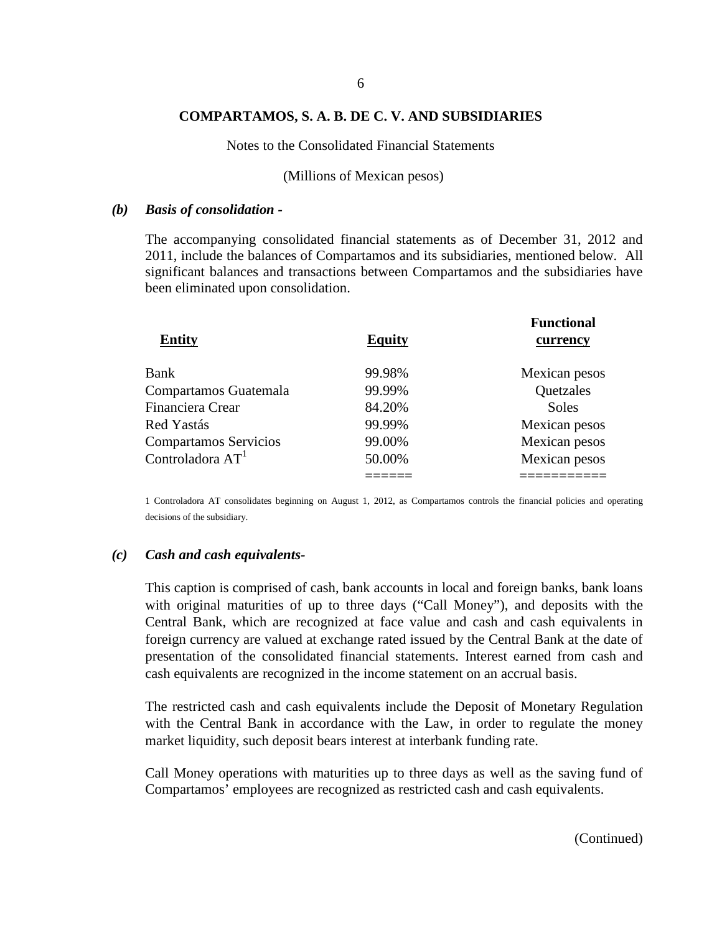Notes to the Consolidated Financial Statements

#### (Millions of Mexican pesos)

#### *(b) Basis of consolidation -*

The accompanying consolidated financial statements as of December 31, 2012 and 2011, include the balances of Compartamos and its subsidiaries, mentioned below. All significant balances and transactions between Compartamos and the subsidiaries have been eliminated upon consolidation.

| <b>Equity</b> | <b>Functional</b><br>currency |
|---------------|-------------------------------|
| 99.98%        | Mexican pesos                 |
| 99.99%        | Quetzales                     |
| 84.20%        | <b>Soles</b>                  |
| 99.99%        | Mexican pesos                 |
| 99.00%        | Mexican pesos                 |
| 50.00%        | Mexican pesos                 |
|               |                               |
|               |                               |

1 Controladora AT consolidates beginning on August 1, 2012, as Compartamos controls the financial policies and operating decisions of the subsidiary.

#### *(c) Cash and cash equivalents-*

This caption is comprised of cash, bank accounts in local and foreign banks, bank loans with original maturities of up to three days ("Call Money"), and deposits with the Central Bank, which are recognized at face value and cash and cash equivalents in foreign currency are valued at exchange rated issued by the Central Bank at the date of presentation of the consolidated financial statements. Interest earned from cash and cash equivalents are recognized in the income statement on an accrual basis.

The restricted cash and cash equivalents include the Deposit of Monetary Regulation with the Central Bank in accordance with the Law, in order to regulate the money market liquidity, such deposit bears interest at interbank funding rate.

Call Money operations with maturities up to three days as well as the saving fund of Compartamos' employees are recognized as restricted cash and cash equivalents.

(Continued)

**Functional**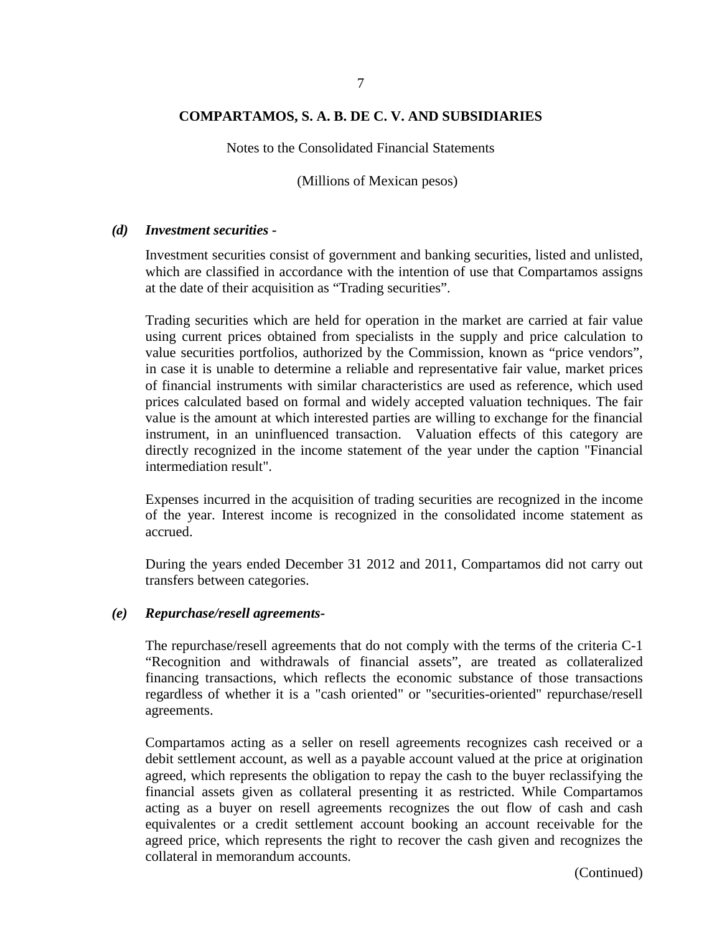Notes to the Consolidated Financial Statements

(Millions of Mexican pesos)

#### *(d) Investment securities -*

Investment securities consist of government and banking securities, listed and unlisted, which are classified in accordance with the intention of use that Compartamos assigns at the date of their acquisition as "Trading securities".

Trading securities which are held for operation in the market are carried at fair value using current prices obtained from specialists in the supply and price calculation to value securities portfolios, authorized by the Commission, known as "price vendors", in case it is unable to determine a reliable and representative fair value, market prices of financial instruments with similar characteristics are used as reference, which used prices calculated based on formal and widely accepted valuation techniques. The fair value is the amount at which interested parties are willing to exchange for the financial instrument, in an uninfluenced transaction. Valuation effects of this category are directly recognized in the income statement of the year under the caption "Financial intermediation result".

Expenses incurred in the acquisition of trading securities are recognized in the income of the year. Interest income is recognized in the consolidated income statement as accrued.

During the years ended December 31 2012 and 2011, Compartamos did not carry out transfers between categories.

#### *(e) Repurchase/resell agreements-*

The repurchase/resell agreements that do not comply with the terms of the criteria C-1 "Recognition and withdrawals of financial assets", are treated as collateralized financing transactions, which reflects the economic substance of those transactions regardless of whether it is a "cash oriented" or "securities-oriented" repurchase/resell agreements.

Compartamos acting as a seller on resell agreements recognizes cash received or a debit settlement account, as well as a payable account valued at the price at origination agreed, which represents the obligation to repay the cash to the buyer reclassifying the financial assets given as collateral presenting it as restricted. While Compartamos acting as a buyer on resell agreements recognizes the out flow of cash and cash equivalentes or a credit settlement account booking an account receivable for the agreed price, which represents the right to recover the cash given and recognizes the collateral in memorandum accounts.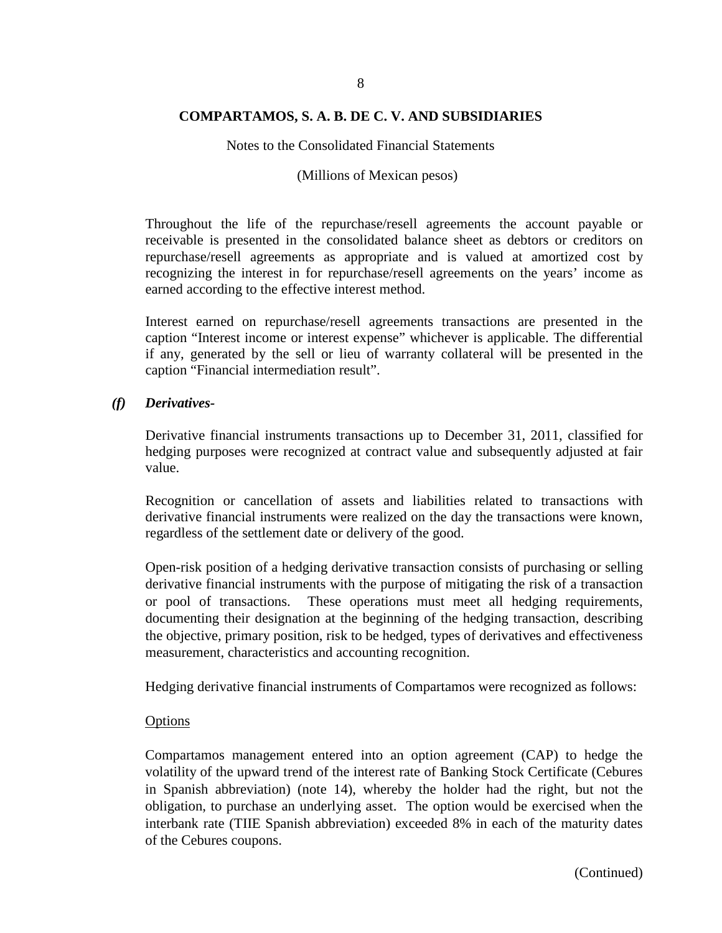Notes to the Consolidated Financial Statements

#### (Millions of Mexican pesos)

Throughout the life of the repurchase/resell agreements the account payable or receivable is presented in the consolidated balance sheet as debtors or creditors on repurchase/resell agreements as appropriate and is valued at amortized cost by recognizing the interest in for repurchase/resell agreements on the years' income as earned according to the effective interest method.

Interest earned on repurchase/resell agreements transactions are presented in the caption "Interest income or interest expense" whichever is applicable. The differential if any, generated by the sell or lieu of warranty collateral will be presented in the caption "Financial intermediation result".

#### *(f) Derivatives-*

Derivative financial instruments transactions up to December 31, 2011, classified for hedging purposes were recognized at contract value and subsequently adjusted at fair value.

Recognition or cancellation of assets and liabilities related to transactions with derivative financial instruments were realized on the day the transactions were known, regardless of the settlement date or delivery of the good.

Open-risk position of a hedging derivative transaction consists of purchasing or selling derivative financial instruments with the purpose of mitigating the risk of a transaction or pool of transactions. These operations must meet all hedging requirements, documenting their designation at the beginning of the hedging transaction, describing the objective, primary position, risk to be hedged, types of derivatives and effectiveness measurement, characteristics and accounting recognition.

Hedging derivative financial instruments of Compartamos were recognized as follows:

#### **Options**

Compartamos management entered into an option agreement (CAP) to hedge the volatility of the upward trend of the interest rate of Banking Stock Certificate (Cebures in Spanish abbreviation) (note 14), whereby the holder had the right, but not the obligation, to purchase an underlying asset. The option would be exercised when the interbank rate (TIIE Spanish abbreviation) exceeded 8% in each of the maturity dates of the Cebures coupons.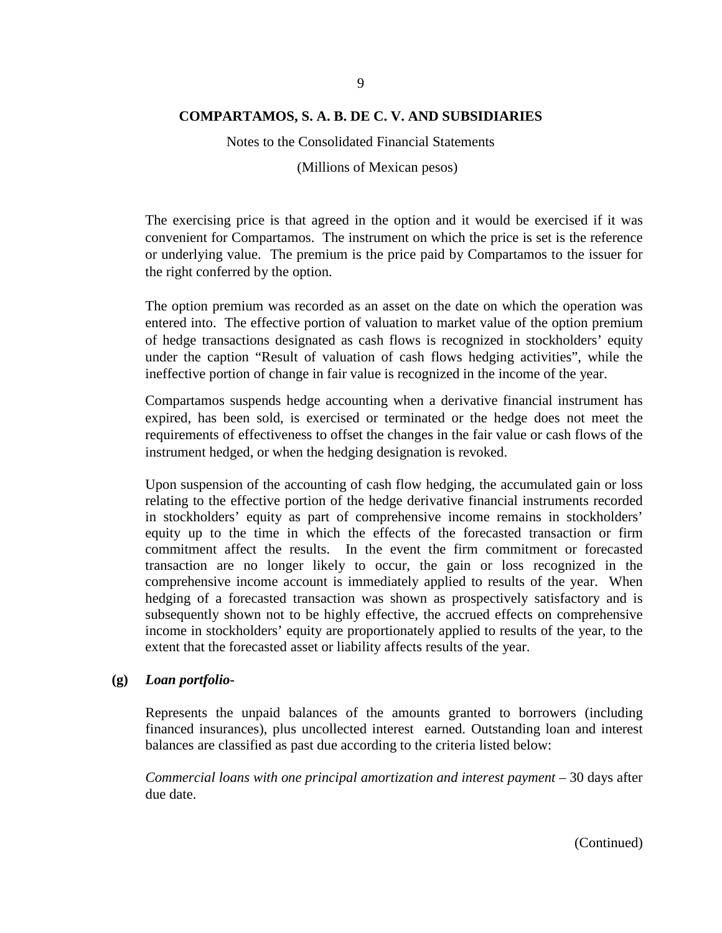Notes to the Consolidated Financial Statements

(Millions of Mexican pesos)

The exercising price is that agreed in the option and it would be exercised if it was convenient for Compartamos. The instrument on which the price is set is the reference or underlying value. The premium is the price paid by Compartamos to the issuer for the right conferred by the option.

The option premium was recorded as an asset on the date on which the operation was entered into. The effective portion of valuation to market value of the option premium of hedge transactions designated as cash flows is recognized in stockholders' equity under the caption "Result of valuation of cash flows hedging activities", while the ineffective portion of change in fair value is recognized in the income of the year.

Compartamos suspends hedge accounting when a derivative financial instrument has expired, has been sold, is exercised or terminated or the hedge does not meet the requirements of effectiveness to offset the changes in the fair value or cash flows of the instrument hedged, or when the hedging designation is revoked.

Upon suspension of the accounting of cash flow hedging, the accumulated gain or loss relating to the effective portion of the hedge derivative financial instruments recorded in stockholders' equity as part of comprehensive income remains in stockholders' equity up to the time in which the effects of the forecasted transaction or firm commitment affect the results. In the event the firm commitment or forecasted transaction are no longer likely to occur, the gain or loss recognized in the comprehensive income account is immediately applied to results of the year. When hedging of a forecasted transaction was shown as prospectively satisfactory and is subsequently shown not to be highly effective, the accrued effects on comprehensive income in stockholders' equity are proportionately applied to results of the year, to the extent that the forecasted asset or liability affects results of the year.

#### **(g)** *Loan portfolio-*

Represents the unpaid balances of the amounts granted to borrowers (including financed insurances), plus uncollected interest earned. Outstanding loan and interest balances are classified as past due according to the criteria listed below:

*Commercial loans with one principal amortization and interest payment –* 30 days after due date.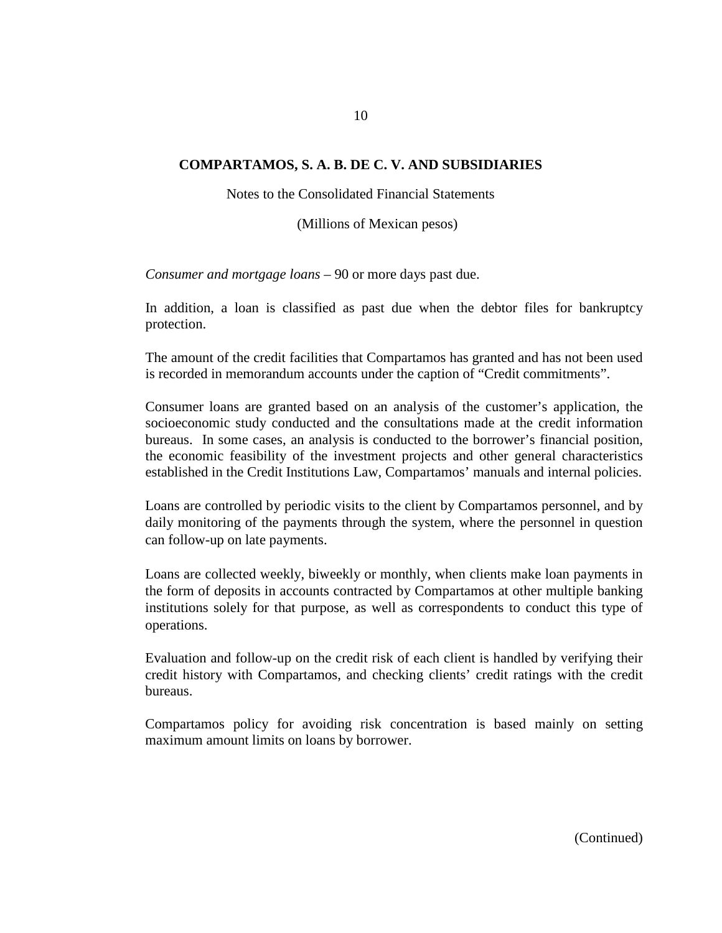Notes to the Consolidated Financial Statements

(Millions of Mexican pesos)

*Consumer and mortgage loans –* 90 or more days past due.

In addition, a loan is classified as past due when the debtor files for bankruptcy protection.

The amount of the credit facilities that Compartamos has granted and has not been used is recorded in memorandum accounts under the caption of "Credit commitments".

Consumer loans are granted based on an analysis of the customer's application, the socioeconomic study conducted and the consultations made at the credit information bureaus. In some cases, an analysis is conducted to the borrower's financial position, the economic feasibility of the investment projects and other general characteristics established in the Credit Institutions Law, Compartamos' manuals and internal policies.

Loans are controlled by periodic visits to the client by Compartamos personnel, and by daily monitoring of the payments through the system, where the personnel in question can follow-up on late payments.

Loans are collected weekly, biweekly or monthly, when clients make loan payments in the form of deposits in accounts contracted by Compartamos at other multiple banking institutions solely for that purpose, as well as correspondents to conduct this type of operations.

Evaluation and follow-up on the credit risk of each client is handled by verifying their credit history with Compartamos, and checking clients' credit ratings with the credit bureaus.

Compartamos policy for avoiding risk concentration is based mainly on setting maximum amount limits on loans by borrower.

10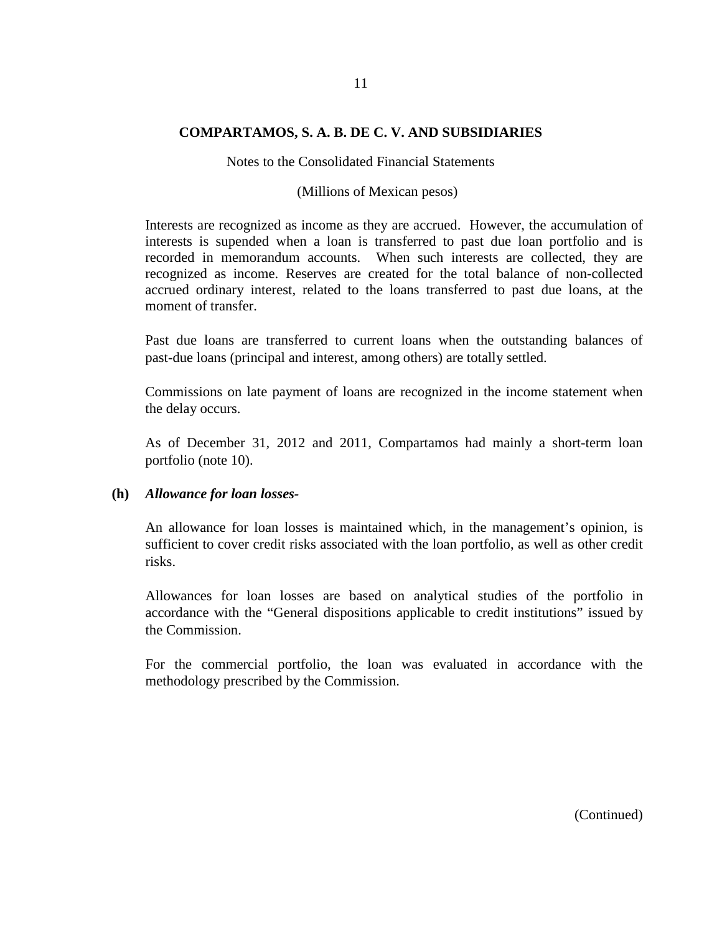#### Notes to the Consolidated Financial Statements

#### (Millions of Mexican pesos)

Interests are recognized as income as they are accrued. However, the accumulation of interests is supended when a loan is transferred to past due loan portfolio and is recorded in memorandum accounts. When such interests are collected, they are recognized as income. Reserves are created for the total balance of non-collected accrued ordinary interest, related to the loans transferred to past due loans, at the moment of transfer.

Past due loans are transferred to current loans when the outstanding balances of past-due loans (principal and interest, among others) are totally settled.

Commissions on late payment of loans are recognized in the income statement when the delay occurs.

As of December 31, 2012 and 2011, Compartamos had mainly a short-term loan portfolio (note 10).

#### **(h)** *Allowance for loan losses-*

An allowance for loan losses is maintained which, in the management's opinion, is sufficient to cover credit risks associated with the loan portfolio, as well as other credit risks.

Allowances for loan losses are based on analytical studies of the portfolio in accordance with the "General dispositions applicable to credit institutions" issued by the Commission.

For the commercial portfolio, the loan was evaluated in accordance with the methodology prescribed by the Commission.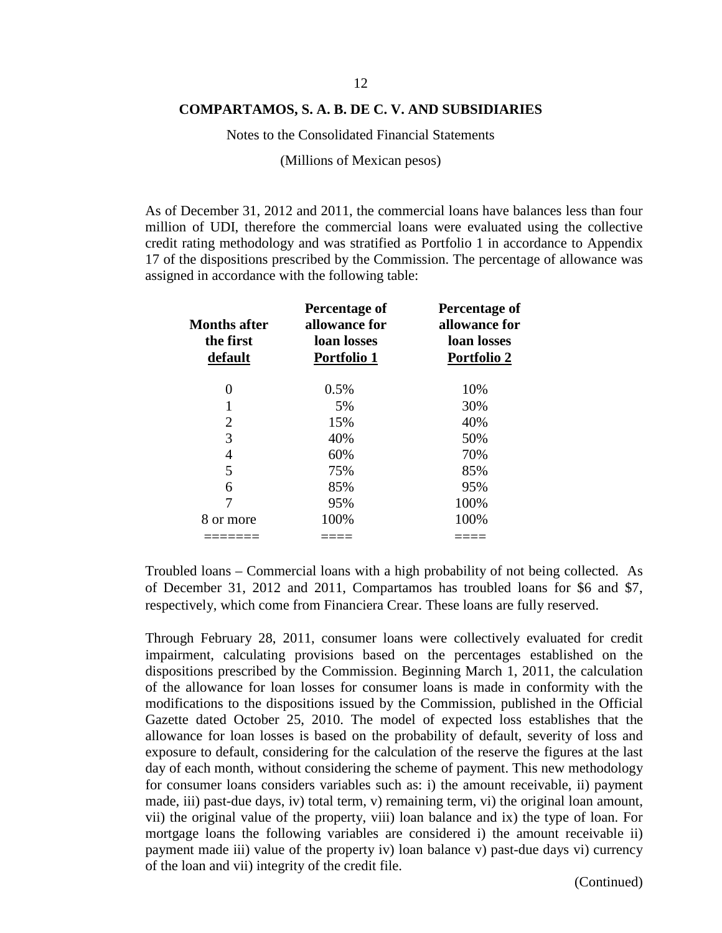Notes to the Consolidated Financial Statements

(Millions of Mexican pesos)

As of December 31, 2012 and 2011, the commercial loans have balances less than four million of UDI, therefore the commercial loans were evaluated using the collective credit rating methodology and was stratified as Portfolio 1 in accordance to Appendix 17 of the dispositions prescribed by the Commission. The percentage of allowance was assigned in accordance with the following table:

| <b>Months after</b><br>the first<br>default | Percentage of<br>allowance for<br>loan losses<br><b>Portfolio 1</b> | Percentage of<br>allowance for<br>loan losses<br><b>Portfolio 2</b> |  |
|---------------------------------------------|---------------------------------------------------------------------|---------------------------------------------------------------------|--|
| 0                                           | 0.5%                                                                | 10%                                                                 |  |
| 1                                           | 5%                                                                  | 30%                                                                 |  |
| 2                                           | 15%                                                                 | 40%                                                                 |  |
| 3                                           | 40%                                                                 | 50%                                                                 |  |
| 4                                           | 60%                                                                 | 70%                                                                 |  |
| 5                                           | 75%                                                                 | 85%                                                                 |  |
| 6                                           | 85%                                                                 | 95%                                                                 |  |
|                                             | 95%                                                                 | 100%                                                                |  |
| 8 or more                                   | 100%                                                                | 100%                                                                |  |
|                                             |                                                                     |                                                                     |  |

Troubled loans – Commercial loans with a high probability of not being collected. As of December 31, 2012 and 2011, Compartamos has troubled loans for \$6 and \$7, respectively, which come from Financiera Crear. These loans are fully reserved.

Through February 28, 2011, consumer loans were collectively evaluated for credit impairment, calculating provisions based on the percentages established on the dispositions prescribed by the Commission. Beginning March 1, 2011, the calculation of the allowance for loan losses for consumer loans is made in conformity with the modifications to the dispositions issued by the Commission, published in the Official Gazette dated October 25, 2010. The model of expected loss establishes that the allowance for loan losses is based on the probability of default, severity of loss and exposure to default, considering for the calculation of the reserve the figures at the last day of each month, without considering the scheme of payment. This new methodology for consumer loans considers variables such as: i) the amount receivable, ii) payment made, iii) past-due days, iv) total term, v) remaining term, vi) the original loan amount, vii) the original value of the property, viii) loan balance and ix) the type of loan. For mortgage loans the following variables are considered i) the amount receivable ii) payment made iii) value of the property iv) loan balance v) past-due days vi) currency of the loan and vii) integrity of the credit file.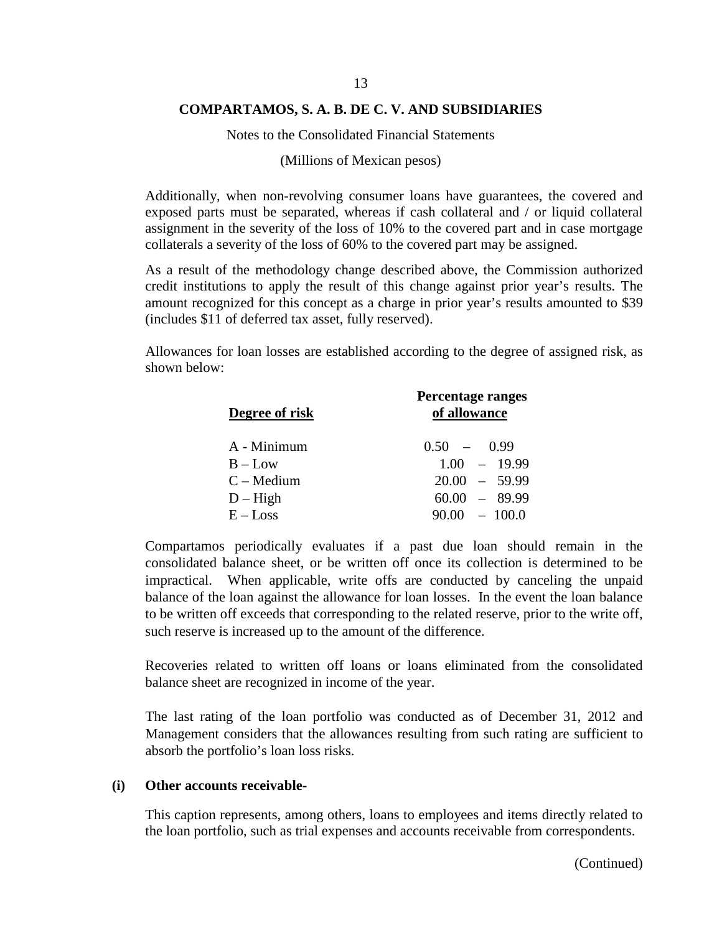#### 13

#### **COMPARTAMOS, S. A. B. DE C. V. AND SUBSIDIARIES**

Notes to the Consolidated Financial Statements

#### (Millions of Mexican pesos)

Additionally, when non-revolving consumer loans have guarantees, the covered and exposed parts must be separated, whereas if cash collateral and / or liquid collateral assignment in the severity of the loss of 10% to the covered part and in case mortgage collaterals a severity of the loss of 60% to the covered part may be assigned.

As a result of the methodology change described above, the Commission authorized credit institutions to apply the result of this change against prior year's results. The amount recognized for this concept as a charge in prior year's results amounted to \$39 (includes \$11 of deferred tax asset, fully reserved).

Allowances for loan losses are established according to the degree of assigned risk, as shown below:

| Degree of risk | Percentage ranges<br>of allowance |
|----------------|-----------------------------------|
| A - Minimum    | $0.50 - 0.99$                     |
| $B - Low$      | $1.00 - 19.99$                    |
| $C - Medium$   | $20.00 - 59.99$                   |
| $D - High$     | $60.00 - 89.99$                   |
| $E - Loss$     | $90.00 - 100.0$                   |

Compartamos periodically evaluates if a past due loan should remain in the consolidated balance sheet, or be written off once its collection is determined to be impractical. When applicable, write offs are conducted by canceling the unpaid balance of the loan against the allowance for loan losses. In the event the loan balance to be written off exceeds that corresponding to the related reserve, prior to the write off, such reserve is increased up to the amount of the difference.

Recoveries related to written off loans or loans eliminated from the consolidated balance sheet are recognized in income of the year.

The last rating of the loan portfolio was conducted as of December 31, 2012 and Management considers that the allowances resulting from such rating are sufficient to absorb the portfolio's loan loss risks.

#### **(i) Other accounts receivable-**

This caption represents, among others, loans to employees and items directly related to the loan portfolio, such as trial expenses and accounts receivable from correspondents.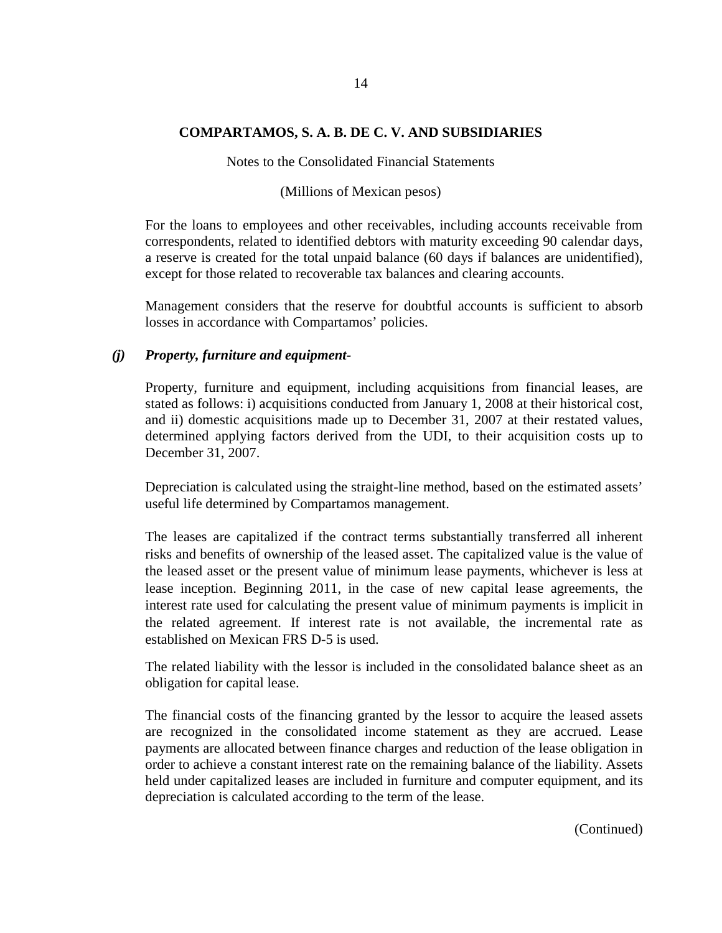Notes to the Consolidated Financial Statements

(Millions of Mexican pesos)

For the loans to employees and other receivables, including accounts receivable from correspondents, related to identified debtors with maturity exceeding 90 calendar days, a reserve is created for the total unpaid balance (60 days if balances are unidentified), except for those related to recoverable tax balances and clearing accounts.

Management considers that the reserve for doubtful accounts is sufficient to absorb losses in accordance with Compartamos' policies.

### *(j) Property, furniture and equipment-*

Property, furniture and equipment, including acquisitions from financial leases, are stated as follows: i) acquisitions conducted from January 1, 2008 at their historical cost, and ii) domestic acquisitions made up to December 31, 2007 at their restated values, determined applying factors derived from the UDI, to their acquisition costs up to December 31, 2007.

Depreciation is calculated using the straight-line method, based on the estimated assets' useful life determined by Compartamos management.

The leases are capitalized if the contract terms substantially transferred all inherent risks and benefits of ownership of the leased asset. The capitalized value is the value of the leased asset or the present value of minimum lease payments, whichever is less at lease inception. Beginning 2011, in the case of new capital lease agreements, the interest rate used for calculating the present value of minimum payments is implicit in the related agreement. If interest rate is not available, the incremental rate as established on Mexican FRS D-5 is used.

The related liability with the lessor is included in the consolidated balance sheet as an obligation for capital lease.

The financial costs of the financing granted by the lessor to acquire the leased assets are recognized in the consolidated income statement as they are accrued. Lease payments are allocated between finance charges and reduction of the lease obligation in order to achieve a constant interest rate on the remaining balance of the liability. Assets held under capitalized leases are included in furniture and computer equipment, and its depreciation is calculated according to the term of the lease.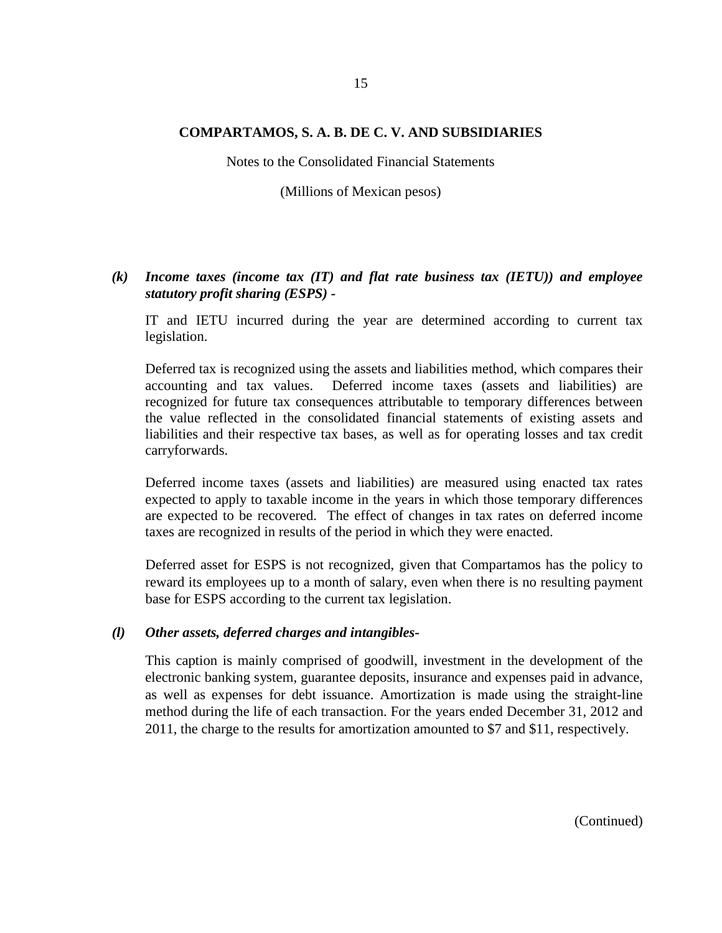Notes to the Consolidated Financial Statements

(Millions of Mexican pesos)

# *(k) Income taxes (income tax (IT) and flat rate business tax (IETU)) and employee statutory profit sharing (ESPS) -*

IT and IETU incurred during the year are determined according to current tax legislation.

Deferred tax is recognized using the assets and liabilities method, which compares their accounting and tax values. Deferred income taxes (assets and liabilities) are recognized for future tax consequences attributable to temporary differences between the value reflected in the consolidated financial statements of existing assets and liabilities and their respective tax bases, as well as for operating losses and tax credit carryforwards.

Deferred income taxes (assets and liabilities) are measured using enacted tax rates expected to apply to taxable income in the years in which those temporary differences are expected to be recovered. The effect of changes in tax rates on deferred income taxes are recognized in results of the period in which they were enacted.

Deferred asset for ESPS is not recognized, given that Compartamos has the policy to reward its employees up to a month of salary, even when there is no resulting payment base for ESPS according to the current tax legislation.

#### *(l) Other assets, deferred charges and intangibles-*

This caption is mainly comprised of goodwill, investment in the development of the electronic banking system, guarantee deposits, insurance and expenses paid in advance, as well as expenses for debt issuance. Amortization is made using the straight-line method during the life of each transaction. For the years ended December 31, 2012 and 2011, the charge to the results for amortization amounted to \$7 and \$11, respectively.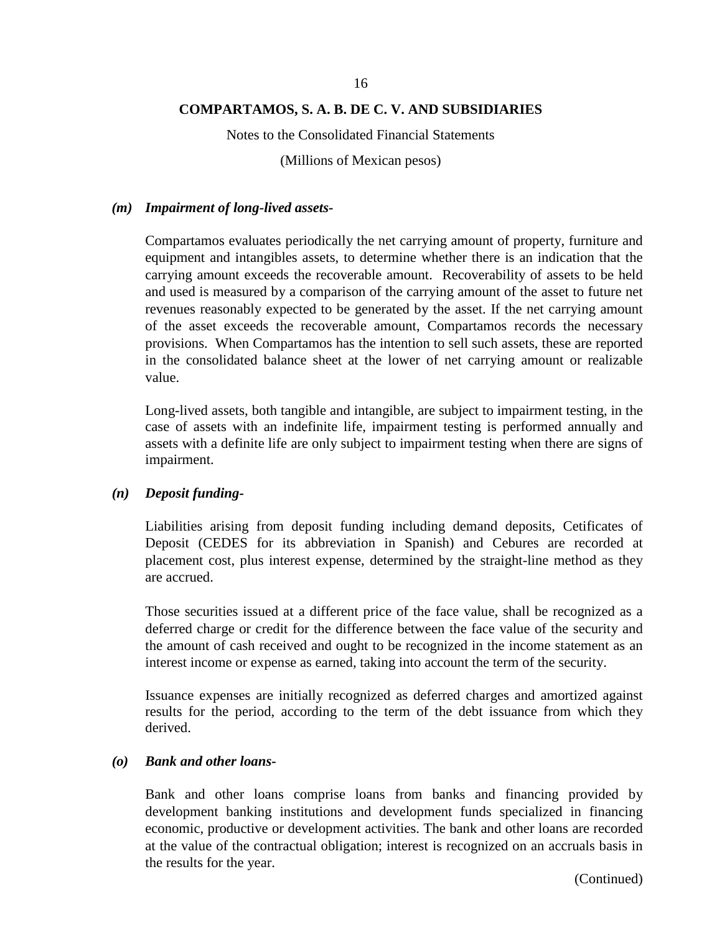Notes to the Consolidated Financial Statements

(Millions of Mexican pesos)

### *(m) Impairment of long-lived assets-*

Compartamos evaluates periodically the net carrying amount of property, furniture and equipment and intangibles assets, to determine whether there is an indication that the carrying amount exceeds the recoverable amount. Recoverability of assets to be held and used is measured by a comparison of the carrying amount of the asset to future net revenues reasonably expected to be generated by the asset. If the net carrying amount of the asset exceeds the recoverable amount, Compartamos records the necessary provisions. When Compartamos has the intention to sell such assets, these are reported in the consolidated balance sheet at the lower of net carrying amount or realizable value.

Long-lived assets, both tangible and intangible, are subject to impairment testing, in the case of assets with an indefinite life, impairment testing is performed annually and assets with a definite life are only subject to impairment testing when there are signs of impairment.

#### *(n) Deposit funding-*

Liabilities arising from deposit funding including demand deposits, Cetificates of Deposit (CEDES for its abbreviation in Spanish) and Cebures are recorded at placement cost, plus interest expense, determined by the straight-line method as they are accrued.

Those securities issued at a different price of the face value, shall be recognized as a deferred charge or credit for the difference between the face value of the security and the amount of cash received and ought to be recognized in the income statement as an interest income or expense as earned, taking into account the term of the security.

Issuance expenses are initially recognized as deferred charges and amortized against results for the period, according to the term of the debt issuance from which they derived.

#### *(o) Bank and other loans-*

Bank and other loans comprise loans from banks and financing provided by development banking institutions and development funds specialized in financing economic, productive or development activities. The bank and other loans are recorded at the value of the contractual obligation; interest is recognized on an accruals basis in the results for the year.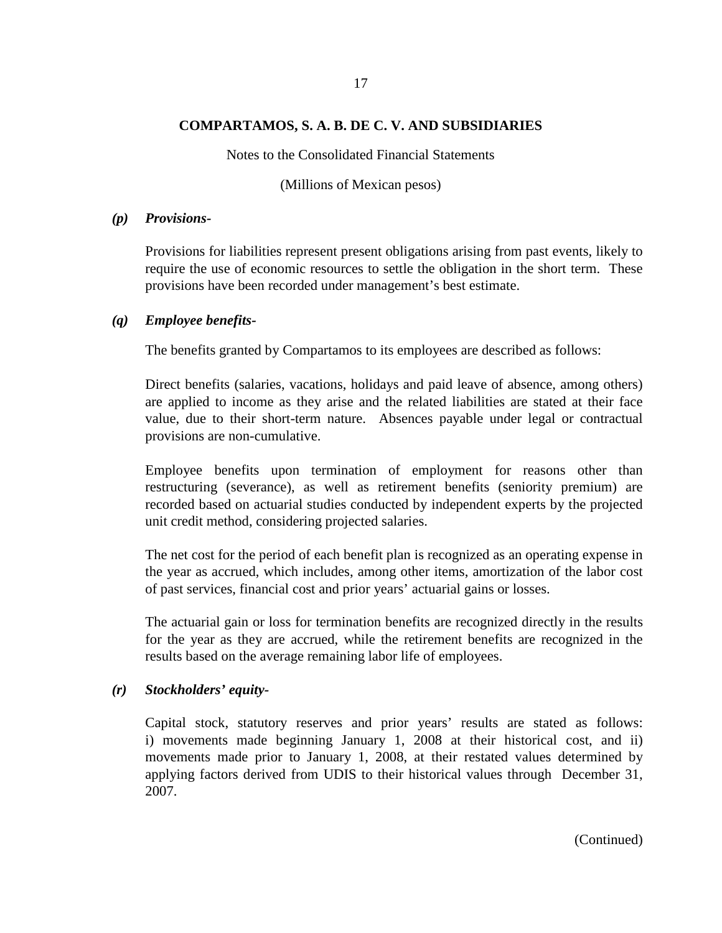Notes to the Consolidated Financial Statements

(Millions of Mexican pesos)

#### *(p) Provisions-*

Provisions for liabilities represent present obligations arising from past events, likely to require the use of economic resources to settle the obligation in the short term. These provisions have been recorded under management's best estimate.

### *(q) Employee benefits-*

The benefits granted by Compartamos to its employees are described as follows:

Direct benefits (salaries, vacations, holidays and paid leave of absence, among others) are applied to income as they arise and the related liabilities are stated at their face value, due to their short-term nature. Absences payable under legal or contractual provisions are non-cumulative.

Employee benefits upon termination of employment for reasons other than restructuring (severance), as well as retirement benefits (seniority premium) are recorded based on actuarial studies conducted by independent experts by the projected unit credit method, considering projected salaries.

The net cost for the period of each benefit plan is recognized as an operating expense in the year as accrued, which includes, among other items, amortization of the labor cost of past services, financial cost and prior years' actuarial gains or losses.

The actuarial gain or loss for termination benefits are recognized directly in the results for the year as they are accrued, while the retirement benefits are recognized in the results based on the average remaining labor life of employees.

#### *(r) Stockholders' equity-*

Capital stock, statutory reserves and prior years' results are stated as follows: i) movements made beginning January 1, 2008 at their historical cost, and ii) movements made prior to January 1, 2008, at their restated values determined by applying factors derived from UDIS to their historical values through December 31, 2007.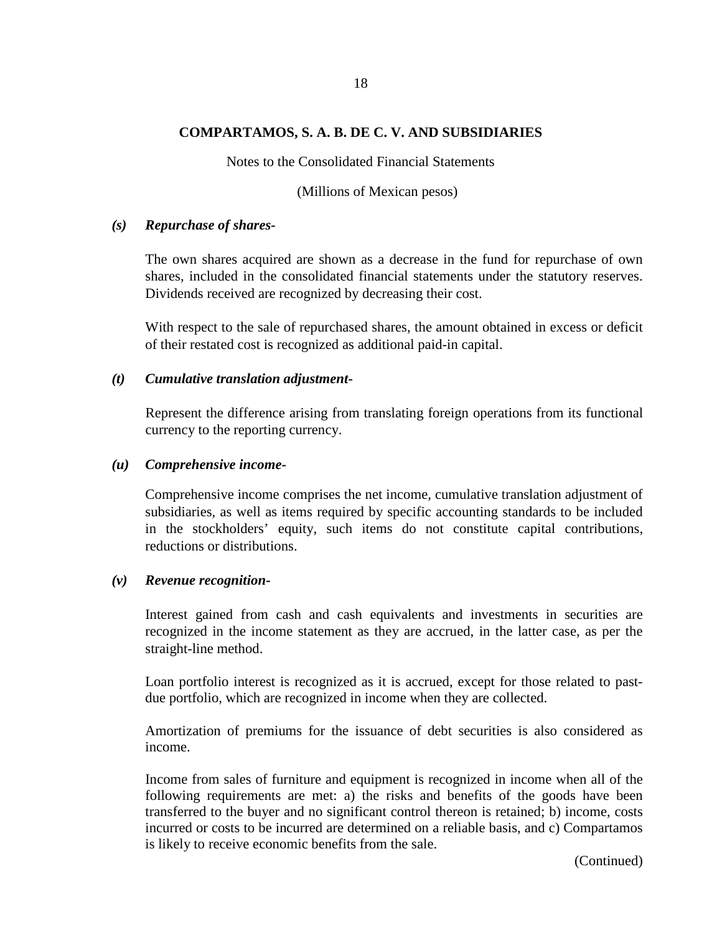Notes to the Consolidated Financial Statements

(Millions of Mexican pesos)

### *(s) Repurchase of shares-*

The own shares acquired are shown as a decrease in the fund for repurchase of own shares, included in the consolidated financial statements under the statutory reserves. Dividends received are recognized by decreasing their cost.

With respect to the sale of repurchased shares, the amount obtained in excess or deficit of their restated cost is recognized as additional paid-in capital.

### *(t) Cumulative translation adjustment-*

Represent the difference arising from translating foreign operations from its functional currency to the reporting currency.

### *(u) Comprehensive income-*

Comprehensive income comprises the net income, cumulative translation adjustment of subsidiaries, as well as items required by specific accounting standards to be included in the stockholders' equity, such items do not constitute capital contributions, reductions or distributions.

# *(v) Revenue recognition-*

Interest gained from cash and cash equivalents and investments in securities are recognized in the income statement as they are accrued, in the latter case, as per the straight-line method.

Loan portfolio interest is recognized as it is accrued, except for those related to pastdue portfolio, which are recognized in income when they are collected.

Amortization of premiums for the issuance of debt securities is also considered as income.

Income from sales of furniture and equipment is recognized in income when all of the following requirements are met: a) the risks and benefits of the goods have been transferred to the buyer and no significant control thereon is retained; b) income, costs incurred or costs to be incurred are determined on a reliable basis, and c) Compartamos is likely to receive economic benefits from the sale.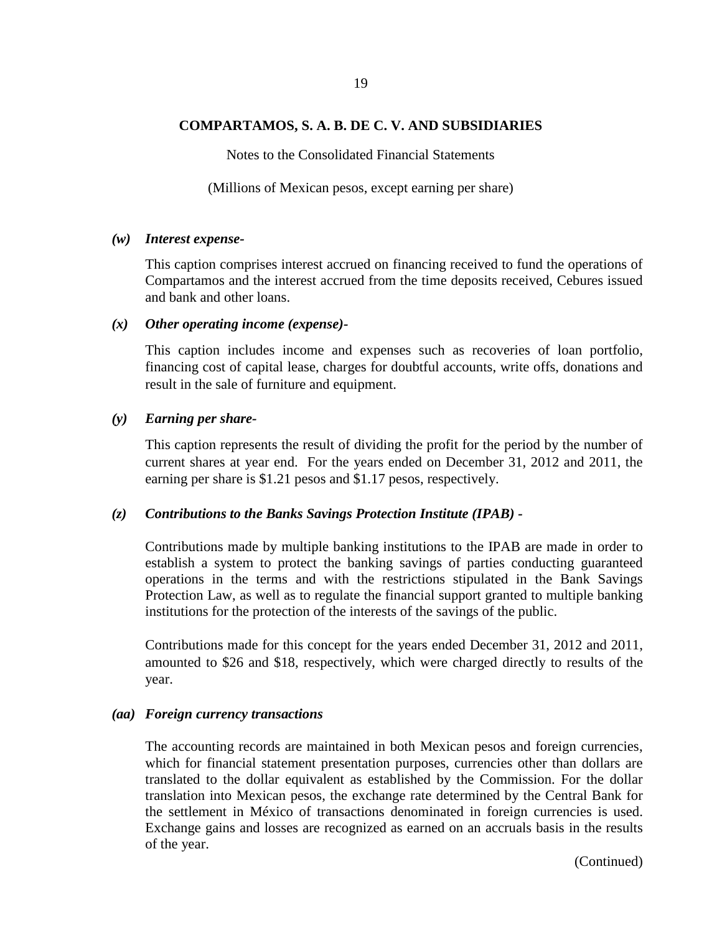#### 19

#### **COMPARTAMOS, S. A. B. DE C. V. AND SUBSIDIARIES**

Notes to the Consolidated Financial Statements

(Millions of Mexican pesos, except earning per share)

#### *(w) Interest expense-*

This caption comprises interest accrued on financing received to fund the operations of Compartamos and the interest accrued from the time deposits received, Cebures issued and bank and other loans.

#### *(x) Other operating income (expense)-*

This caption includes income and expenses such as recoveries of loan portfolio, financing cost of capital lease, charges for doubtful accounts, write offs, donations and result in the sale of furniture and equipment.

#### *(y) Earning per share-*

This caption represents the result of dividing the profit for the period by the number of current shares at year end. For the years ended on December 31, 2012 and 2011, the earning per share is \$1.21 pesos and \$1.17 pesos, respectively.

# *(z) Contributions to the Banks Savings Protection Institute (IPAB) -*

Contributions made by multiple banking institutions to the IPAB are made in order to establish a system to protect the banking savings of parties conducting guaranteed operations in the terms and with the restrictions stipulated in the Bank Savings Protection Law, as well as to regulate the financial support granted to multiple banking institutions for the protection of the interests of the savings of the public.

Contributions made for this concept for the years ended December 31, 2012 and 2011, amounted to \$26 and \$18, respectively, which were charged directly to results of the year.

#### *(aa) Foreign currency transactions*

The accounting records are maintained in both Mexican pesos and foreign currencies, which for financial statement presentation purposes, currencies other than dollars are translated to the dollar equivalent as established by the Commission. For the dollar translation into Mexican pesos, the exchange rate determined by the Central Bank for the settlement in México of transactions denominated in foreign currencies is used. Exchange gains and losses are recognized as earned on an accruals basis in the results of the year.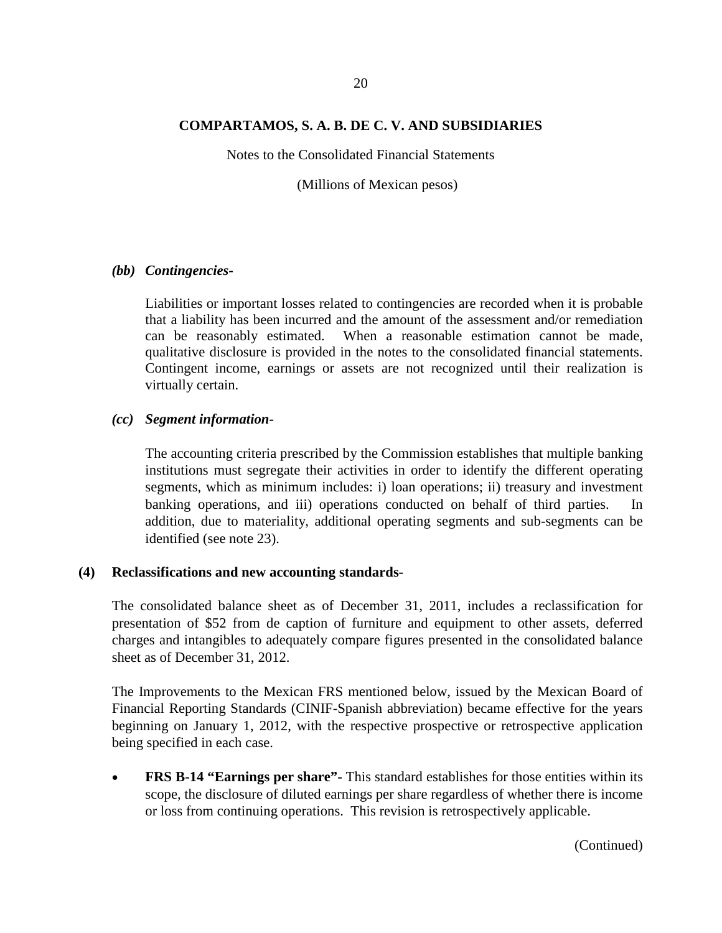Notes to the Consolidated Financial Statements

(Millions of Mexican pesos)

#### *(bb) Contingencies-*

Liabilities or important losses related to contingencies are recorded when it is probable that a liability has been incurred and the amount of the assessment and/or remediation can be reasonably estimated. When a reasonable estimation cannot be made, qualitative disclosure is provided in the notes to the consolidated financial statements. Contingent income, earnings or assets are not recognized until their realization is virtually certain.

#### *(cc) Segment information-*

The accounting criteria prescribed by the Commission establishes that multiple banking institutions must segregate their activities in order to identify the different operating segments, which as minimum includes: i) loan operations; ii) treasury and investment banking operations, and iii) operations conducted on behalf of third parties. In addition, due to materiality, additional operating segments and sub-segments can be identified (see note 23).

#### **(4) Reclassifications and new accounting standards-**

The consolidated balance sheet as of December 31, 2011, includes a reclassification for presentation of \$52 from de caption of furniture and equipment to other assets, deferred charges and intangibles to adequately compare figures presented in the consolidated balance sheet as of December 31, 2012.

The Improvements to the Mexican FRS mentioned below, issued by the Mexican Board of Financial Reporting Standards (CINIF-Spanish abbreviation) became effective for the years beginning on January 1, 2012, with the respective prospective or retrospective application being specified in each case.

• **FRS B-14 "Earnings per share"-** This standard establishes for those entities within its scope, the disclosure of diluted earnings per share regardless of whether there is income or loss from continuing operations. This revision is retrospectively applicable.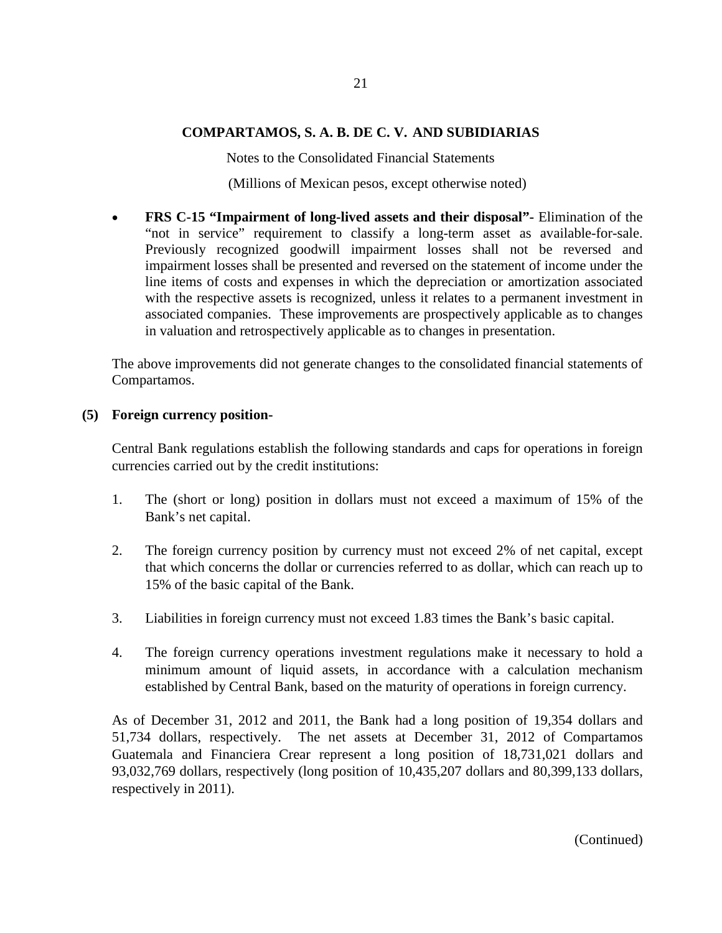Notes to the Consolidated Financial Statements

(Millions of Mexican pesos, except otherwise noted)

• **FRS C-15 "Impairment of long-lived assets and their disposal"-** Elimination of the "not in service" requirement to classify a long-term asset as available-for-sale. Previously recognized goodwill impairment losses shall not be reversed and impairment losses shall be presented and reversed on the statement of income under the line items of costs and expenses in which the depreciation or amortization associated with the respective assets is recognized, unless it relates to a permanent investment in associated companies. These improvements are prospectively applicable as to changes in valuation and retrospectively applicable as to changes in presentation.

The above improvements did not generate changes to the consolidated financial statements of Compartamos.

### **(5) Foreign currency position-**

Central Bank regulations establish the following standards and caps for operations in foreign currencies carried out by the credit institutions:

- 1. The (short or long) position in dollars must not exceed a maximum of 15% of the Bank's net capital.
- 2. The foreign currency position by currency must not exceed 2% of net capital, except that which concerns the dollar or currencies referred to as dollar, which can reach up to 15% of the basic capital of the Bank.
- 3. Liabilities in foreign currency must not exceed 1.83 times the Bank's basic capital.
- 4. The foreign currency operations investment regulations make it necessary to hold a minimum amount of liquid assets, in accordance with a calculation mechanism established by Central Bank, based on the maturity of operations in foreign currency.

As of December 31, 2012 and 2011, the Bank had a long position of 19,354 dollars and 51,734 dollars, respectively. The net assets at December 31, 2012 of Compartamos Guatemala and Financiera Crear represent a long position of 18,731,021 dollars and 93,032,769 dollars, respectively (long position of 10,435,207 dollars and 80,399,133 dollars, respectively in 2011).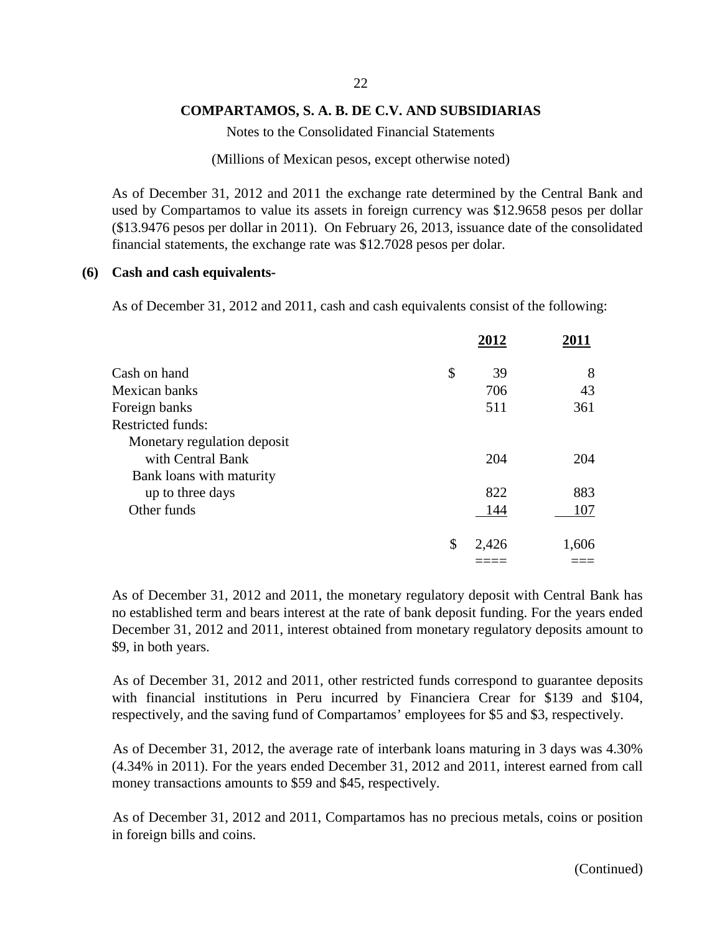Notes to the Consolidated Financial Statements

(Millions of Mexican pesos, except otherwise noted)

As of December 31, 2012 and 2011 the exchange rate determined by the Central Bank and used by Compartamos to value its assets in foreign currency was \$12.9658 pesos per dollar (\$13.9476 pesos per dollar in 2011). On February 26, 2013, issuance date of the consolidated financial statements, the exchange rate was \$12.7028 pesos per dolar.

#### **(6) Cash and cash equivalents-**

As of December 31, 2012 and 2011, cash and cash equivalents consist of the following:

|                             | 2012        | 2011  |
|-----------------------------|-------------|-------|
| Cash on hand                | \$<br>39    | 8     |
| Mexican banks               | 706         | 43    |
| Foreign banks               | 511         | 361   |
| <b>Restricted funds:</b>    |             |       |
| Monetary regulation deposit |             |       |
| with Central Bank           | 204         | 204   |
| Bank loans with maturity    |             |       |
| up to three days            | 822         | 883   |
| Other funds                 | 144         | 107   |
|                             | \$<br>2,426 | 1,606 |
|                             |             |       |

As of December 31, 2012 and 2011, the monetary regulatory deposit with Central Bank has no established term and bears interest at the rate of bank deposit funding. For the years ended December 31, 2012 and 2011, interest obtained from monetary regulatory deposits amount to \$9, in both years.

As of December 31, 2012 and 2011, other restricted funds correspond to guarantee deposits with financial institutions in Peru incurred by Financiera Crear for \$139 and \$104, respectively, and the saving fund of Compartamos' employees for \$5 and \$3, respectively.

As of December 31, 2012, the average rate of interbank loans maturing in 3 days was 4.30% (4.34% in 2011). For the years ended December 31, 2012 and 2011, interest earned from call money transactions amounts to \$59 and \$45, respectively.

As of December 31, 2012 and 2011, Compartamos has no precious metals, coins or position in foreign bills and coins.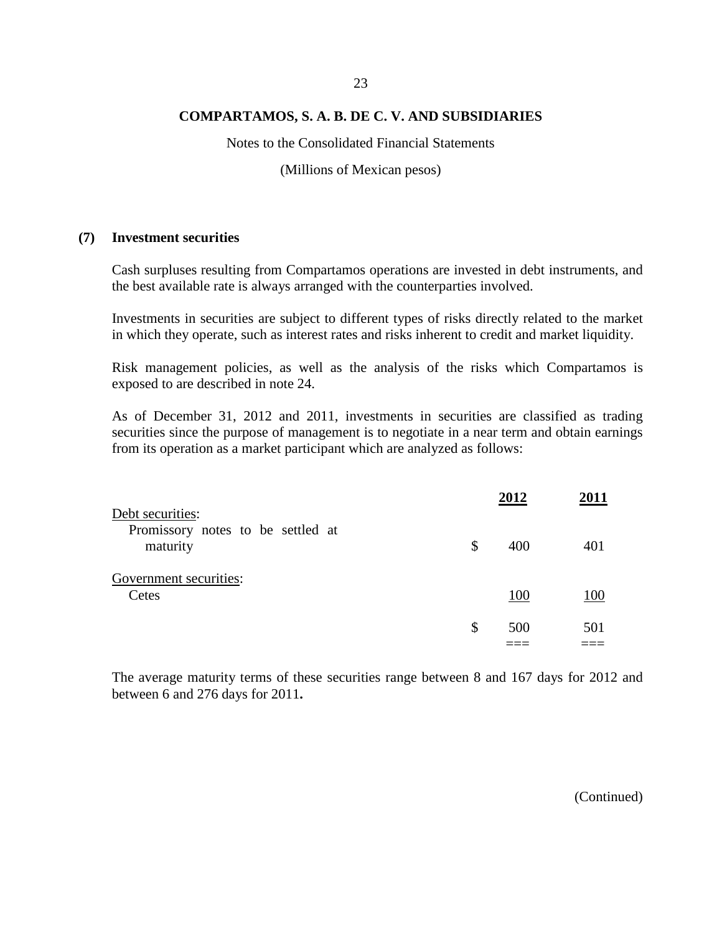Notes to the Consolidated Financial Statements

(Millions of Mexican pesos)

#### **(7) Investment securities**

Cash surpluses resulting from Compartamos operations are invested in debt instruments, and the best available rate is always arranged with the counterparties involved.

Investments in securities are subject to different types of risks directly related to the market in which they operate, such as interest rates and risks inherent to credit and market liquidity.

Risk management policies, as well as the analysis of the risks which Compartamos is exposed to are described in note 24.

As of December 31, 2012 and 2011, investments in securities are classified as trading securities since the purpose of management is to negotiate in a near term and obtain earnings from its operation as a market participant which are analyzed as follows:

|                                                                   |              | 2012 | 2011 |
|-------------------------------------------------------------------|--------------|------|------|
| Debt securities:<br>Promissory notes to be settled at<br>maturity | $\mathbb{S}$ | 400  | 401  |
| Government securities:<br>Cetes                                   |              | 100  | 100  |
|                                                                   | \$           | 500  | 501  |

The average maturity terms of these securities range between 8 and 167 days for 2012 and between 6 and 276 days for 2011**.**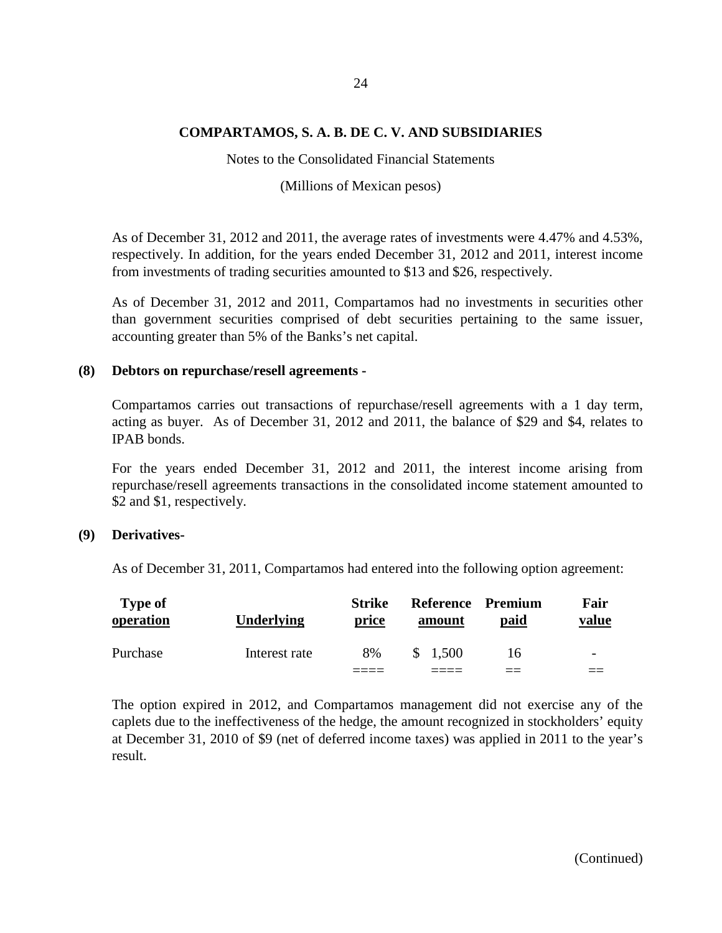Notes to the Consolidated Financial Statements

(Millions of Mexican pesos)

As of December 31, 2012 and 2011, the average rates of investments were 4.47% and 4.53%, respectively. In addition, for the years ended December 31, 2012 and 2011, interest income from investments of trading securities amounted to \$13 and \$26, respectively.

As of December 31, 2012 and 2011, Compartamos had no investments in securities other than government securities comprised of debt securities pertaining to the same issuer, accounting greater than 5% of the Banks's net capital.

#### **(8) Debtors on repurchase/resell agreements -**

Compartamos carries out transactions of repurchase/resell agreements with a 1 day term, acting as buyer. As of December 31, 2012 and 2011, the balance of \$29 and \$4, relates to IPAB bonds.

For the years ended December 31, 2012 and 2011, the interest income arising from repurchase/resell agreements transactions in the consolidated income statement amounted to \$2 and \$1, respectively.

### **(9) Derivatives-**

As of December 31, 2011, Compartamos had entered into the following option agreement:

| <b>Type of</b><br>operation | <b>Underlying</b> | <b>Strike</b><br>price | Reference Premium<br>amount | paid | Fair<br>value            |
|-----------------------------|-------------------|------------------------|-----------------------------|------|--------------------------|
| Purchase                    | Interest rate     | 8%                     | \$ 1.500                    | 16   | $\overline{\phantom{a}}$ |
|                             |                   |                        |                             |      |                          |

The option expired in 2012, and Compartamos management did not exercise any of the caplets due to the ineffectiveness of the hedge, the amount recognized in stockholders' equity at December 31, 2010 of \$9 (net of deferred income taxes) was applied in 2011 to the year's result.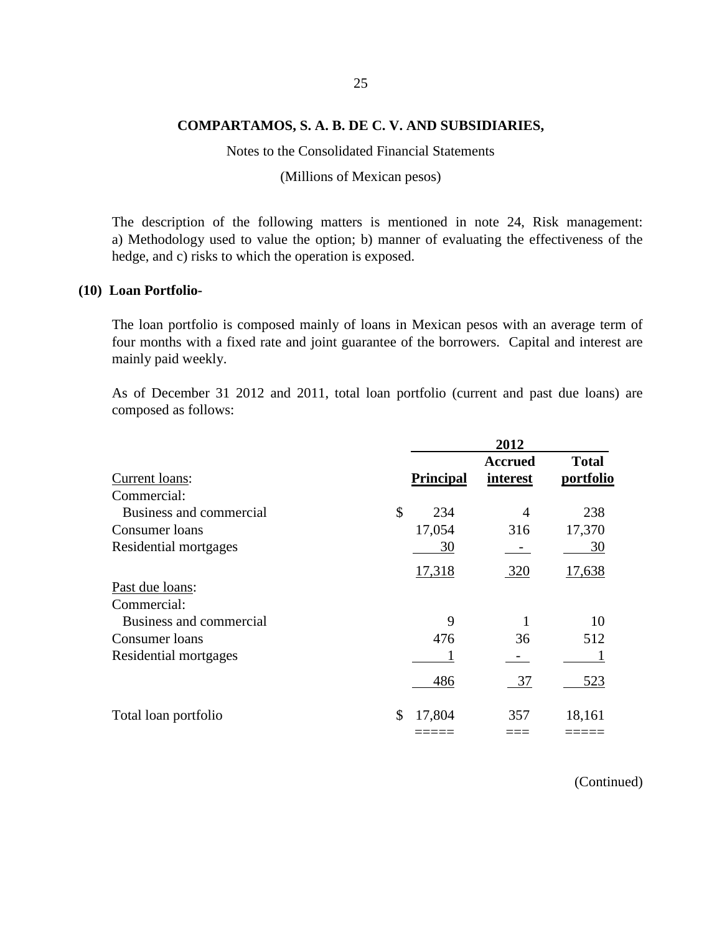Notes to the Consolidated Financial Statements

(Millions of Mexican pesos)

The description of the following matters is mentioned in note 24, Risk management: a) Methodology used to value the option; b) manner of evaluating the effectiveness of the hedge, and c) risks to which the operation is exposed.

#### **(10) Loan Portfolio-**

The loan portfolio is composed mainly of loans in Mexican pesos with an average term of four months with a fixed rate and joint guarantee of the borrowers. Capital and interest are mainly paid weekly.

As of December 31 2012 and 2011, total loan portfolio (current and past due loans) are composed as follows:

|                         |                  | 2012                       |                           |
|-------------------------|------------------|----------------------------|---------------------------|
| Current loans:          | <b>Principal</b> | <b>Accrued</b><br>interest | <b>Total</b><br>portfolio |
| Commercial:             |                  |                            |                           |
| Business and commercial | \$<br>234        | 4                          | 238                       |
| Consumer loans          | 17,054           | 316                        | 17,370                    |
| Residential mortgages   | 30               |                            | 30                        |
|                         | 17,318           | 320                        | 17,638                    |
| Past due loans:         |                  |                            |                           |
| Commercial:             |                  |                            |                           |
| Business and commercial | 9                |                            | 10                        |
| Consumer loans          | 476              | 36                         | 512                       |
| Residential mortgages   |                  |                            |                           |
|                         | 486              | 37                         | 523                       |
| Total loan portfolio    | \$<br>17,804     | 357                        | 18,161                    |
|                         |                  |                            |                           |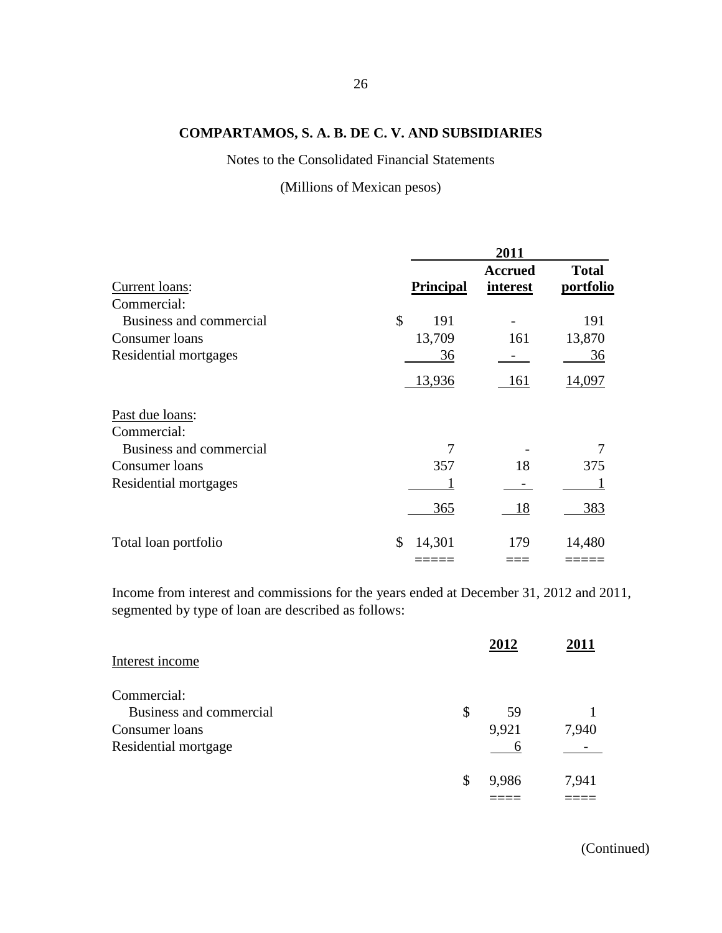Notes to the Consolidated Financial Statements

(Millions of Mexican pesos)

|                                |                  | 2011                       |                           |
|--------------------------------|------------------|----------------------------|---------------------------|
| Current loans:                 | <b>Principal</b> | <b>Accrued</b><br>interest | <b>Total</b><br>portfolio |
| Commercial:                    |                  |                            |                           |
| Business and commercial        | \$<br>191        |                            | 191                       |
| Consumer loans                 | 13,709           | 161                        | 13,870                    |
| Residential mortgages          | 36               |                            | 36                        |
|                                | 13,936           | 161                        | 14,097                    |
| Past due loans:<br>Commercial: |                  |                            |                           |
| Business and commercial        | 7                |                            | 7                         |
| Consumer loans                 | 357              | 18                         | 375                       |
| Residential mortgages          |                  |                            |                           |
|                                | 365              | 18                         | 383                       |
| Total loan portfolio           | \$<br>14,301     | 179                        | 14,480                    |
|                                |                  |                            |                           |

Income from interest and commissions for the years ended at December 31, 2012 and 2011, segmented by type of loan are described as follows:

|                         | 2012        | 2011  |
|-------------------------|-------------|-------|
| Interest income         |             |       |
| Commercial:             |             |       |
| Business and commercial | \$<br>59    |       |
| Consumer loans          | 9,921       | 7,940 |
| Residential mortgage    |             |       |
|                         | \$<br>9,986 | 7,941 |
|                         |             |       |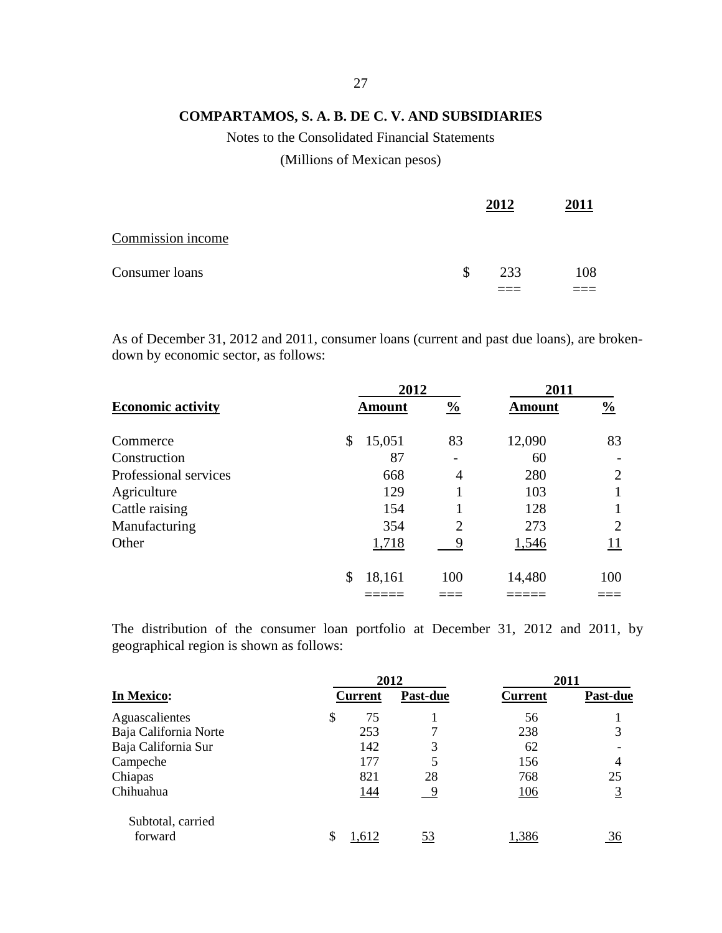# Notes to the Consolidated Financial Statements

# (Millions of Mexican pesos)

|                   | 2012      | 2011 |
|-------------------|-----------|------|
| Commission income |           |      |
| Consumer loans    | \$<br>233 | 108  |
|                   |           |      |

As of December 31, 2012 and 2011, consumer loans (current and past due loans), are brokendown by economic sector, as follows:

|                          | 2012          |                | 2011          |                |  |
|--------------------------|---------------|----------------|---------------|----------------|--|
| <b>Economic activity</b> | <b>Amount</b> | $\frac{0}{0}$  | <b>Amount</b> | $\frac{0}{0}$  |  |
| Commerce                 | \$<br>15,051  | 83             | 12,090        | 83             |  |
| Construction             | 87            |                | 60            |                |  |
| Professional services    | 668           | 4              | 280           | $\overline{2}$ |  |
| Agriculture              | 129           |                | 103           |                |  |
| Cattle raising           | 154           |                | 128           |                |  |
| Manufacturing            | 354           | $\overline{2}$ | 273           | 2              |  |
| Other                    | 1,718         | 9              | 1,546         | 11             |  |
|                          | \$<br>18,161  | 100            | 14,480        | 100            |  |
|                          |               |                |               |                |  |

The distribution of the consumer loan portfolio at December 31, 2012 and 2011, by geographical region is shown as follows:

|                       | 2012 |                |                 | 2011           |                 |  |
|-----------------------|------|----------------|-----------------|----------------|-----------------|--|
| In Mexico:            |      | <b>Current</b> | <b>Past-due</b> | <b>Current</b> | <b>Past-due</b> |  |
| Aguascalientes        | \$   | 75             |                 | 56             |                 |  |
| Baja California Norte |      | 253            | 7               | 238            | 3               |  |
| Baja California Sur   |      | 142            | 3               | 62             |                 |  |
| Campeche              |      | 177            | 5               | 156            | 4               |  |
| Chiapas               |      | 821            | 28              | 768            | 25              |  |
| Chihuahua             |      | 144            | -9              | <u>106</u>     | $\overline{3}$  |  |
| Subtotal, carried     |      |                |                 |                |                 |  |
| forward               |      | 1,612          | 53              | 1,386          | 36              |  |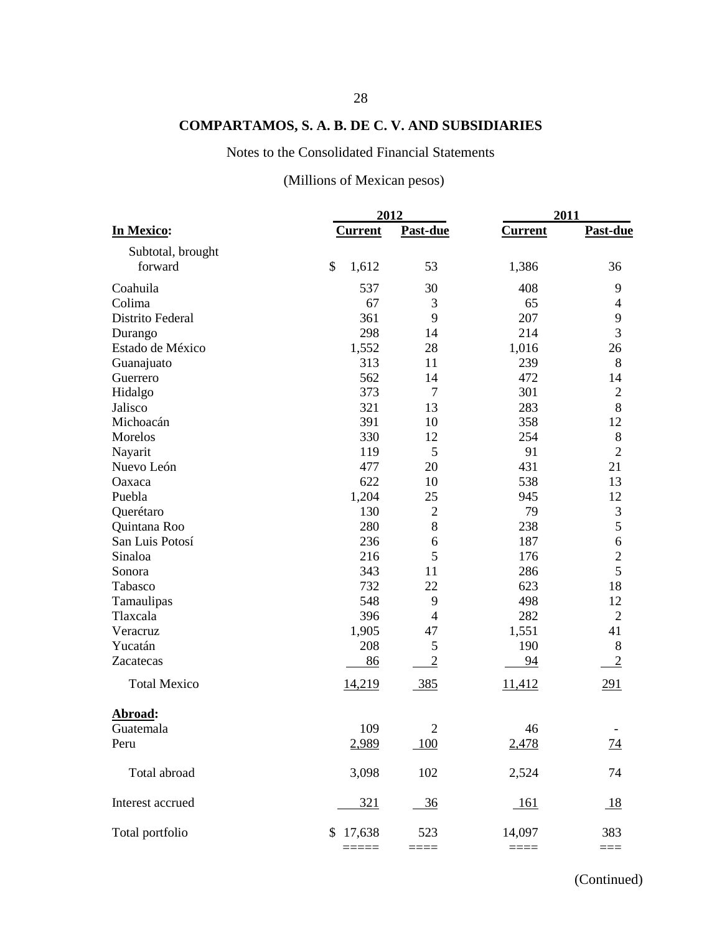# Notes to the Consolidated Financial Statements

# (Millions of Mexican pesos)

|                     |                | 2012           | 2011           |                  |
|---------------------|----------------|----------------|----------------|------------------|
| In Mexico:          | <b>Current</b> | Past-due       | <b>Current</b> | Past-due         |
| Subtotal, brought   |                |                |                |                  |
| forward             | \$<br>1,612    | 53             | 1,386          | 36               |
| Coahuila            | 537            | 30             | 408            | 9                |
| Colima              | 67             | 3              | 65             | 4                |
| Distrito Federal    | 361            | 9              | 207            | 9                |
| Durango             | 298            | 14             | 214            | 3                |
| Estado de México    | 1,552          | 28             | 1,016          | 26               |
| Guanajuato          | 313            | 11             | 239            | 8                |
| Guerrero            | 562            | 14             | 472            | 14               |
| Hidalgo             | 373            | $\tau$         | 301            | $\mathbf{2}$     |
| Jalisco             | 321            | 13             | 283            | 8                |
| Michoacán           | 391            | 10             | 358            | 12               |
| Morelos             | 330            | 12             | 254            | $8\,$            |
| Nayarit             | 119            | 5              | 91             | $\overline{2}$   |
| Nuevo León          | 477            | 20             | 431            | 21               |
| Oaxaca              | 622            | 10             | 538            | 13               |
| Puebla              | 1,204          | 25             | 945            | 12               |
| Querétaro           | 130            | $\mathbf{2}$   | 79             | $\mathfrak{Z}$   |
| Quintana Roo        | 280            | 8              | 238            | 5                |
| San Luis Potosí     | 236            | 6              | 187            | $\boldsymbol{6}$ |
| Sinaloa             | 216            | 5              | 176            | $\overline{2}$   |
| Sonora              | 343            | 11             | 286            | 5                |
| Tabasco             | 732            | 22             | 623            | 18               |
| Tamaulipas          | 548            | 9              | 498            | 12               |
| Tlaxcala            | 396            | $\overline{4}$ | 282            | $\overline{2}$   |
| Veracruz            | 1,905          | 47             | 1,551          | 41               |
| Yucatán             | 208            | 5              | 190            | $8\,$            |
| Zacatecas           | 86             | $\overline{2}$ | 94             | $\overline{2}$   |
| <b>Total Mexico</b> | <u>14,219</u>  | 385            | 11,412         | 291              |
| Abroad:             |                |                |                |                  |
| Guatemala           | 109            | $\overline{2}$ | 46             |                  |
| Peru                | 2,989          | 100            | 2,478          | <u>74</u>        |
|                     |                |                |                |                  |
| Total abroad        | 3,098          | 102            | 2,524          | 74               |
| Interest accrued    | 321            | <u>36</u>      | <u> 161</u>    | 18               |
| Total portfolio     | 17,638<br>\$   | 523            | 14,097         | 383              |
|                     |                | ⋍⋍⋍⋍           |                | $==$             |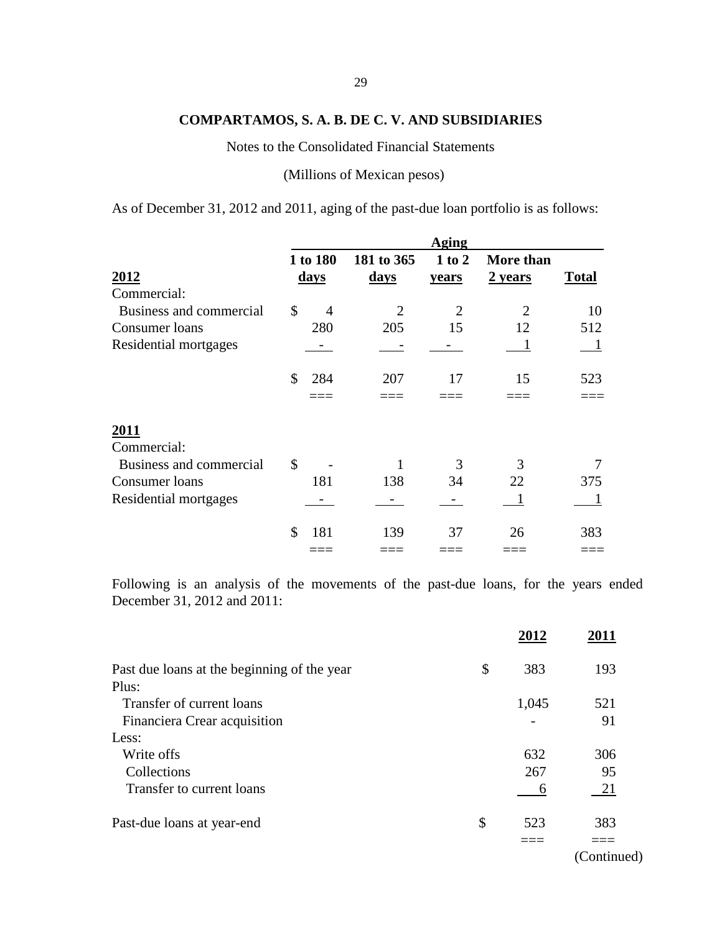Notes to the Consolidated Financial Statements

(Millions of Mexican pesos)

As of December 31, 2012 and 2011, aging of the past-due loan portfolio is as follows:

|                         |                         | Aging |                |                 |                      |              |
|-------------------------|-------------------------|-------|----------------|-----------------|----------------------|--------------|
|                         | 1 to 180<br><u>days</u> |       | 181 to 365     | 1 to 2<br>years | More than<br>2 years | <b>Total</b> |
| 2012                    |                         |       | <u>days</u>    |                 |                      |              |
| Commercial:             |                         |       |                |                 |                      |              |
| Business and commercial | \$                      | 4     | $\overline{2}$ | $\overline{2}$  | $\overline{2}$       | 10           |
| Consumer loans          |                         | 280   | 205            | 15              | 12                   | 512          |
| Residential mortgages   |                         |       |                |                 |                      | <u>1</u>     |
|                         | \$                      | 284   | 207            | 17              | 15                   | 523          |
|                         |                         |       |                |                 |                      |              |
| 2011                    |                         |       |                |                 |                      |              |
| Commercial:             |                         |       |                |                 |                      |              |
| Business and commercial | \$                      |       |                | 3               | 3                    |              |
| Consumer loans          |                         | 181   | 138            | 34              | 22                   | 375          |
| Residential mortgages   |                         |       |                |                 | 1                    |              |
|                         | \$                      | 181   | 139            | 37              | 26                   | 383          |
|                         |                         |       |                |                 |                      |              |

Following is an analysis of the movements of the past-due loans, for the years ended December 31, 2012 and 2011:

|                                             | 2012      | 2011        |
|---------------------------------------------|-----------|-------------|
| Past due loans at the beginning of the year | \$<br>383 | 193         |
| Plus:                                       |           |             |
| Transfer of current loans                   | 1,045     | 521         |
| Financiera Crear acquisition                |           | 91          |
| Less:                                       |           |             |
| Write offs                                  | 632       | 306         |
| Collections                                 | 267       | 95          |
| Transfer to current loans                   | 6         | 21          |
| Past-due loans at year-end                  | \$<br>523 | 383         |
|                                             |           |             |
|                                             |           | (Continued) |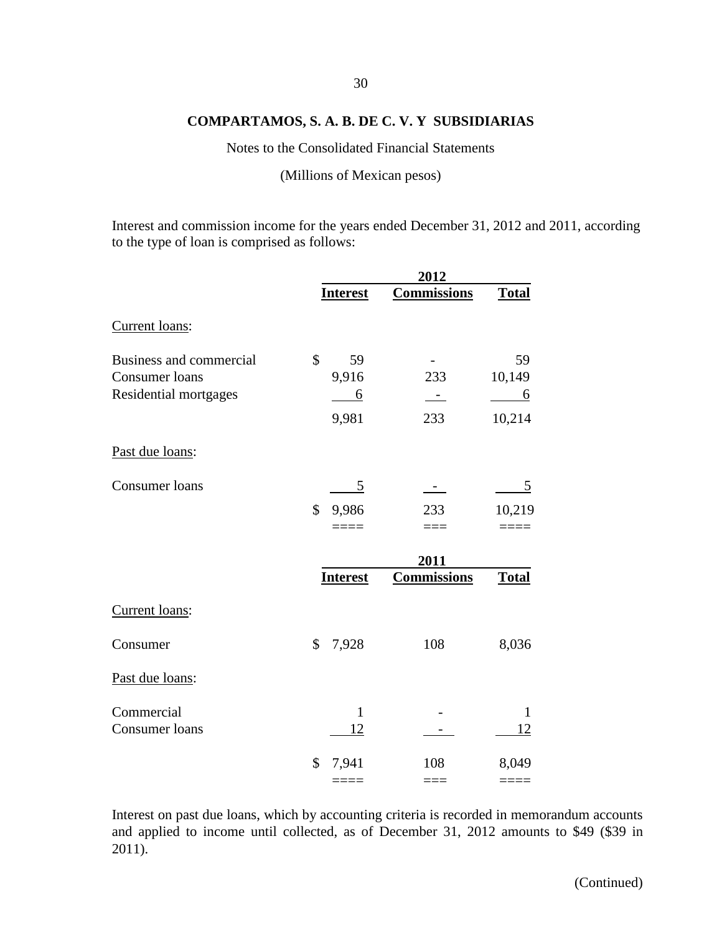Notes to the Consolidated Financial Statements

(Millions of Mexican pesos)

Interest and commission income for the years ended December 31, 2012 and 2011, according to the type of loan is comprised as follows:

|                                |                 | 2012                     |              |
|--------------------------------|-----------------|--------------------------|--------------|
|                                | <b>Interest</b> | <b>Commissions</b>       | <b>Total</b> |
| Current loans:                 |                 |                          |              |
| <b>Business and commercial</b> | \$<br>59        |                          | 59           |
| Consumer loans                 | 9,916           | 233                      | 10,149       |
| Residential mortgages          | <u>6</u>        | $\overline{\phantom{a}}$ | <u>6</u>     |
|                                | 9,981           | 233                      | 10,214       |
| Past due loans:                |                 |                          |              |
| Consumer loans                 | 5               | $\sim$                   | 5            |
|                                | \$<br>9,986     | 233                      | 10,219       |
|                                |                 | $====$                   |              |
|                                |                 | 2011                     |              |
|                                | <b>Interest</b> | <b>Commissions</b>       | <b>Total</b> |
| Current loans:                 |                 |                          |              |
| Consumer                       | \$<br>7,928     | 108                      | 8,036        |
| Past due loans:                |                 |                          |              |
| Commercial                     | $\mathbf{1}$    |                          | $\mathbf{1}$ |
| Consumer loans                 | 12              | $\sim$ 100 $\mu$         | 12           |
|                                | \$<br>7,941     | 108                      | 8,049        |
|                                | $===$           | $===$                    |              |

Interest on past due loans, which by accounting criteria is recorded in memorandum accounts and applied to income until collected, as of December 31, 2012 amounts to \$49 (\$39 in 2011).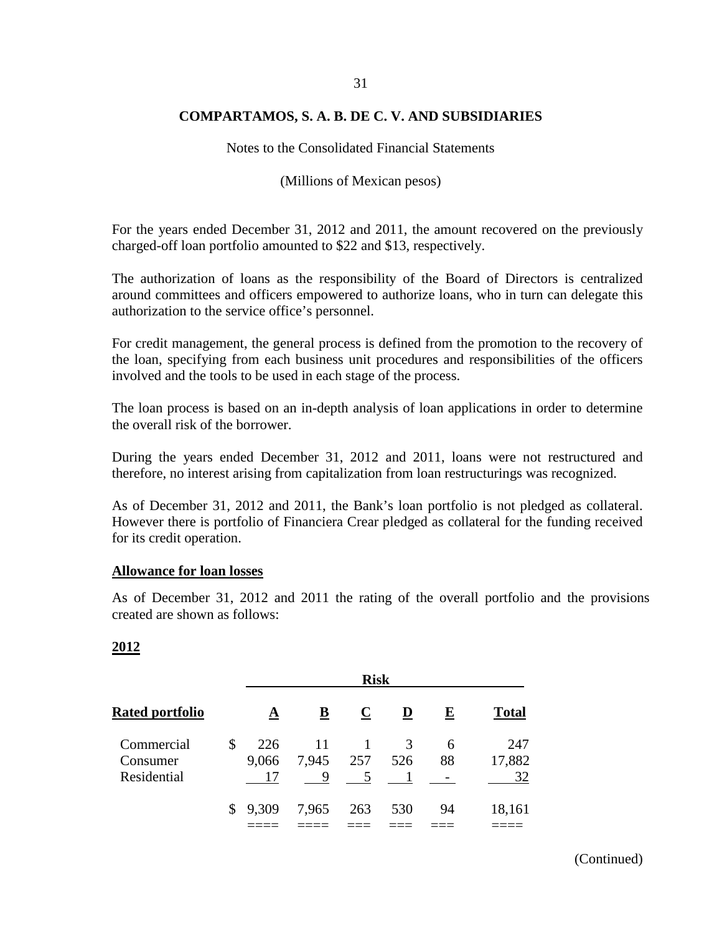Notes to the Consolidated Financial Statements

(Millions of Mexican pesos)

For the years ended December 31, 2012 and 2011, the amount recovered on the previously charged-off loan portfolio amounted to \$22 and \$13, respectively.

The authorization of loans as the responsibility of the Board of Directors is centralized around committees and officers empowered to authorize loans, who in turn can delegate this authorization to the service office's personnel.

For credit management, the general process is defined from the promotion to the recovery of the loan, specifying from each business unit procedures and responsibilities of the officers involved and the tools to be used in each stage of the process.

The loan process is based on an in-depth analysis of loan applications in order to determine the overall risk of the borrower.

During the years ended December 31, 2012 and 2011, loans were not restructured and therefore, no interest arising from capitalization from loan restructurings was recognized.

As of December 31, 2012 and 2011, the Bank's loan portfolio is not pledged as collateral. However there is portfolio of Financiera Crear pledged as collateral for the funding received for its credit operation.

### **Allowance for loan losses**

As of December 31, 2012 and 2011 the rating of the overall portfolio and the provisions created are shown as follows:

### **2012**

| <b>Rated portfolio</b> |              | <b>Risk</b> |                          |             |     |           |              |  |
|------------------------|--------------|-------------|--------------------------|-------------|-----|-----------|--------------|--|
|                        |              | A           | $\underline{\mathbf{B}}$ | $\mathbf C$ | D   | ${\bf E}$ | <b>Total</b> |  |
| Commercial             | \$           | 226         | 11                       |             | 3   | 6         | 247          |  |
| Consumer               |              | 9,066       | 7,945                    | 257         | 526 | 88        | 17,882       |  |
| Residential            |              |             | 9                        | 5           |     |           | 32           |  |
|                        | $\mathbb{S}$ | 9,309       | 7,965                    | 263         | 530 | 94        | 18,161       |  |
|                        |              |             |                          |             |     |           |              |  |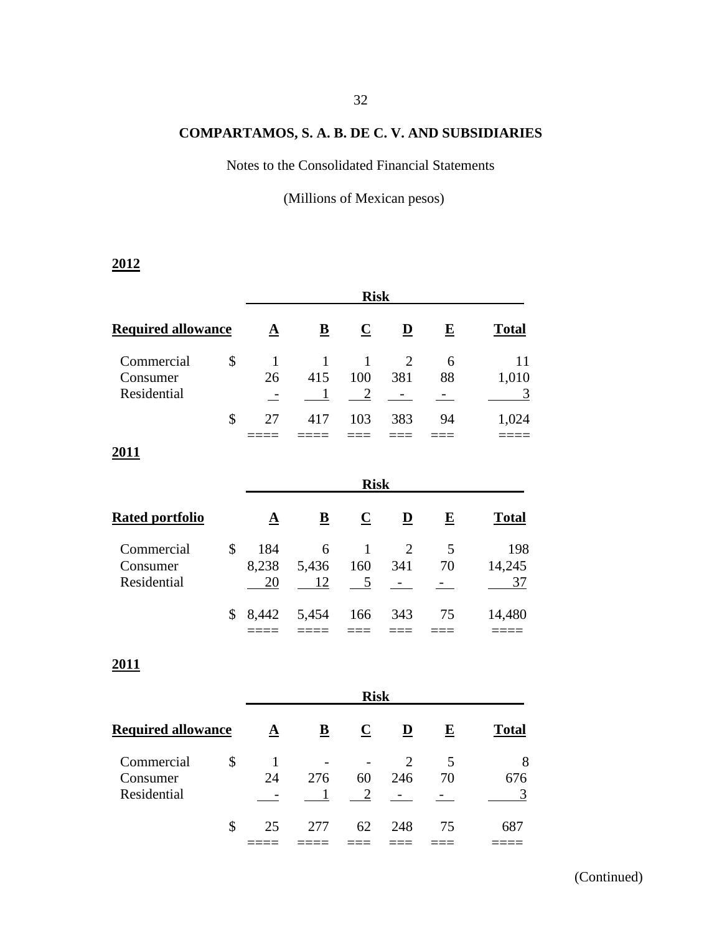Notes to the Consolidated Financial Statements

(Millions of Mexican pesos)

# **2012**

|                                       |                      |                          | <b>Risk</b>              |                            |                         |              |                               |  |  |
|---------------------------------------|----------------------|--------------------------|--------------------------|----------------------------|-------------------------|--------------|-------------------------------|--|--|
| <b>Required allowance</b>             | ${\bf \underline A}$ | $\underline{\mathbf{B}}$ | $\overline{\mathbf{C}}$  | $\overline{\mathbf{D}}$    | $\mathbf E$             | <b>Total</b> |                               |  |  |
| Commercial<br>Consumer<br>Residential | \$                   | 1<br>26                  | 1<br>415                 | 1<br>100<br>$\overline{2}$ | $\overline{2}$<br>381   | 6<br>88      | 11<br>1,010<br>$\overline{3}$ |  |  |
|                                       | \$                   | 27                       | 417                      | 103                        | 383                     | 94           | 1,024                         |  |  |
| <u>2011</u>                           |                      |                          |                          | <b>Risk</b>                |                         |              |                               |  |  |
| <b>Rated portfolio</b>                |                      | $\underline{\mathbf{A}}$ | $\underline{\mathbf{B}}$ | $\overline{\mathbf{C}}$    | $\overline{\mathbf{D}}$ | $\mathbf E$  | <b>Total</b>                  |  |  |
| Commercial<br>Consumer<br>Residential | \$                   | 184<br>8,238<br>20       | 6<br>5,436<br>12         | $\mathbf{1}$<br>160<br>5   | $\overline{2}$<br>341   | 5<br>70      | 198<br>14,245<br>37           |  |  |
|                                       | \$                   | 8,442                    | 5,454                    | 166                        | 343                     | 75           | 14,480                        |  |  |

**2011**

|                           | <b>Risk</b> |      |             |     |    |              |  |
|---------------------------|-------------|------|-------------|-----|----|--------------|--|
| <b>Required allowance</b> | A           | B    | $\mathbf C$ | D   | E  | <b>Total</b> |  |
| Commercial                | \$          |      |             |     | 5  | 8            |  |
| Consumer                  | 24          | 276  | 60          | 246 | 70 | 676          |  |
| Residential               |             |      |             |     |    |              |  |
|                           | \$<br>25    | 2.77 | 62          | 248 | 75 | 687          |  |
|                           |             |      |             |     |    |              |  |

==== ==== === === === ====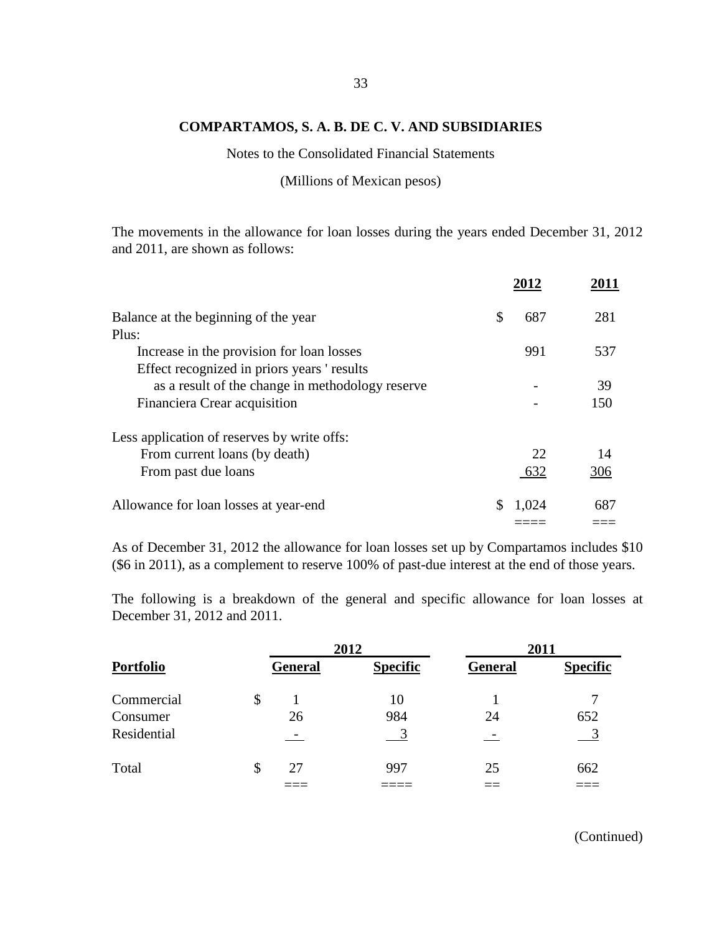Notes to the Consolidated Financial Statements

(Millions of Mexican pesos)

The movements in the allowance for loan losses during the years ended December 31, 2012 and 2011, are shown as follows:

| Balance at the beginning of the year             | S | 687   | 281 |
|--------------------------------------------------|---|-------|-----|
| Plus:                                            |   |       |     |
| Increase in the provision for loan losses        |   | 991   | 537 |
| Effect recognized in priors years 'results       |   |       |     |
| as a result of the change in methodology reserve |   |       | 39  |
| Financiera Crear acquisition                     |   |       | 150 |
| Less application of reserves by write offs:      |   |       |     |
| From current loans (by death)                    |   | 22    | 14  |
| From past due loans                              |   | 632   | 306 |
| Allowance for loan losses at year-end            |   | 1,024 | 687 |
|                                                  |   |       |     |

As of December 31, 2012 the allowance for loan losses set up by Compartamos includes \$10 (\$6 in 2011), as a complement to reserve 100% of past-due interest at the end of those years.

The following is a breakdown of the general and specific allowance for loan losses at December 31, 2012 and 2011.

|             |    |                | 2012            |                | 2011            |
|-------------|----|----------------|-----------------|----------------|-----------------|
| Portfolio   |    | <b>General</b> | <b>Specific</b> | <b>General</b> | <b>Specific</b> |
| Commercial  | \$ |                | 10              |                |                 |
| Consumer    |    | 26             | 984             | 24             | 652             |
| Residential |    |                |                 |                |                 |
| Total       | S  | 27             | 997             | 25             | 662             |
|             |    |                |                 |                |                 |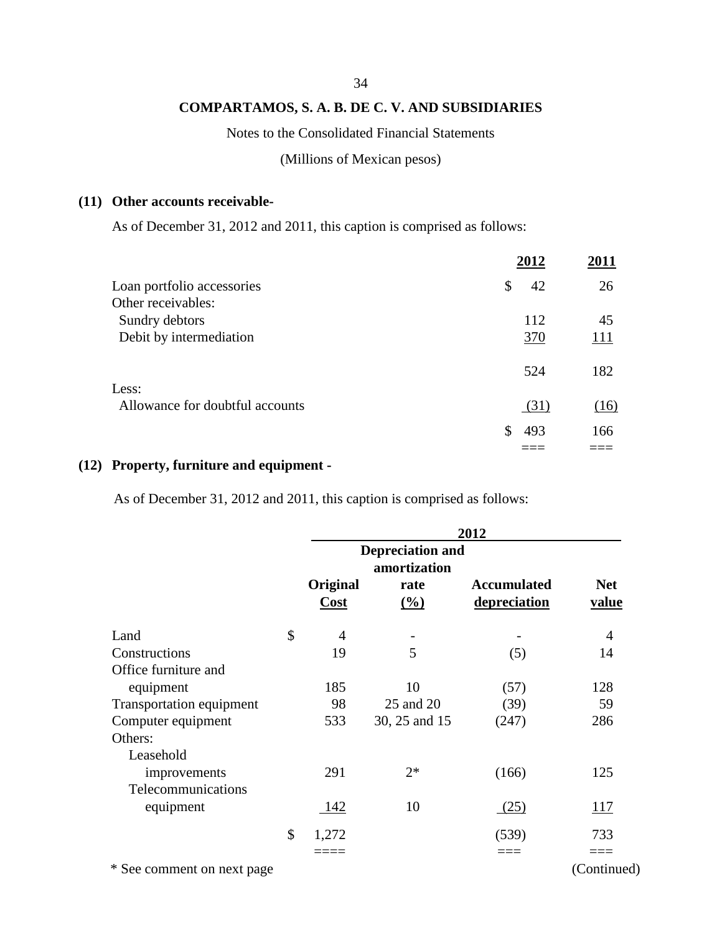#### 34

# **COMPARTAMOS, S. A. B. DE C. V. AND SUBSIDIARIES**

### Notes to the Consolidated Financial Statements

(Millions of Mexican pesos)

### **(11) Other accounts receivable-**

As of December 31, 2012 and 2011, this caption is comprised as follows:

|                                 | 2012      | 2011 |
|---------------------------------|-----------|------|
| Loan portfolio accessories      | \$<br>42  | 26   |
| Other receivables:              |           |      |
| Sundry debtors                  | 112       | 45   |
| Debit by intermediation         | 370       | 111  |
|                                 | 524       | 182  |
| Less:                           |           |      |
| Allowance for doubtful accounts | (31)      | (16) |
|                                 | \$<br>493 | 166  |
|                                 |           |      |

# **(12) Property, furniture and equipment -**

As of December 31, 2012 and 2011, this caption is comprised as follows:

|                            |             |                                                 | 2012               |              |
|----------------------------|-------------|-------------------------------------------------|--------------------|--------------|
|                            | Original    | <b>Depreciation and</b><br>amortization<br>rate | <b>Accumulated</b> | <b>Net</b>   |
|                            | Cost        | $\frac{(\%)}{(\%)}$                             | depreciation       | <u>value</u> |
| Land                       | \$<br>4     |                                                 |                    | 4            |
| Constructions              | 19          | 5                                               | (5)                | 14           |
| Office furniture and       |             |                                                 |                    |              |
| equipment                  | 185         | 10                                              | (57)               | 128          |
| Transportation equipment   | 98          | 25 and 20                                       | (39)               | 59           |
| Computer equipment         | 533         | 30, 25 and 15                                   | (247)              | 286          |
| Others:                    |             |                                                 |                    |              |
| Leasehold                  |             |                                                 |                    |              |
| improvements               | 291         | $2*$                                            | (166)              | 125          |
| Telecommunications         |             |                                                 |                    |              |
| equipment                  | 142         | 10                                              | (25)               | <u>117</u>   |
|                            | \$<br>1,272 |                                                 | (539)              | 733          |
|                            |             |                                                 | $=$ $=$ $=$        | ===          |
| * See comment on next page |             |                                                 |                    | (Continued)  |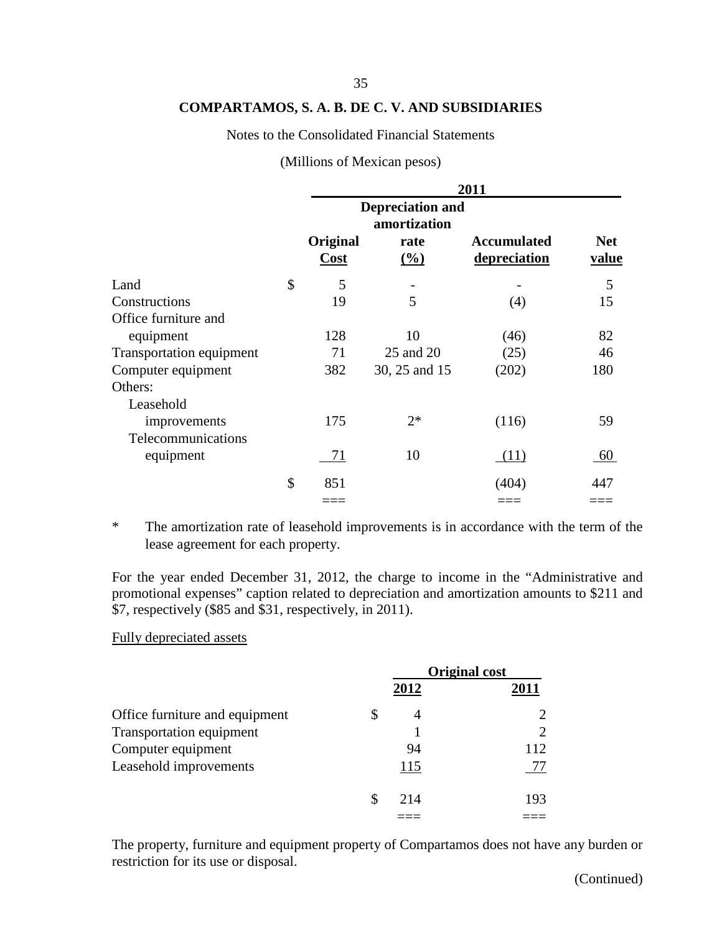#### Notes to the Consolidated Financial Statements

| Original  | amortization<br>rate | <b>Accumulated</b> | <b>Net</b><br>value                                      |
|-----------|----------------------|--------------------|----------------------------------------------------------|
|           |                      |                    | 5                                                        |
| 19        | 5                    | (4)                | 15                                                       |
|           |                      |                    |                                                          |
| 128       | 10                   | (46)               | 82                                                       |
| 71        | 25 and 20            | (25)               | 46                                                       |
| 382       | 30, 25 and 15        | (202)              | 180                                                      |
|           |                      |                    |                                                          |
|           |                      |                    |                                                          |
| 175       | $2*$                 |                    | 59                                                       |
|           |                      |                    |                                                          |
| 71        | 10                   | (11)               | 60                                                       |
| \$<br>851 |                      | (404)              | 447                                                      |
|           |                      |                    |                                                          |
| \$        | Cost<br>5            | (%)                | 2011<br><b>Depreciation and</b><br>depreciation<br>(116) |

#### (Millions of Mexican pesos)

\* The amortization rate of leasehold improvements is in accordance with the term of the lease agreement for each property.

For the year ended December 31, 2012, the charge to income in the "Administrative and promotional expenses" caption related to depreciation and amortization amounts to \$211 and \$7, respectively (\$85 and \$31, respectively, in 2011).

#### Fully depreciated assets

|                                |      | <b>Original cost</b>        |
|--------------------------------|------|-----------------------------|
|                                | 2012 | 2011                        |
| Office furniture and equipment | \$   | $\mathcal{D}_{\mathcal{L}}$ |
| Transportation equipment       |      | $\mathcal{D}_{\mathcal{L}}$ |
| Computer equipment             | 94   | 112                         |
| Leasehold improvements         | 115  |                             |
|                                | 214  | 193                         |
|                                |      |                             |

The property, furniture and equipment property of Compartamos does not have any burden or restriction for its use or disposal.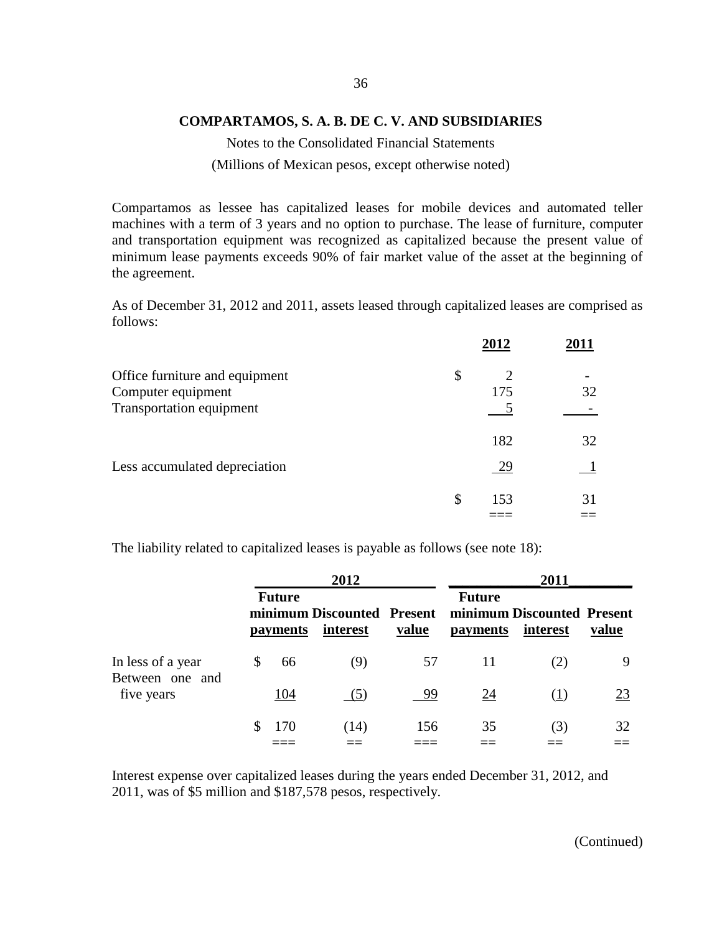Notes to the Consolidated Financial Statements (Millions of Mexican pesos, except otherwise noted)

Compartamos as lessee has capitalized leases for mobile devices and automated teller machines with a term of 3 years and no option to purchase. The lease of furniture, computer and transportation equipment was recognized as capitalized because the present value of minimum lease payments exceeds 90% of fair market value of the asset at the beginning of the agreement.

As of December 31, 2012 and 2011, assets leased through capitalized leases are comprised as follows:

|                                                      | 2012      | 2011 |
|------------------------------------------------------|-----------|------|
| Office furniture and equipment<br>Computer equipment | \$<br>175 | 32   |
| <b>Transportation equipment</b>                      | 182       | 32   |
| Less accumulated depreciation                        | 29        |      |
|                                                      | \$<br>153 | 31   |

The liability related to capitalized leases is payable as follows (see note 18):

|                                      |   |                                  | 2012                                   |       |                                  | 2011                                   |       |
|--------------------------------------|---|----------------------------------|----------------------------------------|-------|----------------------------------|----------------------------------------|-------|
|                                      |   | <b>Future</b><br><i>payments</i> | minimum Discounted Present<br>interest | value | <b>Future</b><br><b>payments</b> | minimum Discounted Present<br>interest | value |
| In less of a year<br>Between one and | S | 66                               | (9)                                    | 57    | 11                               | (2)                                    | 9     |
| five years                           |   | 104                              | (5)                                    | 99    | 24                               | (1)                                    | 23    |
|                                      |   | 170                              | (14)                                   | 156   | 35                               | (3)                                    | 32    |

Interest expense over capitalized leases during the years ended December 31, 2012, and 2011, was of \$5 million and \$187,578 pesos, respectively.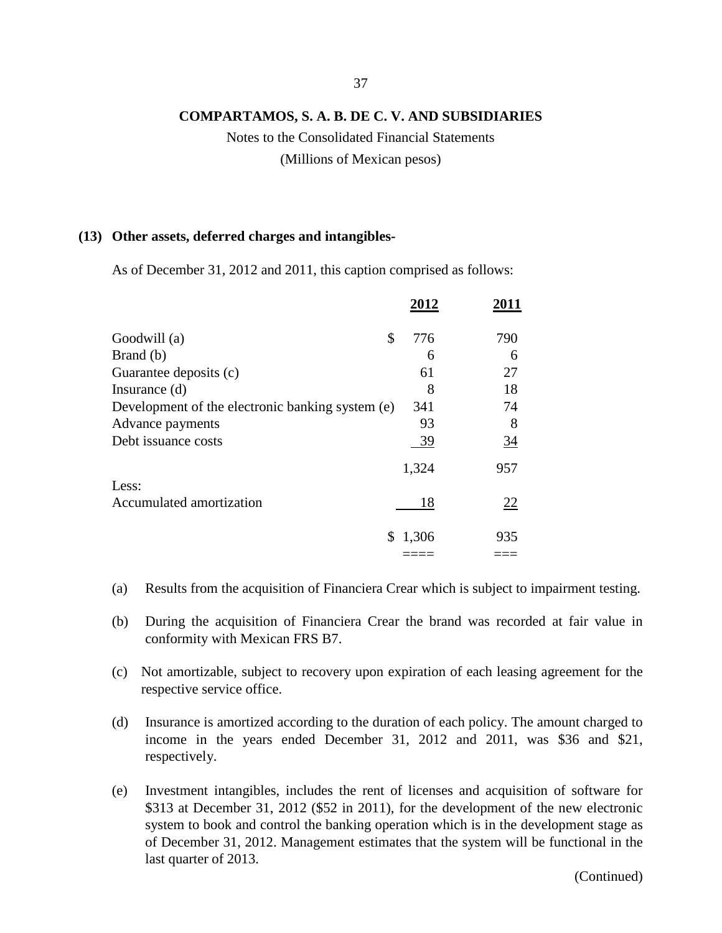Notes to the Consolidated Financial Statements (Millions of Mexican pesos)

#### **(13) Other assets, deferred charges and intangibles-**

As of December 31, 2012 and 2011, this caption comprised as follows:

|                                                  | 2012        | 2011           |
|--------------------------------------------------|-------------|----------------|
| Goodwill (a)                                     | \$<br>776   | 790            |
| Brand (b)                                        | 6           | 6              |
| Guarantee deposits (c)                           | 61          | 27             |
| Insurance $(d)$                                  | 8           | 18             |
| Development of the electronic banking system (e) | 341         | 74             |
| Advance payments                                 | 93          | 8              |
| Debt issuance costs                              | 39          | $\frac{34}{5}$ |
|                                                  | 1,324       | 957            |
| Less:                                            |             |                |
| Accumulated amortization                         | 18          | 22             |
|                                                  | \$<br>1,306 | 935            |
|                                                  |             |                |

- (a) Results from the acquisition of Financiera Crear which is subject to impairment testing.
- (b) During the acquisition of Financiera Crear the brand was recorded at fair value in conformity with Mexican FRS B7.
- (c) Not amortizable, subject to recovery upon expiration of each leasing agreement for the respective service office.
- (d) Insurance is amortized according to the duration of each policy. The amount charged to income in the years ended December 31, 2012 and 2011, was \$36 and \$21, respectively.
- (e) Investment intangibles, includes the rent of licenses and acquisition of software for \$313 at December 31, 2012 (\$52 in 2011), for the development of the new electronic system to book and control the banking operation which is in the development stage as of December 31, 2012. Management estimates that the system will be functional in the last quarter of 2013.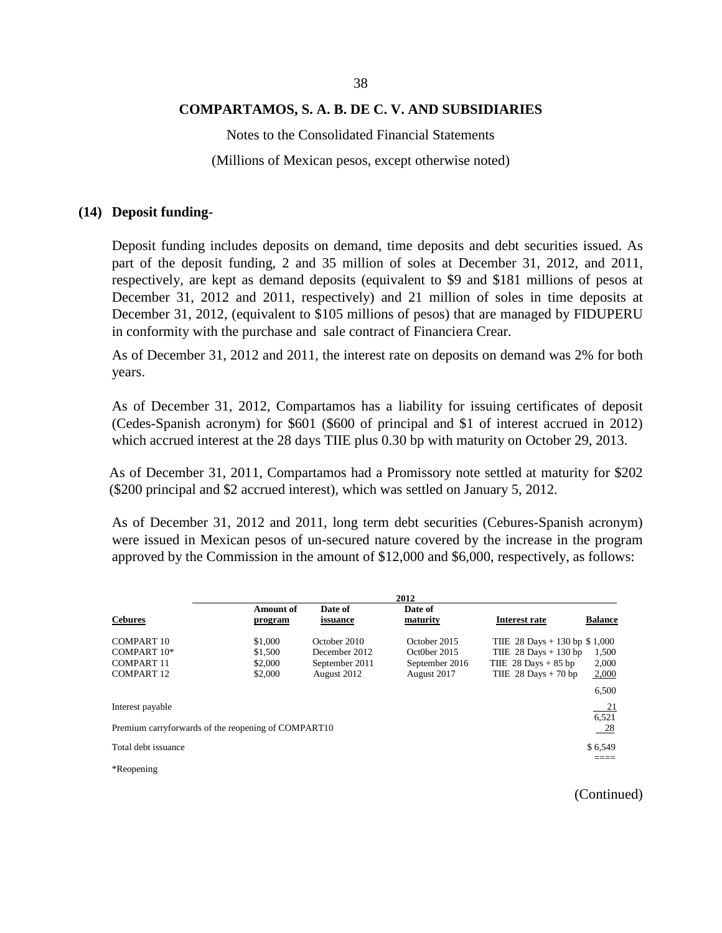Notes to the Consolidated Financial Statements (Millions of Mexican pesos, except otherwise noted)

#### **(14) Deposit funding-**

Deposit funding includes deposits on demand, time deposits and debt securities issued. As part of the deposit funding, 2 and 35 million of soles at December 31, 2012, and 2011, respectively, are kept as demand deposits (equivalent to \$9 and \$181 millions of pesos at December 31, 2012 and 2011, respectively) and 21 million of soles in time deposits at December 31, 2012, (equivalent to \$105 millions of pesos) that are managed by FIDUPERU in conformity with the purchase and sale contract of Financiera Crear.

As of December 31, 2012 and 2011, the interest rate on deposits on demand was 2% for both years.

As of December 31, 2012, Compartamos has a liability for issuing certificates of deposit (Cedes-Spanish acronym) for \$601 (\$600 of principal and \$1 of interest accrued in 2012) which accrued interest at the 28 days TIIE plus 0.30 bp with maturity on October 29, 2013.

As of December 31, 2011, Compartamos had a Promissory note settled at maturity for \$202 (\$200 principal and \$2 accrued interest), which was settled on January 5, 2012.

As of December 31, 2012 and 2011, long term debt securities (Cebures-Spanish acronym) were issued in Mexican pesos of un-secured nature covered by the increase in the program approved by the Commission in the amount of \$12,000 and \$6,000, respectively, as follows:

|                                                                         |                                          |                                                                | 2012                                                          |                                                                                                             |                                  |
|-------------------------------------------------------------------------|------------------------------------------|----------------------------------------------------------------|---------------------------------------------------------------|-------------------------------------------------------------------------------------------------------------|----------------------------------|
| <b>Cebures</b>                                                          | <b>Amount of</b><br>program              | Date of<br>issuance                                            | Date of<br>maturity                                           | <b>Interest rate</b>                                                                                        | <b>Balance</b>                   |
| COMPART 10<br>COMPART $10*$<br>COMPART 11<br>COMPART <sub>12</sub>      | \$1,000<br>\$1,500<br>\$2,000<br>\$2,000 | October 2010<br>December 2012<br>September 2011<br>August 2012 | October 2015<br>Oct0ber 2015<br>September 2016<br>August 2017 | THE 28 Days $+130$ bp \$1,000<br>TIIE $28$ Days + 130 bp<br>THE $28$ Days $+85$ bp<br>THE $28$ Days + 70 bp | 1,500<br>2,000<br>2,000<br>6,500 |
| Interest payable<br>Premium carryforwards of the reopening of COMPART10 |                                          |                                                                |                                                               |                                                                                                             | 21<br>6,521<br>- 28              |
| Total debt issuance<br>*Reopening*                                      |                                          |                                                                |                                                               |                                                                                                             | \$6,549                          |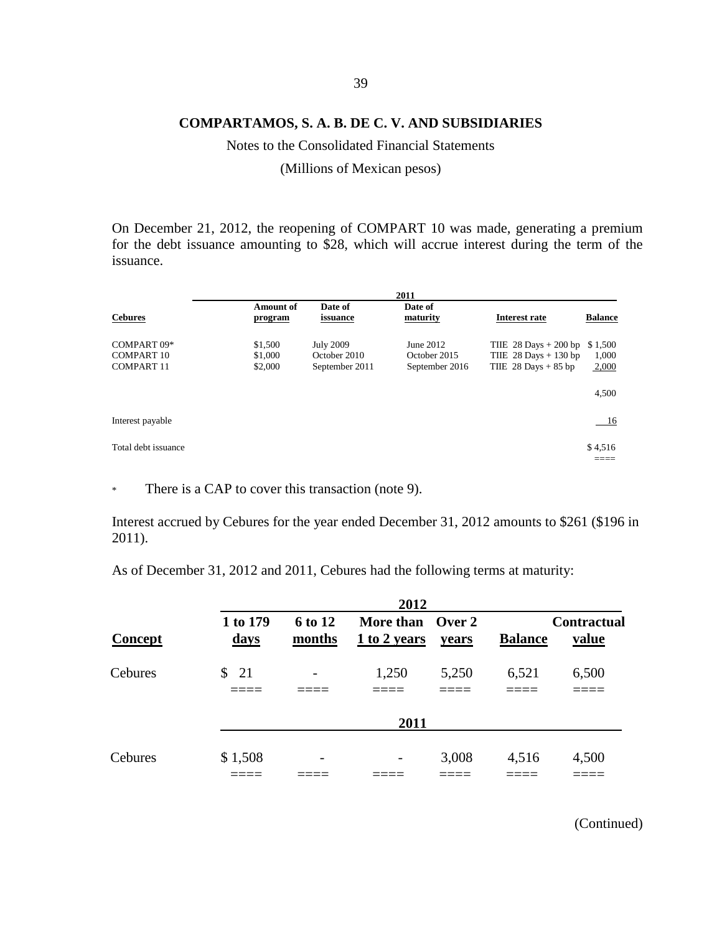Notes to the Consolidated Financial Statements

(Millions of Mexican pesos)

On December 21, 2012, the reopening of COMPART 10 was made, generating a premium for the debt issuance amounting to \$28, which will accrue interest during the term of the issuance.

|                                                       |                               | 2011                                               |                                             |                                                                             |                                    |  |  |
|-------------------------------------------------------|-------------------------------|----------------------------------------------------|---------------------------------------------|-----------------------------------------------------------------------------|------------------------------------|--|--|
| <b>Cebures</b>                                        | <b>Amount of</b><br>program   | Date of<br>issuance                                | Date of<br>maturity                         | <b>Interest rate</b>                                                        | <b>Balance</b>                     |  |  |
| COMPART 09*<br><b>COMPART 10</b><br><b>COMPART 11</b> | \$1,500<br>\$1,000<br>\$2,000 | <b>July 2009</b><br>October 2010<br>September 2011 | June 2012<br>October 2015<br>September 2016 | THE $28$ Days $+200$ bp<br>THE $28$ Days + 130 bp<br>THE $28$ Days $+85$ bp | \$1,500<br>1,000<br>2,000<br>4,500 |  |  |
| Interest payable                                      |                               |                                                    |                                             |                                                                             | <u>16</u>                          |  |  |
| Total debt issuance                                   |                               |                                                    |                                             |                                                                             | \$4,516                            |  |  |

\* There is a CAP to cover this transaction (note 9).

Interest accrued by Cebures for the year ended December 31, 2012 amounts to \$261 (\$196 in 2011).

As of December 31, 2012 and 2011, Cebures had the following terms at maturity:

|                |                         |                          | 2012                             |       |                |                             |
|----------------|-------------------------|--------------------------|----------------------------------|-------|----------------|-----------------------------|
| <b>Concept</b> | 1 to 179<br><u>days</u> | <b>6 to 12</b><br>months | More than Over 2<br>1 to 2 years | years | <b>Balance</b> | <b>Contractual</b><br>value |
| Cebures        | $\frac{1}{21}$          | $\overline{\phantom{a}}$ | 1,250                            | 5,250 | 6,521          | 6,500                       |
|                |                         |                          | 2011                             |       |                |                             |
| Cebures        | \$1,508                 | -                        | -                                | 3,008 | 4,516          | 4,500                       |
|                |                         |                          |                                  |       |                |                             |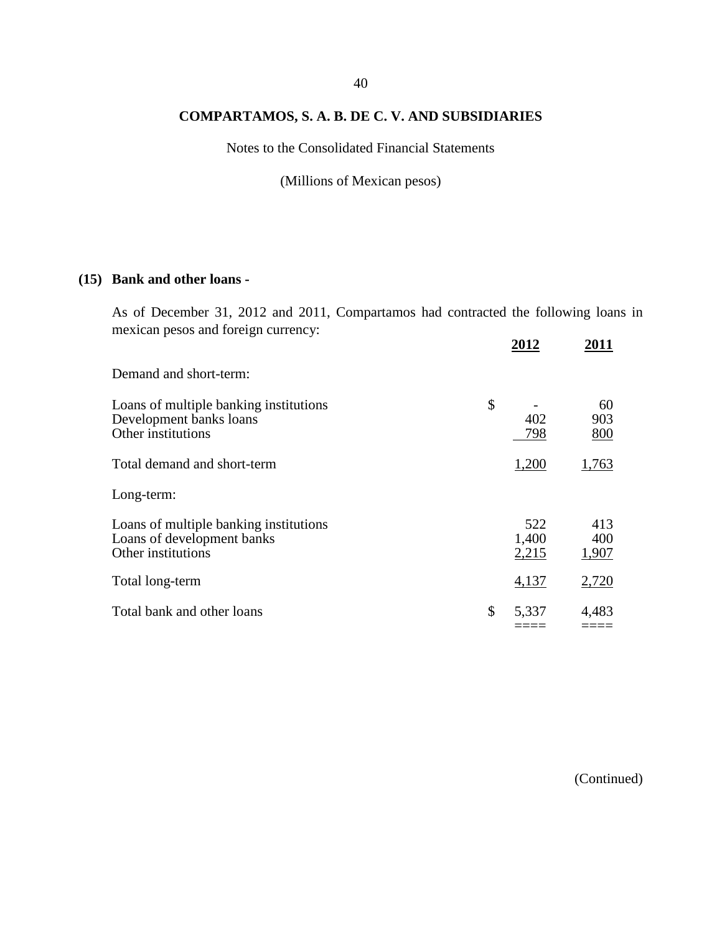Notes to the Consolidated Financial Statements

(Millions of Mexican pesos)

## **(15) Bank and other loans -**

As of December 31, 2012 and 2011, Compartamos had contracted the following loans in mexican pesos and foreign currency:

|                                                                                            | 2012                  | 2011                |
|--------------------------------------------------------------------------------------------|-----------------------|---------------------|
| Demand and short-term:                                                                     |                       |                     |
| Loans of multiple banking institutions<br>Development banks loans<br>Other institutions    | \$<br>402<br>798      | 60<br>903<br>800    |
| Total demand and short-term                                                                | 1,200                 | 1,763               |
| Long-term:                                                                                 |                       |                     |
| Loans of multiple banking institutions<br>Loans of development banks<br>Other institutions | 522<br>1,400<br>2,215 | 413<br>400<br>1,907 |
| Total long-term                                                                            | 4,137                 | 2,720               |
| Total bank and other loans                                                                 | \$<br>5,337           | 4,483               |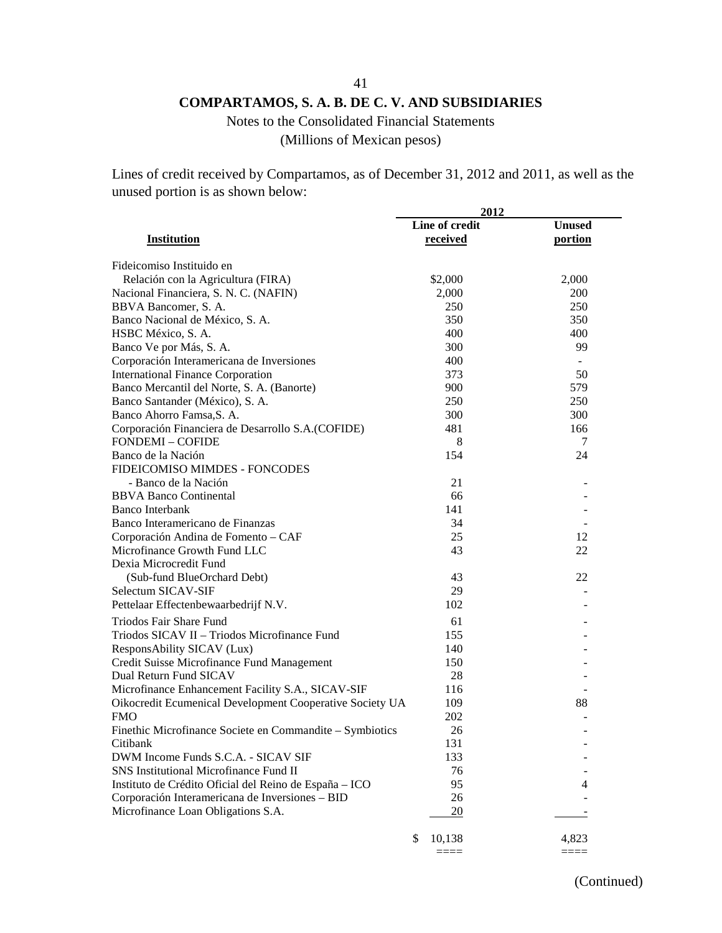# Notes to the Consolidated Financial Statements

(Millions of Mexican pesos)

Lines of credit received by Compartamos, as of December 31, 2012 and 2011, as well as the unused portion is as shown below:

|                                                          | 2012           |               |
|----------------------------------------------------------|----------------|---------------|
|                                                          | Line of credit | <b>Unused</b> |
| <b>Institution</b>                                       | received       | portion       |
| Fideicomiso Instituido en                                |                |               |
| Relación con la Agricultura (FIRA)                       | \$2,000        | 2,000         |
| Nacional Financiera, S. N. C. (NAFIN)                    | 2,000          | 200           |
| BBVA Bancomer, S. A.                                     | 250            | 250           |
| Banco Nacional de México, S. A.                          | 350            | 350           |
| HSBC México, S. A.                                       | 400            | 400           |
| Banco Ve por Más, S. A.                                  | 300            | 99            |
| Corporación Interamericana de Inversiones                | 400            |               |
| <b>International Finance Corporation</b>                 | 373            | 50            |
| Banco Mercantil del Norte, S. A. (Banorte)               | 900            | 579           |
| Banco Santander (México), S. A.                          | 250            | 250           |
| Banco Ahorro Famsa, S. A.                                | 300            | 300           |
| Corporación Financiera de Desarrollo S.A. (COFIDE)       | 481            | 166           |
| <b>FONDEMI - COFIDE</b>                                  | 8              | 7             |
| Banco de la Nación                                       | 154            | 24            |
| FIDEICOMISO MIMDES - FONCODES                            |                |               |
| - Banco de la Nación                                     | 21             |               |
| <b>BBVA Banco Continental</b>                            | 66             |               |
| <b>Banco Interbank</b>                                   | 141            |               |
| Banco Interamericano de Finanzas                         | 34             |               |
| Corporación Andina de Fomento - CAF                      | 25             | 12            |
| Microfinance Growth Fund LLC                             | 43             | 22            |
| Dexia Microcredit Fund                                   |                |               |
| (Sub-fund BlueOrchard Debt)                              | 43             | 22            |
| Selectum SICAV-SIF                                       | 29             |               |
| Pettelaar Effectenbewaarbedrijf N.V.                     | 102            |               |
| Triodos Fair Share Fund                                  | 61             |               |
| Triodos SICAV II - Triodos Microfinance Fund             | 155            |               |
| ResponsAbility SICAV (Lux)                               | 140            |               |
| Credit Suisse Microfinance Fund Management               | 150            |               |
| Dual Return Fund SICAV                                   | 28             |               |
| Microfinance Enhancement Facility S.A., SICAV-SIF        | 116            |               |
| Oikocredit Ecumenical Development Cooperative Society UA | 109            | 88            |
| <b>FMO</b>                                               | 202            |               |
| Finethic Microfinance Societe en Commandite – Symbiotics | 26             |               |
| Citibank                                                 | 131            |               |
| DWM Income Funds S.C.A. - SICAV SIF                      | 133            |               |
| SNS Institutional Microfinance Fund II                   | 76             |               |
| Instituto de Crédito Oficial del Reino de España - ICO   | 95             | 4             |
| Corporación Interamericana de Inversiones - BID          | 26             |               |
| Microfinance Loan Obligations S.A.                       | 20             |               |
|                                                          |                |               |
|                                                          | \$<br>10,138   | 4,823         |
|                                                          | ====           | ====          |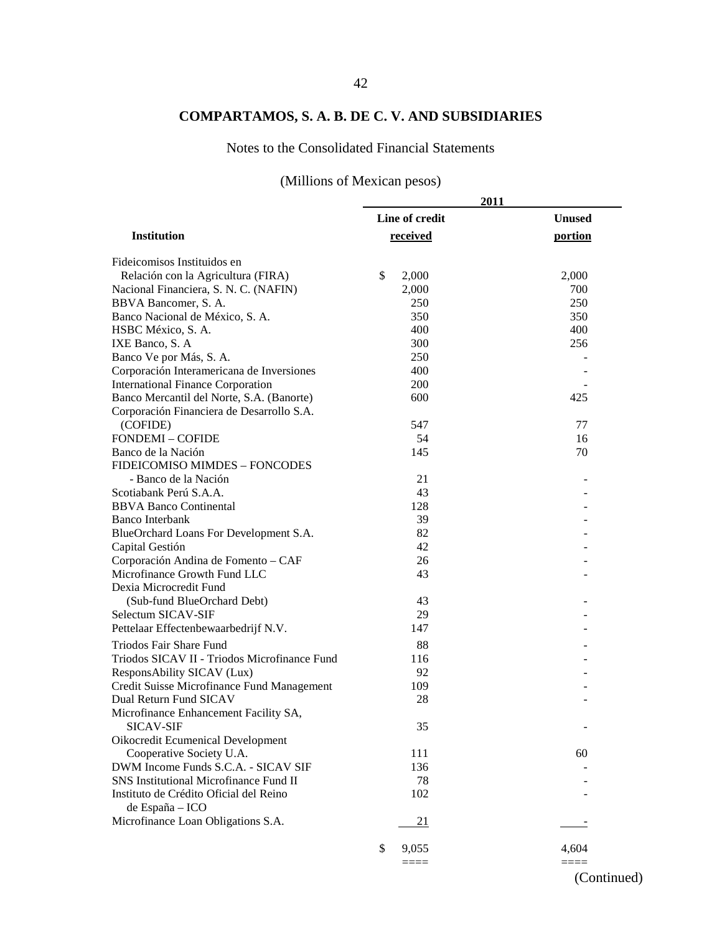## Notes to the Consolidated Financial Statements

# (Millions of Mexican pesos)

|                                                           | 2011           |               |
|-----------------------------------------------------------|----------------|---------------|
|                                                           | Line of credit | <b>Unused</b> |
| <b>Institution</b>                                        | received       | portion       |
| Fideicomisos Instituidos en                               |                |               |
| Relación con la Agricultura (FIRA)                        | \$<br>2,000    | 2,000         |
| Nacional Financiera, S. N. C. (NAFIN)                     | 2,000          | 700           |
| BBVA Bancomer, S. A.                                      | 250            | 250           |
| Banco Nacional de México, S. A.                           | 350            | 350           |
| HSBC México, S. A.                                        | 400            | 400           |
| IXE Banco, S. A.                                          | 300            | 256           |
| Banco Ve por Más, S. A.                                   | 250            |               |
| Corporación Interamericana de Inversiones                 | 400            |               |
| <b>International Finance Corporation</b>                  | 200            |               |
| Banco Mercantil del Norte, S.A. (Banorte)                 | 600            | 425           |
| Corporación Financiera de Desarrollo S.A.                 |                |               |
| (COFIDE)                                                  | 547            | 77            |
| <b>FONDEMI - COFIDE</b>                                   | 54             | 16            |
| Banco de la Nación                                        | 145            | 70            |
| FIDEICOMISO MIMDES - FONCODES                             |                |               |
| - Banco de la Nación                                      | 21             |               |
| Scotiabank Perú S.A.A.                                    | 43             |               |
| <b>BBVA Banco Continental</b>                             | 128            |               |
| <b>Banco Interbank</b>                                    | 39             |               |
| BlueOrchard Loans For Development S.A.                    | 82             |               |
| Capital Gestión                                           | 42             |               |
| Corporación Andina de Fomento - CAF                       | 26             |               |
| Microfinance Growth Fund LLC                              | 43             |               |
| Dexia Microcredit Fund                                    |                |               |
| (Sub-fund BlueOrchard Debt)                               | 43             |               |
| Selectum SICAV-SIF                                        | 29             |               |
| Pettelaar Effectenbewaarbedrijf N.V.                      | 147            |               |
| Triodos Fair Share Fund                                   | 88             |               |
| Triodos SICAV II - Triodos Microfinance Fund              | 116            |               |
| ResponsAbility SICAV (Lux)                                | 92             |               |
| Credit Suisse Microfinance Fund Management                | 109            |               |
| Dual Return Fund SICAV                                    | 28             |               |
| Microfinance Enhancement Facility SA,                     |                |               |
| <b>SICAV-SIF</b>                                          | 35             |               |
| Oikocredit Ecumenical Development                         |                |               |
| Cooperative Society U.A.                                  | 111            | 60            |
| DWM Income Funds S.C.A. - SICAV SIF                       | 136            |               |
| SNS Institutional Microfinance Fund II                    | 78             |               |
| Instituto de Crédito Oficial del Reino<br>de España - ICO | 102            |               |
| Microfinance Loan Obligations S.A.                        | <u>21</u>      |               |
|                                                           | \$<br>9,055    | 4,604         |
|                                                           | $====$         | ====          |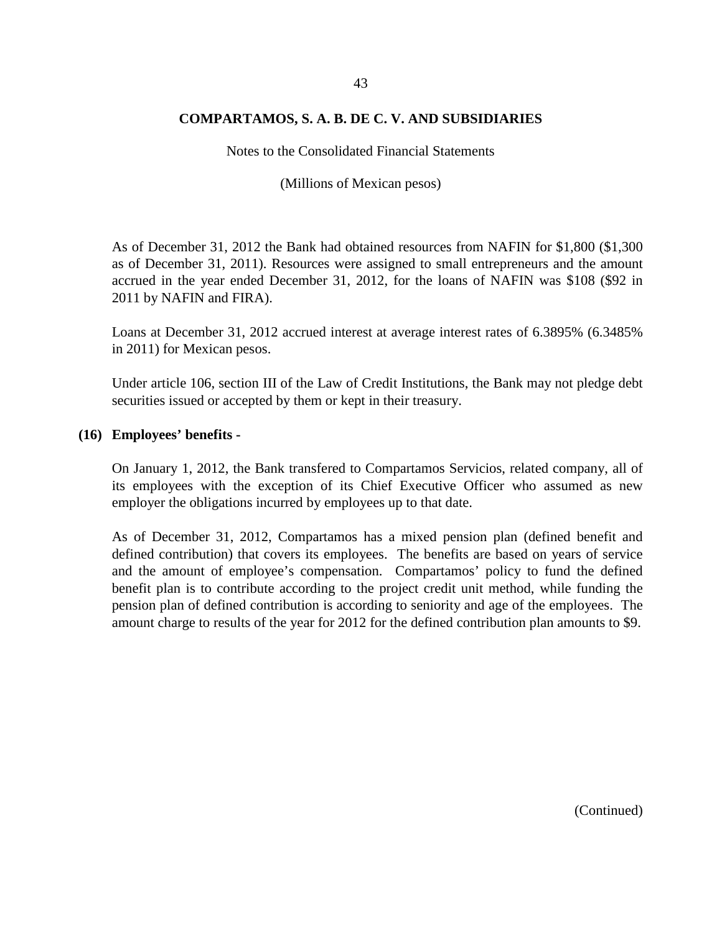Notes to the Consolidated Financial Statements

(Millions of Mexican pesos)

As of December 31, 2012 the Bank had obtained resources from NAFIN for \$1,800 (\$1,300 as of December 31, 2011). Resources were assigned to small entrepreneurs and the amount accrued in the year ended December 31, 2012, for the loans of NAFIN was \$108 (\$92 in 2011 by NAFIN and FIRA).

Loans at December 31, 2012 accrued interest at average interest rates of 6.3895% (6.3485% in 2011) for Mexican pesos.

Under article 106, section III of the Law of Credit Institutions, the Bank may not pledge debt securities issued or accepted by them or kept in their treasury.

#### **(16) Employees' benefits -**

On January 1, 2012, the Bank transfered to Compartamos Servicios, related company, all of its employees with the exception of its Chief Executive Officer who assumed as new employer the obligations incurred by employees up to that date.

As of December 31, 2012, Compartamos has a mixed pension plan (defined benefit and defined contribution) that covers its employees. The benefits are based on years of service and the amount of employee's compensation. Compartamos' policy to fund the defined benefit plan is to contribute according to the project credit unit method, while funding the pension plan of defined contribution is according to seniority and age of the employees. The amount charge to results of the year for 2012 for the defined contribution plan amounts to \$9.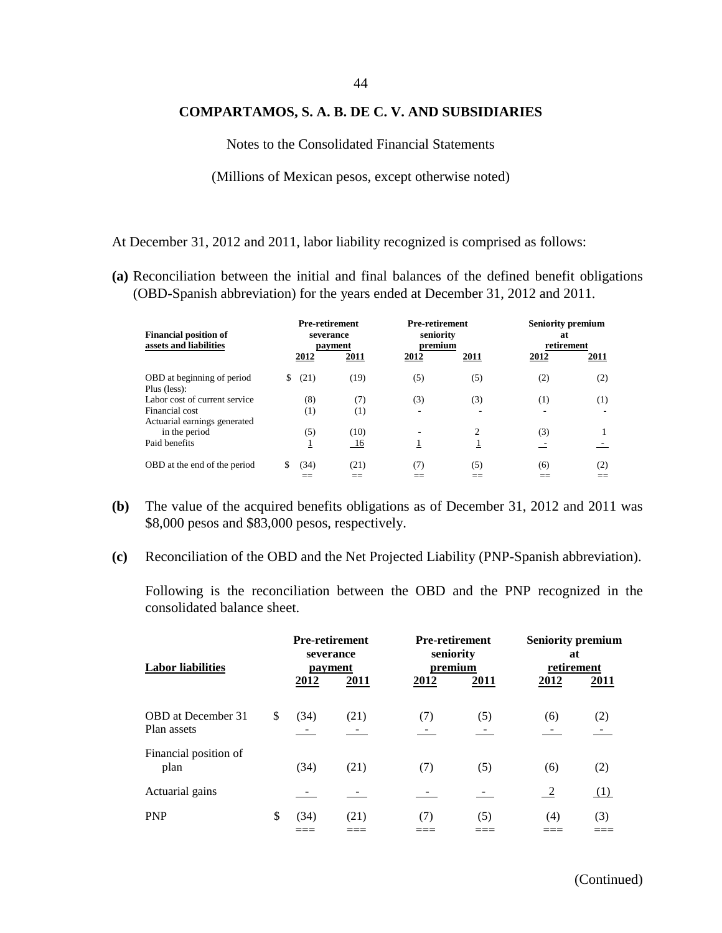#### 44

### **COMPARTAMOS, S. A. B. DE C. V. AND SUBSIDIARIES**

Notes to the Consolidated Financial Statements

(Millions of Mexican pesos, except otherwise noted)

At December 31, 2012 and 2011, labor liability recognized is comprised as follows:

**(a)** Reconciliation between the initial and final balances of the defined benefit obligations (OBD-Spanish abbreviation) for the years ended at December 31, 2012 and 2011.

| <b>Financial position of</b><br>assets and liabilities                          |                 | <b>Pre-retirement</b><br>severance<br>payment |          | <b>Pre-retirement</b><br>seniority<br>premium |          | <b>Seniority premium</b><br>at<br>retirement |
|---------------------------------------------------------------------------------|-----------------|-----------------------------------------------|----------|-----------------------------------------------|----------|----------------------------------------------|
|                                                                                 | 2012            | 2011                                          | 2012     | 2011                                          | 2012     | 2011                                         |
| OBD at beginning of period<br>Plus (less):                                      | (21)<br>\$      | (19)                                          | (5)      | (5)                                           | (2)      | (2)                                          |
| Labor cost of current service<br>Financial cost<br>Actuarial earnings generated | (8)<br>$^{(1)}$ | (7)<br>(1)                                    | (3)<br>۰ | (3)                                           | (1)<br>۰ | (1)                                          |
| in the period<br>Paid benefits                                                  | (5)<br>1        | (10)<br>-16                                   |          | $\overline{c}$<br>Ŧ                           | (3)      |                                              |
| OBD at the end of the period                                                    | (34)            | (21)                                          | (7)      | (5)                                           | (6)      | (2)                                          |

- **(b)** The value of the acquired benefits obligations as of December 31, 2012 and 2011 was \$8,000 pesos and \$83,000 pesos, respectively.
- **(c)** Reconciliation of the OBD and the Net Projected Liability (PNP-Spanish abbreviation).

Following is the reconciliation between the OBD and the PNP recognized in the consolidated balance sheet.

| <b>Labor liabilities</b>                 | <b>Pre-retirement</b><br>severance<br>payment |      | <b>Pre-retirement</b><br>seniority<br>premium |      | <b>Seniority premium</b><br>at<br>retirement |             |
|------------------------------------------|-----------------------------------------------|------|-----------------------------------------------|------|----------------------------------------------|-------------|
|                                          | 2012                                          | 2011 | 2012                                          | 2011 | 2012                                         | <u>2011</u> |
| <b>OBD</b> at December 31<br>Plan assets | \$<br>(34)                                    | (21) | (7)                                           | (5)  | (6)                                          | (2)         |
| Financial position of<br>plan            | (34)                                          | (21) | (7)                                           | (5)  | (6)                                          | (2)         |
| Actuarial gains                          |                                               |      |                                               |      | $\overline{-2}$                              | (1)         |
| <b>PNP</b>                               | \$<br>(34)                                    | (21) | (7)                                           | (5)  | (4)                                          | (3)         |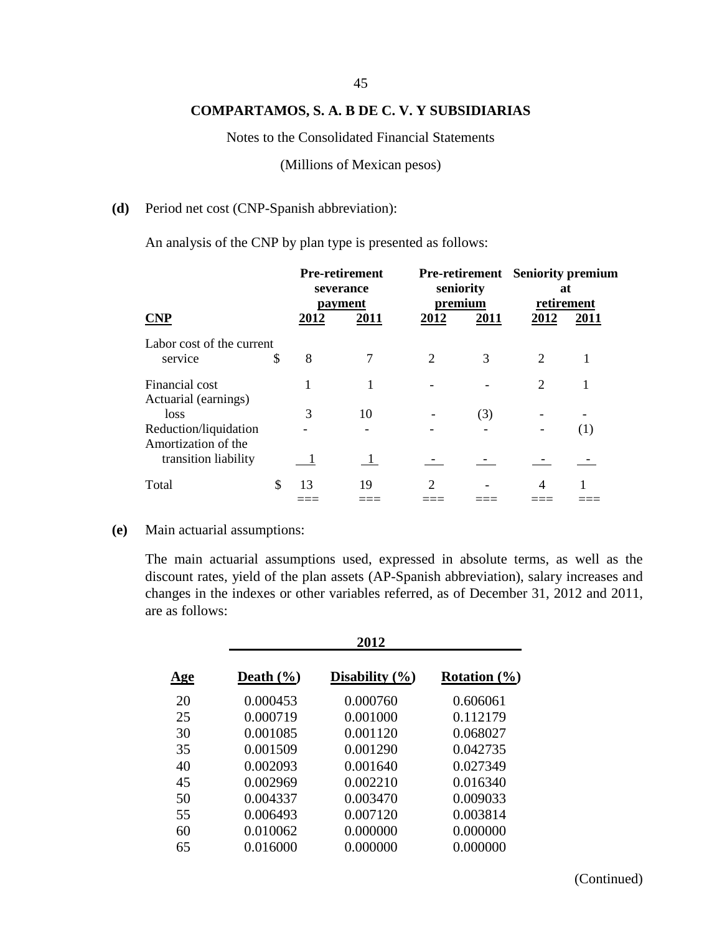#### 45

### **COMPARTAMOS, S. A. B DE C. V. Y SUBSIDIARIAS**

Notes to the Consolidated Financial Statements

(Millions of Mexican pesos)

### **(d)** Period net cost (CNP-Spanish abbreviation):

An analysis of the CNP by plan type is presented as follows:

|                                              |    | <b>Pre-retirement</b><br>severance<br>payment |      | seniority<br>premium        |      | <b>Pre-retirement</b> Seniority premium<br>at<br>retirement |                   |
|----------------------------------------------|----|-----------------------------------------------|------|-----------------------------|------|-------------------------------------------------------------|-------------------|
| <b>CNP</b>                                   |    | 2012                                          | 2011 | 2012                        | 2011 | 2012                                                        | 2011              |
| Labor cost of the current<br>service         | \$ | 8                                             |      | $\mathcal{D}_{\mathcal{L}}$ | 3    | $\mathcal{D}_{\mathcal{L}}$                                 |                   |
| Financial cost                               |    |                                               |      |                             |      | $\overline{2}$                                              |                   |
| Actuarial (earnings)                         |    |                                               |      |                             |      |                                                             |                   |
| loss                                         |    | 3                                             | 10   |                             | (3)  |                                                             |                   |
| Reduction/liquidation<br>Amortization of the |    |                                               |      |                             |      |                                                             | $\left( 1\right)$ |
| transition liability                         |    |                                               |      |                             |      |                                                             |                   |
| Total                                        | \$ | 13                                            | 19   | 2                           |      |                                                             |                   |
|                                              |    |                                               |      |                             |      |                                                             |                   |

#### **(e)** Main actuarial assumptions:

The main actuarial assumptions used, expressed in absolute terms, as well as the discount rates, yield of the plan assets (AP-Spanish abbreviation), salary increases and changes in the indexes or other variables referred, as of December 31, 2012 and 2011, are as follows:

|            |               | 2012               |                  |
|------------|---------------|--------------------|------------------|
| <u>Age</u> | Death $(\% )$ | Disability $(\% )$ | Rotation $(\% )$ |
| 20         | 0.000453      | 0.000760           | 0.606061         |
| 25         | 0.000719      | 0.001000           | 0.112179         |
| 30         | 0.001085      | 0.001120           | 0.068027         |
| 35         | 0.001509      | 0.001290           | 0.042735         |
| 40         | 0.002093      | 0.001640           | 0.027349         |
| 45         | 0.002969      | 0.002210           | 0.016340         |
| 50         | 0.004337      | 0.003470           | 0.009033         |
| 55         | 0.006493      | 0.007120           | 0.003814         |
| 60         | 0.010062      | 0.000000           | 0.000000         |
| 65         | 0.016000      | 0.000000           | 0.000000         |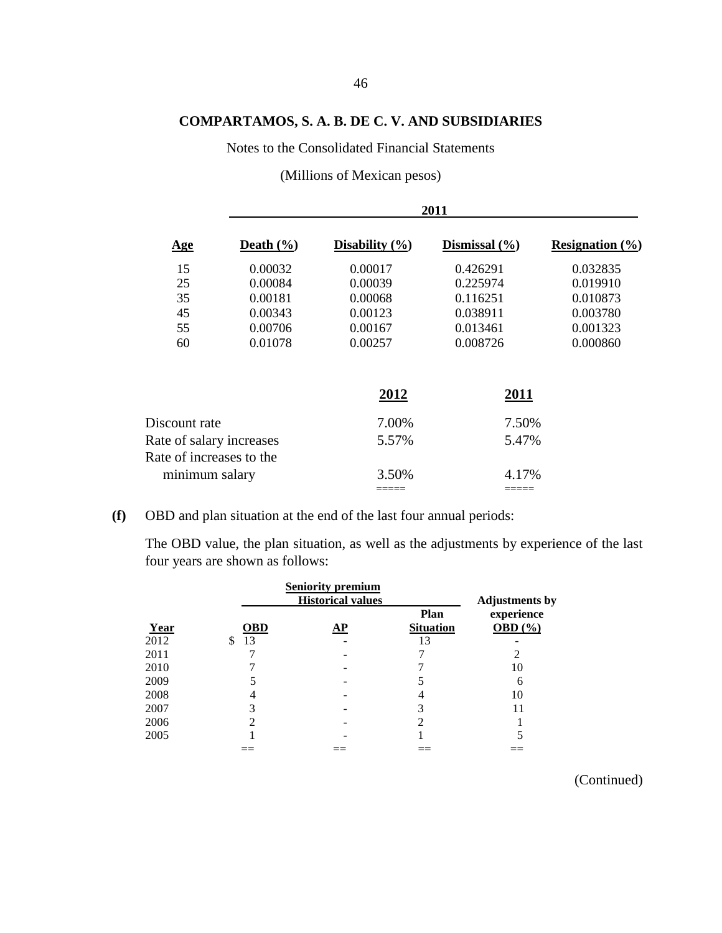Notes to the Consolidated Financial Statements

(Millions of Mexican pesos)

|                          |                       | 2011               |                   |                            |  |  |  |  |  |
|--------------------------|-----------------------|--------------------|-------------------|----------------------------|--|--|--|--|--|
| $\mathbf{Age}$           | Death $(\frac{6}{6})$ | Disability $(\% )$ | Dismissal $(\% )$ | <b>Resignation</b> $(\% )$ |  |  |  |  |  |
| 15                       | 0.00032               | 0.00017            | 0.426291          | 0.032835                   |  |  |  |  |  |
| 25                       | 0.00084               | 0.00039            | 0.225974          | 0.019910                   |  |  |  |  |  |
| 35                       | 0.00181               | 0.00068            | 0.116251          | 0.010873                   |  |  |  |  |  |
| 45                       | 0.00343               | 0.00123            | 0.038911          | 0.003780                   |  |  |  |  |  |
| 55                       | 0.00706               | 0.00167            | 0.013461          | 0.001323                   |  |  |  |  |  |
| 60                       | 0.01078               | 0.00257            | 0.008726          | 0.000860                   |  |  |  |  |  |
|                          |                       | 2012               | 2011              |                            |  |  |  |  |  |
| Discount rate            |                       | 7.00%              | 7.50%             |                            |  |  |  |  |  |
| Rate of salary increases |                       | 5.57%              | 5.47%             |                            |  |  |  |  |  |
| Rate of increases to the |                       |                    |                   |                            |  |  |  |  |  |
| minimum salary           |                       | 3.50%              | 4.17%             |                            |  |  |  |  |  |
|                          |                       |                    |                   |                            |  |  |  |  |  |

**(f)** OBD and plan situation at the end of the last four annual periods:

The OBD value, the plan situation, as well as the adjustments by experience of the last four years are shown as follows:

|      |            | <b>Seniority premium</b><br><b>Historical values</b> |                                 | <b>Adjustments by</b>     |
|------|------------|------------------------------------------------------|---------------------------------|---------------------------|
| Year | <b>OBD</b> | AP                                                   | <b>Plan</b><br><b>Situation</b> | experience<br>OBD $(\% )$ |
| 2012 | 13<br>\$   |                                                      | 13                              |                           |
| 2011 |            |                                                      |                                 |                           |
| 2010 |            |                                                      |                                 | 10                        |
| 2009 |            |                                                      |                                 | 6                         |
| 2008 |            |                                                      | 4                               | 10                        |
| 2007 |            |                                                      |                                 | 11                        |
| 2006 |            |                                                      |                                 |                           |
| 2005 |            |                                                      |                                 |                           |
|      |            |                                                      |                                 |                           |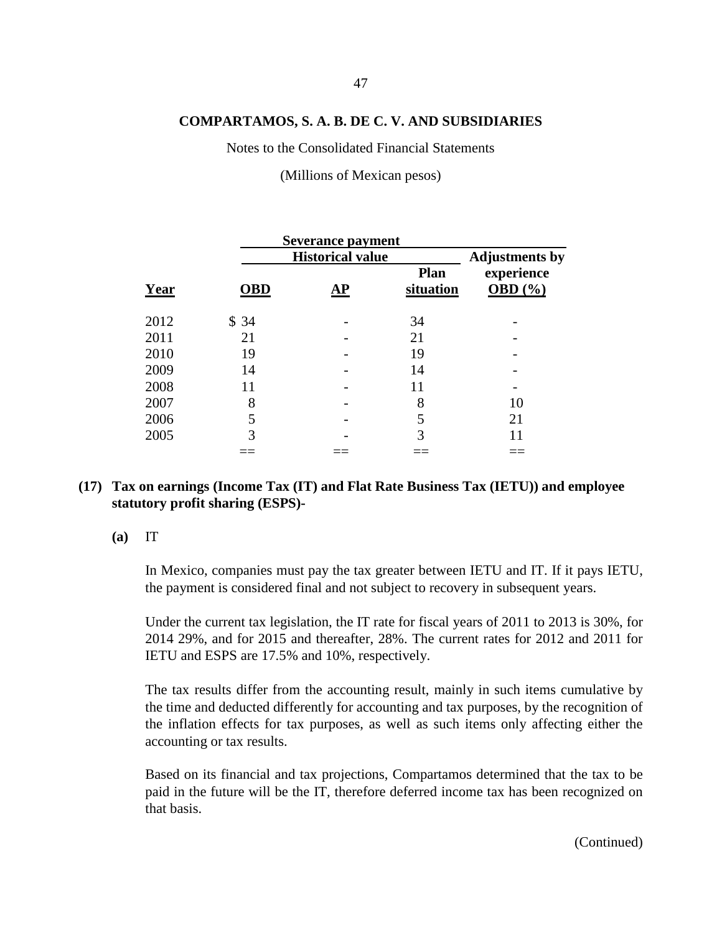Notes to the Consolidated Financial Statements

(Millions of Mexican pesos)

|      |            | <b>Severance payment</b> |                          |                           |
|------|------------|--------------------------|--------------------------|---------------------------|
|      |            | <b>Historical value</b>  |                          |                           |
| Year | <b>OBD</b> | AP                       | <b>Plan</b><br>situation | experience<br>OBD $(\% )$ |
| 2012 | \$34       |                          | 34                       |                           |
| 2011 | 21         |                          | 21                       |                           |
| 2010 | 19         |                          | 19                       |                           |
| 2009 | 14         |                          | 14                       |                           |
| 2008 | 11         |                          | 11                       |                           |
| 2007 | 8          |                          | 8                        | 10                        |
| 2006 |            |                          | 5                        | 21                        |
| 2005 | 3          |                          | 3                        | 11                        |
|      |            |                          |                          |                           |

## **(17) Tax on earnings (Income Tax (IT) and Flat Rate Business Tax (IETU)) and employee statutory profit sharing (ESPS)-**

**(a)** IT

In Mexico, companies must pay the tax greater between IETU and IT. If it pays IETU, the payment is considered final and not subject to recovery in subsequent years.

Under the current tax legislation, the IT rate for fiscal years of 2011 to 2013 is 30%, for 2014 29%, and for 2015 and thereafter, 28%. The current rates for 2012 and 2011 for IETU and ESPS are 17.5% and 10%, respectively.

The tax results differ from the accounting result, mainly in such items cumulative by the time and deducted differently for accounting and tax purposes, by the recognition of the inflation effects for tax purposes, as well as such items only affecting either the accounting or tax results.

Based on its financial and tax projections, Compartamos determined that the tax to be paid in the future will be the IT, therefore deferred income tax has been recognized on that basis.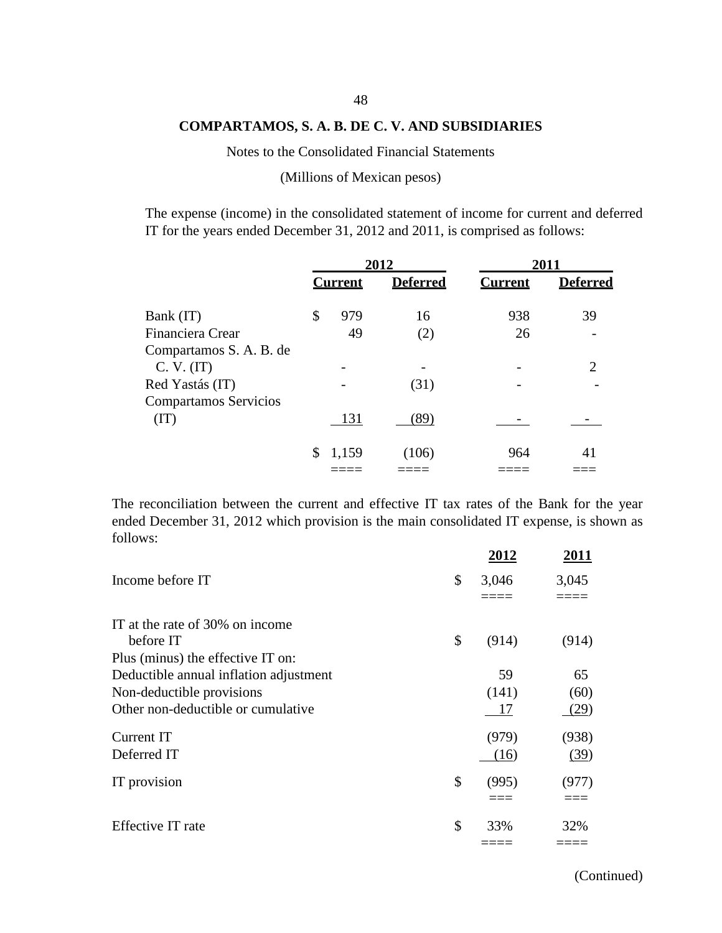Notes to the Consolidated Financial Statements

(Millions of Mexican pesos)

The expense (income) in the consolidated statement of income for current and deferred IT for the years ended December 31, 2012 and 2011, is comprised as follows:

|                                                          | 2012 |                | 2011            |                |                 |
|----------------------------------------------------------|------|----------------|-----------------|----------------|-----------------|
|                                                          |      | <b>Current</b> | <b>Deferred</b> | <b>Current</b> | <b>Deferred</b> |
| Bank (IT)                                                | \$   | 979            | 16              | 938            | 39              |
| Financiera Crear                                         |      | 49             | (2)             | 26             |                 |
| Compartamos S. A. B. de<br>C. V. (IT)<br>Red Yastás (IT) |      |                | (31)            |                |                 |
| <b>Compartamos Servicios</b><br>(TT)                     |      | 131            | (89)            |                |                 |
|                                                          |      | 1,159          | (106)           | 964            | 41              |

The reconciliation between the current and effective IT tax rates of the Bank for the year ended December 31, 2012 which provision is the main consolidated IT expense, is shown as follows:

|                                        | 2012        | 2011  |
|----------------------------------------|-------------|-------|
| Income before IT                       | \$<br>3,046 | 3,045 |
|                                        |             |       |
| IT at the rate of 30% on income        |             |       |
| before IT                              | \$<br>(914) | (914) |
| Plus (minus) the effective IT on:      |             |       |
| Deductible annual inflation adjustment | 59          | 65    |
| Non-deductible provisions              | (141)       | (60)  |
| Other non-deductible or cumulative     | 17          | (29)  |
| Current IT                             | (979)       | (938) |
| Deferred IT                            | (16)        | (39)  |
| IT provision                           | \$<br>(995) | (977) |
|                                        |             |       |
| Effective IT rate                      | \$<br>33%   | 32%   |
|                                        |             |       |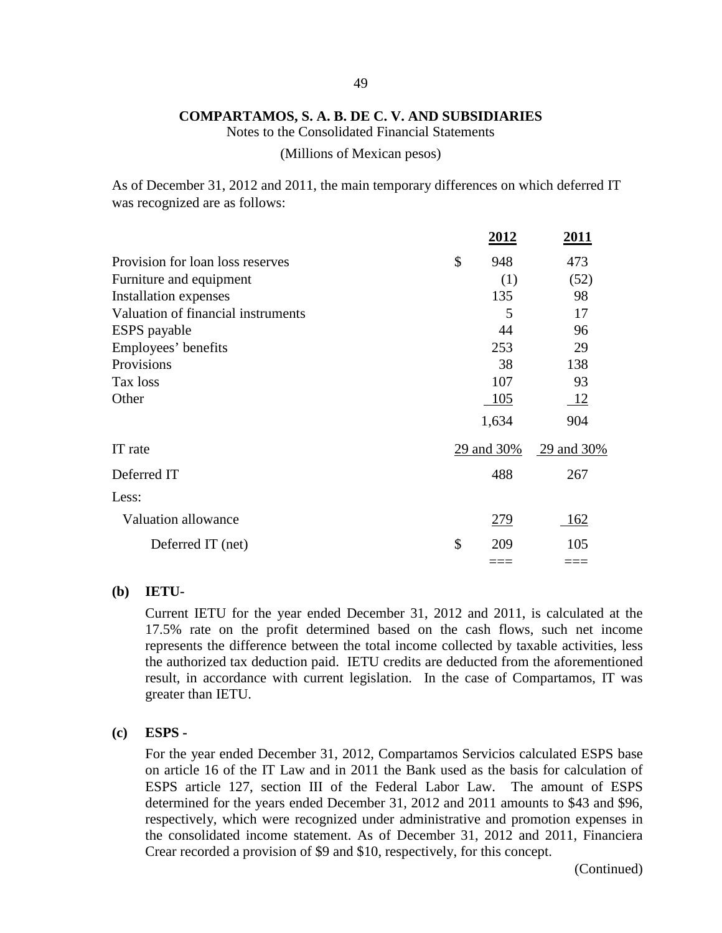Notes to the Consolidated Financial Statements

(Millions of Mexican pesos)

As of December 31, 2012 and 2011, the main temporary differences on which deferred IT was recognized are as follows:

|                                    | 2012       | <u> 2011 </u> |
|------------------------------------|------------|---------------|
| Provision for loan loss reserves   | \$<br>948  | 473           |
| Furniture and equipment            | (1)        | (52)          |
| Installation expenses              | 135        | 98            |
| Valuation of financial instruments | 5          | 17            |
| <b>ESPS</b> payable                | 44         | 96            |
| Employees' benefits                | 253        | 29            |
| Provisions                         | 38         | 138           |
| Tax loss                           | 107        | 93            |
| Other                              | 105        | -12           |
|                                    | 1,634      | 904           |
| IT rate                            | 29 and 30% | 29 and 30%    |
| Deferred IT                        | 488        | 267           |
| Less:                              |            |               |
| Valuation allowance                | <u>279</u> | 162           |
| Deferred IT (net)                  | \$<br>209  | 105           |
|                                    |            |               |

### **(b) IETU-**

Current IETU for the year ended December 31, 2012 and 2011, is calculated at the 17.5% rate on the profit determined based on the cash flows, such net income represents the difference between the total income collected by taxable activities, less the authorized tax deduction paid. IETU credits are deducted from the aforementioned result, in accordance with current legislation. In the case of Compartamos, IT was greater than IETU.

#### **(c) ESPS -**

For the year ended December 31, 2012, Compartamos Servicios calculated ESPS base on article 16 of the IT Law and in 2011 the Bank used as the basis for calculation of ESPS article 127, section III of the Federal Labor Law. The amount of ESPS determined for the years ended December 31, 2012 and 2011 amounts to \$43 and \$96, respectively, which were recognized under administrative and promotion expenses in the consolidated income statement. As of December 31, 2012 and 2011, Financiera Crear recorded a provision of \$9 and \$10, respectively, for this concept.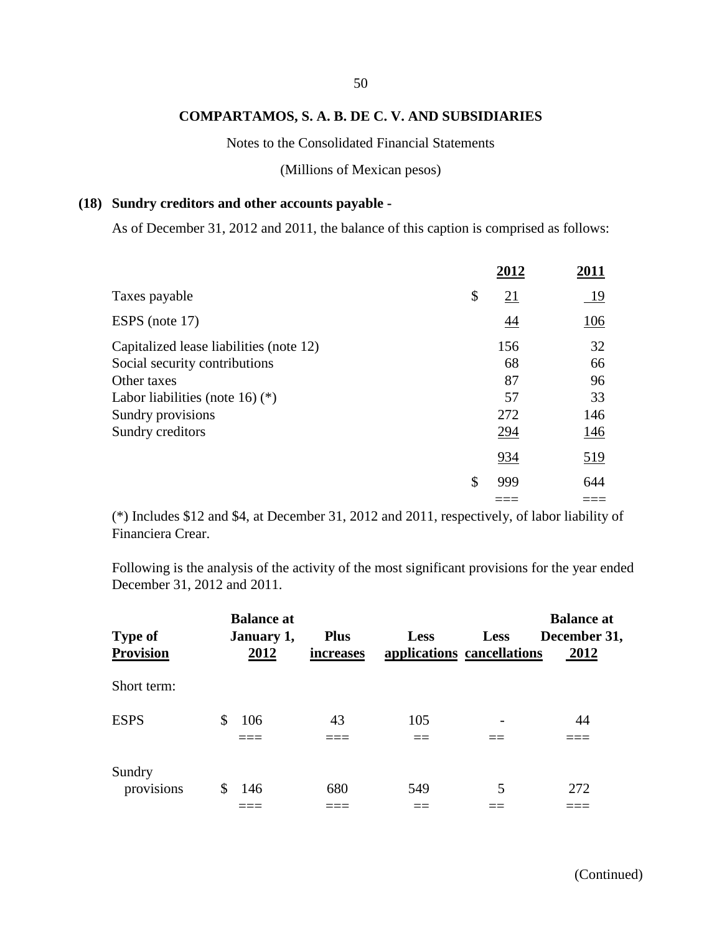Notes to the Consolidated Financial Statements

### (Millions of Mexican pesos)

### **(18) Sundry creditors and other accounts payable -**

As of December 31, 2012 and 2011, the balance of this caption is comprised as follows:

|                                         | 2012      | 2011       |
|-----------------------------------------|-----------|------------|
| Taxes payable                           | \$<br>21  | <u>19</u>  |
| ESPS (note 17)                          | 44        | 106        |
| Capitalized lease liabilities (note 12) | 156       | 32         |
| Social security contributions           | 68        | 66         |
| Other taxes                             | 87        | 96         |
| Labor liabilities (note 16) $(*)$       | 57        | 33         |
| Sundry provisions                       | 272       | 146        |
| Sundry creditors                        | 294       | 146        |
|                                         | 934       | <u>519</u> |
|                                         | \$<br>999 | 644        |
|                                         |           |            |

(\*) Includes \$12 and \$4, at December 31, 2012 and 2011, respectively, of labor liability of Financiera Crear.

Following is the analysis of the activity of the most significant provisions for the year ended December 31, 2012 and 2011.

| <b>Type of</b>       | <b>Balance at</b><br>January 1, | <b>Plus</b> | <b>Less</b> | <b>Less</b>                | <b>Balance at</b><br>December 31, |
|----------------------|---------------------------------|-------------|-------------|----------------------------|-----------------------------------|
| <b>Provision</b>     | 2012                            | increases   |             | applications cancellations | 2012                              |
| Short term:          |                                 |             |             |                            |                                   |
| <b>ESPS</b>          | 106<br>S                        | 43          | 105         |                            | 44                                |
| Sundry<br>provisions | 146<br>S                        | 680         | 549         | 5                          | 272                               |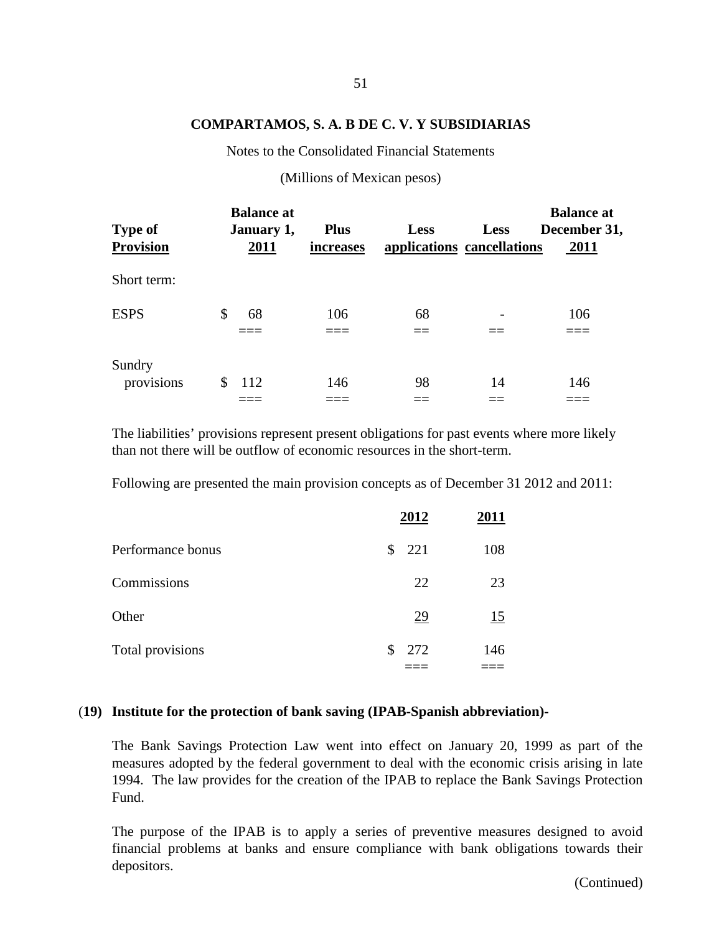Notes to the Consolidated Financial Statements

(Millions of Mexican pesos)

| <b>Type of</b><br><b>Provision</b> | <b>Balance at</b><br>January 1,<br>2011 | <b>Plus</b><br>increases | <b>Less</b> | <b>Less</b><br>applications cancellations | <b>Balance at</b><br>December 31,<br>2011 |
|------------------------------------|-----------------------------------------|--------------------------|-------------|-------------------------------------------|-------------------------------------------|
| Short term:                        |                                         |                          |             |                                           |                                           |
| <b>ESPS</b>                        | 68<br>\$                                | 106                      | 68          |                                           | 106                                       |
| Sundry<br>provisions               | 112<br>S                                | 146                      | 98          | 14                                        | 146                                       |

The liabilities' provisions represent present obligations for past events where more likely than not there will be outflow of economic resources in the short-term.

Following are presented the main provision concepts as of December 31 2012 and 2011:

|                   | 2012            | 2011      |
|-------------------|-----------------|-----------|
| Performance bonus | 221<br>\$       | 108       |
| Commissions       | 22              | 23        |
| Other             | $\overline{29}$ | <u>15</u> |
| Total provisions  | 272<br>\$       | 146       |
|                   |                 |           |

### (**19) Institute for the protection of bank saving (IPAB-Spanish abbreviation)-**

The Bank Savings Protection Law went into effect on January 20, 1999 as part of the measures adopted by the federal government to deal with the economic crisis arising in late 1994. The law provides for the creation of the IPAB to replace the Bank Savings Protection Fund.

The purpose of the IPAB is to apply a series of preventive measures designed to avoid financial problems at banks and ensure compliance with bank obligations towards their depositors.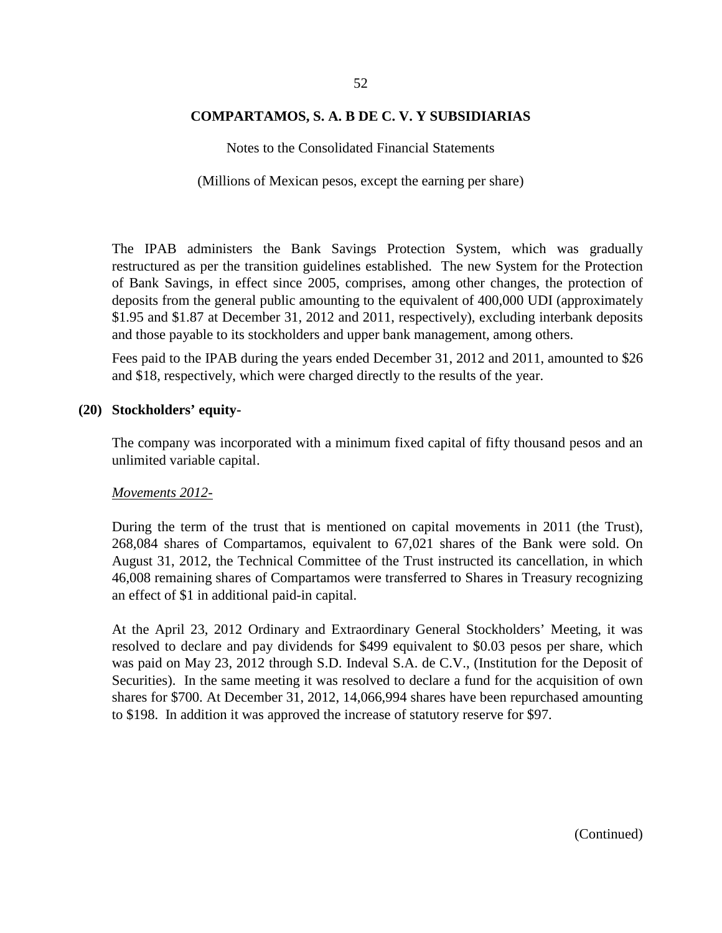Notes to the Consolidated Financial Statements

(Millions of Mexican pesos, except the earning per share)

The IPAB administers the Bank Savings Protection System, which was gradually restructured as per the transition guidelines established. The new System for the Protection of Bank Savings, in effect since 2005, comprises, among other changes, the protection of deposits from the general public amounting to the equivalent of 400,000 UDI (approximately \$1.95 and \$1.87 at December 31, 2012 and 2011, respectively), excluding interbank deposits and those payable to its stockholders and upper bank management, among others.

Fees paid to the IPAB during the years ended December 31, 2012 and 2011, amounted to \$26 and \$18, respectively, which were charged directly to the results of the year.

### **(20) Stockholders' equity-**

The company was incorporated with a minimum fixed capital of fifty thousand pesos and an unlimited variable capital.

#### *Movements 2012-*

During the term of the trust that is mentioned on capital movements in 2011 (the Trust), 268,084 shares of Compartamos, equivalent to 67,021 shares of the Bank were sold. On August 31, 2012, the Technical Committee of the Trust instructed its cancellation, in which 46,008 remaining shares of Compartamos were transferred to Shares in Treasury recognizing an effect of \$1 in additional paid-in capital.

At the April 23, 2012 Ordinary and Extraordinary General Stockholders' Meeting, it was resolved to declare and pay dividends for \$499 equivalent to \$0.03 pesos per share, which was paid on May 23, 2012 through S.D. Indeval S.A. de C.V., (Institution for the Deposit of Securities). In the same meeting it was resolved to declare a fund for the acquisition of own shares for \$700. At December 31, 2012, 14,066,994 shares have been repurchased amounting to \$198. In addition it was approved the increase of statutory reserve for \$97.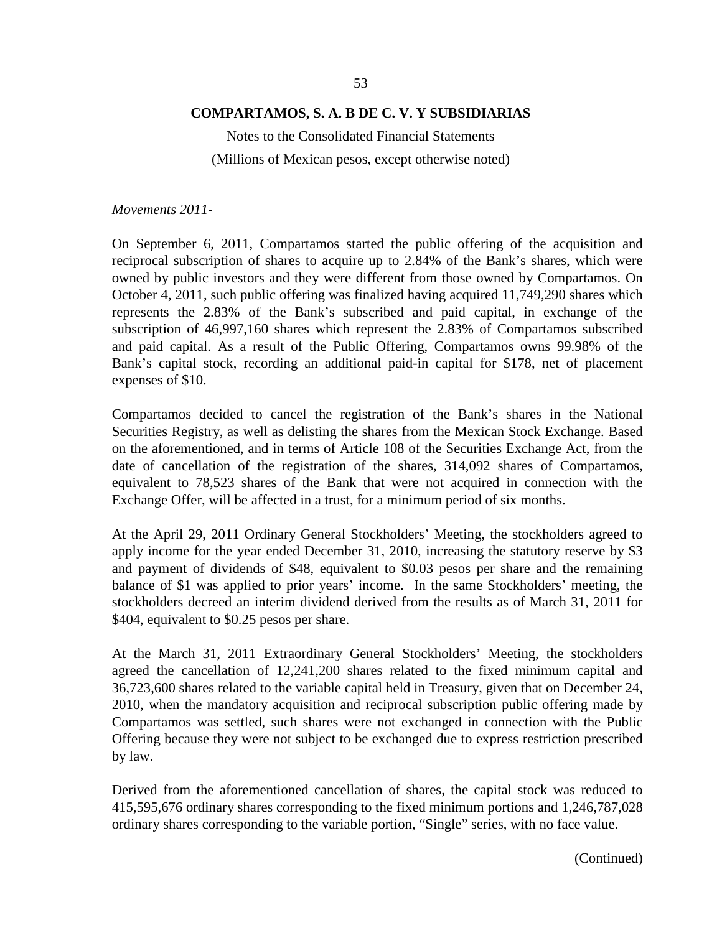Notes to the Consolidated Financial Statements (Millions of Mexican pesos, except otherwise noted)

*Movements 2011-*

On September 6, 2011, Compartamos started the public offering of the acquisition and reciprocal subscription of shares to acquire up to 2.84% of the Bank's shares, which were owned by public investors and they were different from those owned by Compartamos. On October 4, 2011, such public offering was finalized having acquired 11,749,290 shares which represents the 2.83% of the Bank's subscribed and paid capital, in exchange of the subscription of 46,997,160 shares which represent the 2.83% of Compartamos subscribed and paid capital. As a result of the Public Offering, Compartamos owns 99.98% of the Bank's capital stock, recording an additional paid-in capital for \$178, net of placement expenses of \$10.

Compartamos decided to cancel the registration of the Bank's shares in the National Securities Registry, as well as delisting the shares from the Mexican Stock Exchange. Based on the aforementioned, and in terms of Article 108 of the Securities Exchange Act, from the date of cancellation of the registration of the shares, 314,092 shares of Compartamos, equivalent to 78,523 shares of the Bank that were not acquired in connection with the Exchange Offer, will be affected in a trust, for a minimum period of six months.

At the April 29, 2011 Ordinary General Stockholders' Meeting, the stockholders agreed to apply income for the year ended December 31, 2010, increasing the statutory reserve by \$3 and payment of dividends of \$48, equivalent to \$0.03 pesos per share and the remaining balance of \$1 was applied to prior years' income. In the same Stockholders' meeting, the stockholders decreed an interim dividend derived from the results as of March 31, 2011 for \$404, equivalent to \$0.25 pesos per share.

At the March 31, 2011 Extraordinary General Stockholders' Meeting, the stockholders agreed the cancellation of 12,241,200 shares related to the fixed minimum capital and 36,723,600 shares related to the variable capital held in Treasury, given that on December 24, 2010, when the mandatory acquisition and reciprocal subscription public offering made by Compartamos was settled, such shares were not exchanged in connection with the Public Offering because they were not subject to be exchanged due to express restriction prescribed by law.

Derived from the aforementioned cancellation of shares, the capital stock was reduced to 415,595,676 ordinary shares corresponding to the fixed minimum portions and 1,246,787,028 ordinary shares corresponding to the variable portion, "Single" series, with no face value.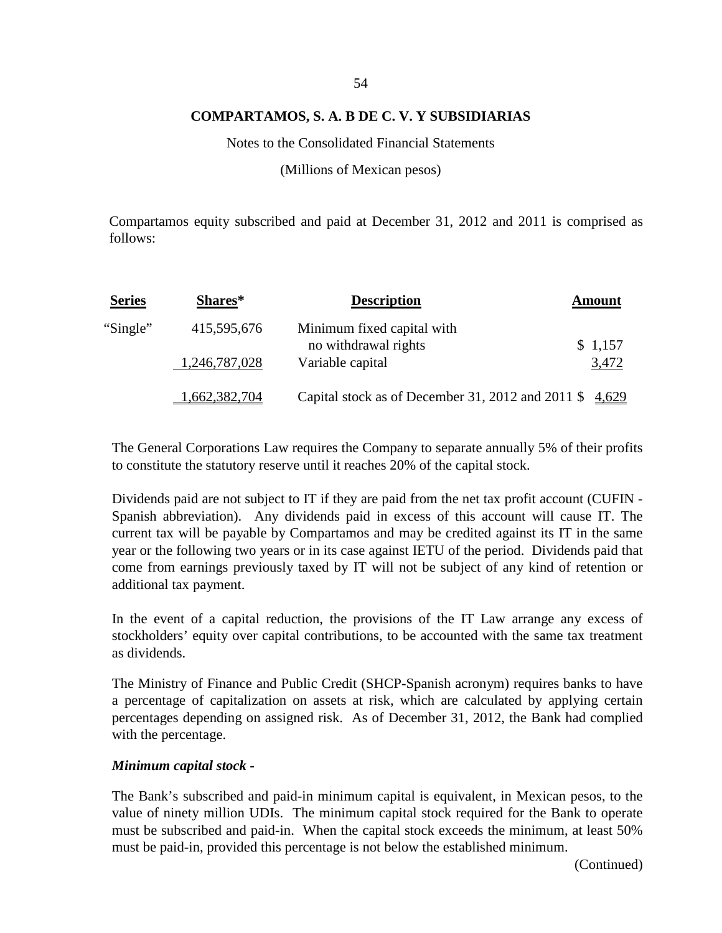Notes to the Consolidated Financial Statements

(Millions of Mexican pesos)

Compartamos equity subscribed and paid at December 31, 2012 and 2011 is comprised as follows:

| <b>Series</b> | Shares*       | <b>Description</b>                                               | Amount  |
|---------------|---------------|------------------------------------------------------------------|---------|
| "Single"      | 415,595,676   | Minimum fixed capital with<br>no withdrawal rights               | \$1,157 |
|               | 1,246,787,028 | Variable capital                                                 | 3,472   |
|               | 1,662,382,704 | Capital stock as of December 31, 2012 and 2011 $\frac{4,629}{2}$ |         |

The General Corporations Law requires the Company to separate annually 5% of their profits to constitute the statutory reserve until it reaches 20% of the capital stock.

Dividends paid are not subject to IT if they are paid from the net tax profit account (CUFIN - Spanish abbreviation). Any dividends paid in excess of this account will cause IT. The current tax will be payable by Compartamos and may be credited against its IT in the same year or the following two years or in its case against IETU of the period. Dividends paid that come from earnings previously taxed by IT will not be subject of any kind of retention or additional tax payment.

In the event of a capital reduction, the provisions of the IT Law arrange any excess of stockholders' equity over capital contributions, to be accounted with the same tax treatment as dividends.

The Ministry of Finance and Public Credit (SHCP-Spanish acronym) requires banks to have a percentage of capitalization on assets at risk, which are calculated by applying certain percentages depending on assigned risk. As of December 31, 2012, the Bank had complied with the percentage.

#### *Minimum capital stock -*

The Bank's subscribed and paid-in minimum capital is equivalent, in Mexican pesos, to the value of ninety million UDIs. The minimum capital stock required for the Bank to operate must be subscribed and paid-in. When the capital stock exceeds the minimum, at least 50% must be paid-in, provided this percentage is not below the established minimum.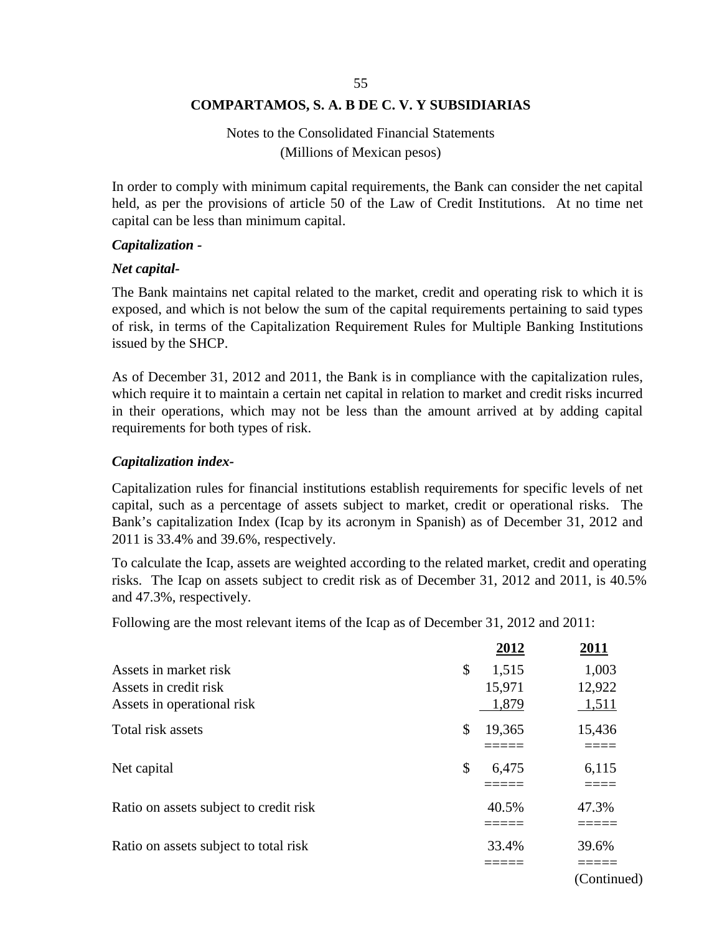# Notes to the Consolidated Financial Statements (Millions of Mexican pesos)

In order to comply with minimum capital requirements, the Bank can consider the net capital held, as per the provisions of article 50 of the Law of Credit Institutions. At no time net capital can be less than minimum capital.

### *Capitalization -*

### *Net capital-*

The Bank maintains net capital related to the market, credit and operating risk to which it is exposed, and which is not below the sum of the capital requirements pertaining to said types of risk, in terms of the Capitalization Requirement Rules for Multiple Banking Institutions issued by the SHCP.

As of December 31, 2012 and 2011, the Bank is in compliance with the capitalization rules, which require it to maintain a certain net capital in relation to market and credit risks incurred in their operations, which may not be less than the amount arrived at by adding capital requirements for both types of risk.

### *Capitalization index-*

Capitalization rules for financial institutions establish requirements for specific levels of net capital, such as a percentage of assets subject to market, credit or operational risks. The Bank's capitalization Index (Icap by its acronym in Spanish) as of December 31, 2012 and 2011 is 33.4% and 39.6%, respectively.

To calculate the Icap, assets are weighted according to the related market, credit and operating risks. The Icap on assets subject to credit risk as of December 31, 2012 and 2011, is 40.5% and 47.3%, respectively.

Following are the most relevant items of the Icap as of December 31, 2012 and 2011:

|                                        | 2012         | <u>2011</u> |
|----------------------------------------|--------------|-------------|
| Assets in market risk                  | \$<br>1,515  | 1,003       |
| Assets in credit risk                  | 15,971       | 12,922      |
| Assets in operational risk             | 1,879        | 1,511       |
| Total risk assets                      | \$<br>19,365 | 15,436      |
|                                        |              |             |
| Net capital                            | \$<br>6,475  | 6,115       |
|                                        |              |             |
| Ratio on assets subject to credit risk | 40.5%        | 47.3%       |
|                                        |              |             |
| Ratio on assets subject to total risk  | 33.4%        | 39.6%       |
|                                        |              |             |

(Continued)

55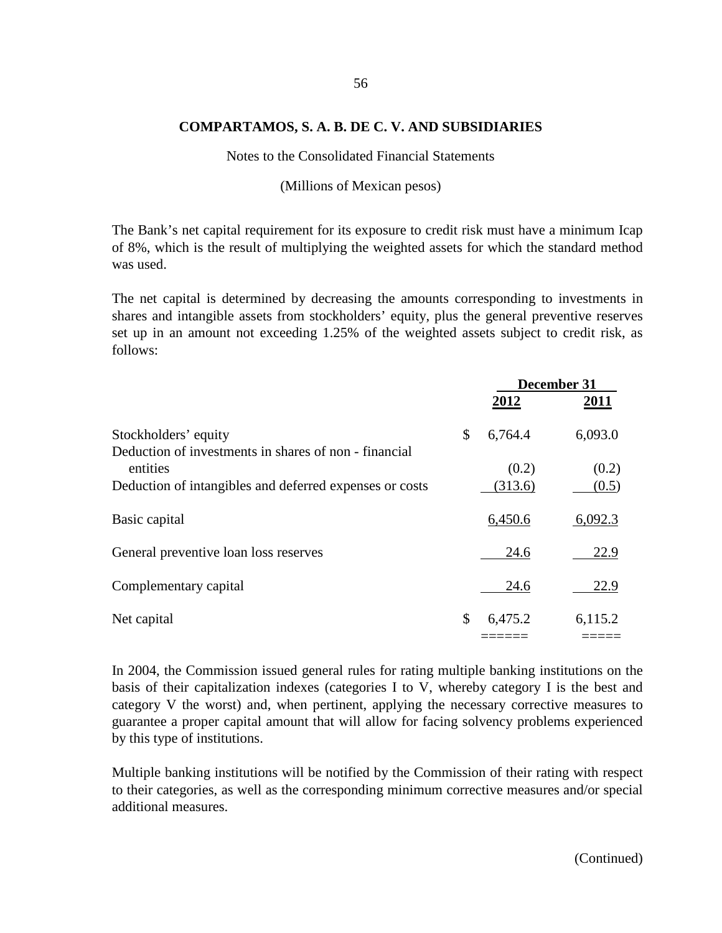Notes to the Consolidated Financial Statements

(Millions of Mexican pesos)

The Bank's net capital requirement for its exposure to credit risk must have a minimum Icap of 8%, which is the result of multiplying the weighted assets for which the standard method was used.

The net capital is determined by decreasing the amounts corresponding to investments in shares and intangible assets from stockholders' equity, plus the general preventive reserves set up in an amount not exceeding 1.25% of the weighted assets subject to credit risk, as follows:

|                                                                   | December 31   |         |  |
|-------------------------------------------------------------------|---------------|---------|--|
|                                                                   | 2012          | 2011    |  |
| Stockholders' equity                                              | \$<br>6,764.4 | 6,093.0 |  |
| Deduction of investments in shares of non - financial<br>entities | (0.2)         | (0.2)   |  |
| Deduction of intangibles and deferred expenses or costs           | (313.6)       | (0.5)   |  |
| Basic capital                                                     | 6,450.6       | 6,092.3 |  |
| General preventive loan loss reserves                             | 24.6          | 22.9    |  |
| Complementary capital                                             | 24.6          | 22.9    |  |
| Net capital                                                       | \$<br>6,475.2 | 6,115.2 |  |
|                                                                   |               |         |  |

In 2004, the Commission issued general rules for rating multiple banking institutions on the basis of their capitalization indexes (categories I to V, whereby category I is the best and category V the worst) and, when pertinent, applying the necessary corrective measures to guarantee a proper capital amount that will allow for facing solvency problems experienced by this type of institutions.

Multiple banking institutions will be notified by the Commission of their rating with respect to their categories, as well as the corresponding minimum corrective measures and/or special additional measures.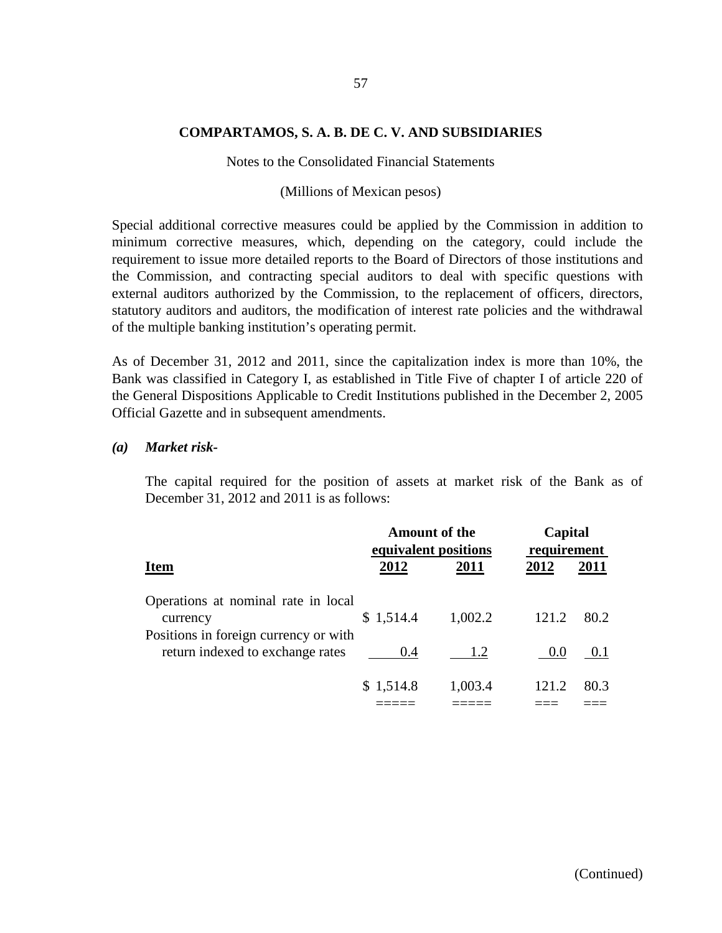#### Notes to the Consolidated Financial Statements

#### (Millions of Mexican pesos)

Special additional corrective measures could be applied by the Commission in addition to minimum corrective measures, which, depending on the category, could include the requirement to issue more detailed reports to the Board of Directors of those institutions and the Commission, and contracting special auditors to deal with specific questions with external auditors authorized by the Commission, to the replacement of officers, directors, statutory auditors and auditors, the modification of interest rate policies and the withdrawal of the multiple banking institution's operating permit.

As of December 31, 2012 and 2011, since the capitalization index is more than 10%, the Bank was classified in Category I, as established in Title Five of chapter I of article 220 of the General Dispositions Applicable to Credit Institutions published in the December 2, 2005 Official Gazette and in subsequent amendments.

#### *(a) Market risk-*

The capital required for the position of assets at market risk of the Bank as of December 31, 2012 and 2011 is as follows:

|                                                                                          | <b>Amount of the</b><br>equivalent positions |         |       | Capital<br>requirement |  |
|------------------------------------------------------------------------------------------|----------------------------------------------|---------|-------|------------------------|--|
| <b>Item</b>                                                                              | 2012                                         | 2011    | 2012  | <b>2011</b>            |  |
| Operations at nominal rate in local<br>currency<br>Positions in foreign currency or with | \$1,514.4                                    | 1,002.2 | 121.2 | 80.2                   |  |
| return indexed to exchange rates                                                         | 0.4                                          | 1.2     | 0.0   | 0.1                    |  |
|                                                                                          | \$1,514.8                                    | 1,003.4 | 121.2 | 80.3                   |  |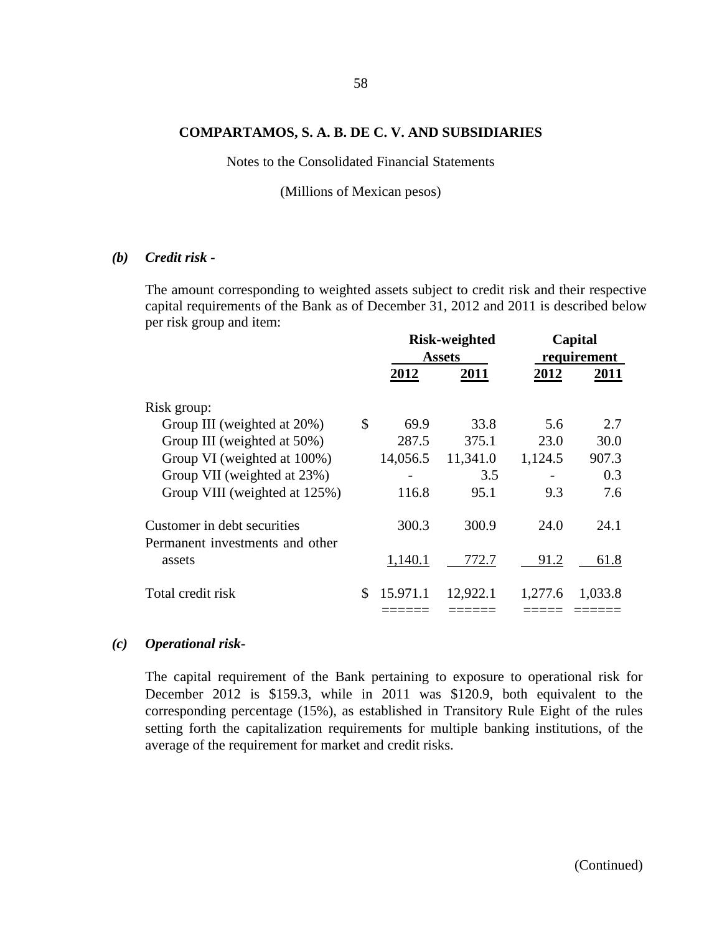Notes to the Consolidated Financial Statements

(Millions of Mexican pesos)

#### *(b) Credit risk -*

The amount corresponding to weighted assets subject to credit risk and their respective capital requirements of the Bank as of December 31, 2012 and 2011 is described below per risk group and item:

|                                                                |    | <b>Risk-weighted</b><br><b>Assets</b> |          | Capital<br>requirement |         |
|----------------------------------------------------------------|----|---------------------------------------|----------|------------------------|---------|
|                                                                |    |                                       |          |                        |         |
|                                                                |    | 2012                                  | 2011     | 2012                   | 2011    |
| Risk group:                                                    |    |                                       |          |                        |         |
| Group III (weighted at 20%)                                    | \$ | 69.9                                  | 33.8     | 5.6                    | 2.7     |
| Group III (weighted at 50%)                                    |    | 287.5                                 | 375.1    | 23.0                   | 30.0    |
| Group VI (weighted at 100%)                                    |    | 14,056.5                              | 11,341.0 | 1,124.5                | 907.3   |
| Group VII (weighted at 23%)                                    |    |                                       | 3.5      |                        | 0.3     |
| Group VIII (weighted at 125%)                                  |    | 116.8                                 | 95.1     | 9.3                    | 7.6     |
| Customer in debt securities<br>Permanent investments and other |    | 300.3                                 | 300.9    | 24.0                   | 24.1    |
| assets                                                         |    | 1,140.1                               | 772.7    | 91.2                   | 61.8    |
| Total credit risk                                              | \$ | 15.971.1                              | 12,922.1 | 1,277.6                | 1,033.8 |

### *(c) Operational risk-*

The capital requirement of the Bank pertaining to exposure to operational risk for December 2012 is \$159.3, while in 2011 was \$120.9, both equivalent to the corresponding percentage (15%), as established in Transitory Rule Eight of the rules setting forth the capitalization requirements for multiple banking institutions, of the average of the requirement for market and credit risks.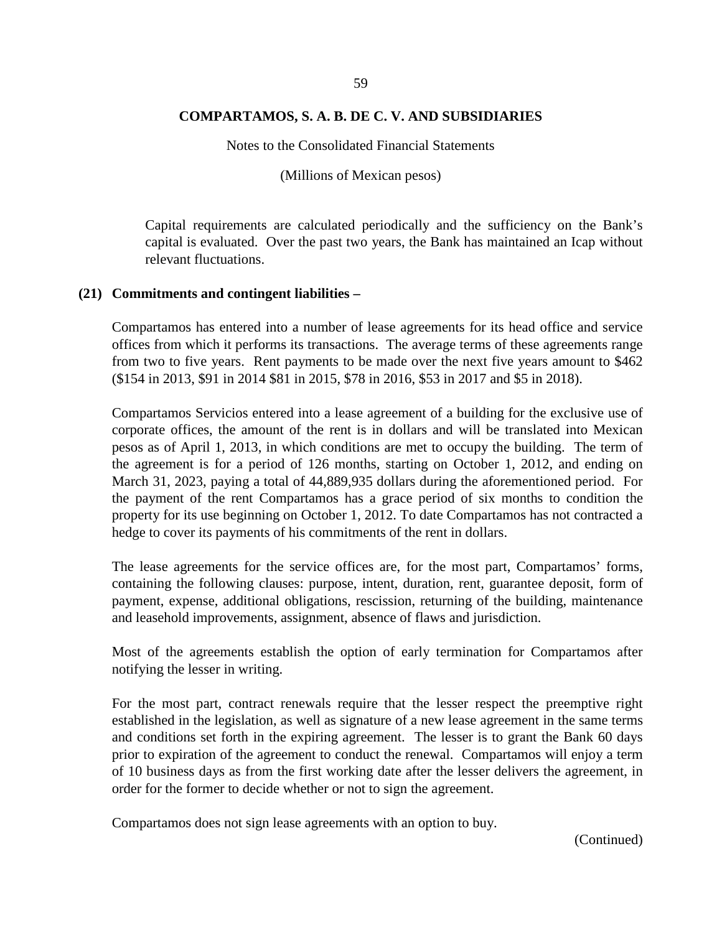Notes to the Consolidated Financial Statements

(Millions of Mexican pesos)

Capital requirements are calculated periodically and the sufficiency on the Bank's capital is evaluated. Over the past two years, the Bank has maintained an Icap without relevant fluctuations.

#### **(21) Commitments and contingent liabilities –**

Compartamos has entered into a number of lease agreements for its head office and service offices from which it performs its transactions. The average terms of these agreements range from two to five years. Rent payments to be made over the next five years amount to \$462 (\$154 in 2013, \$91 in 2014 \$81 in 2015, \$78 in 2016, \$53 in 2017 and \$5 in 2018).

Compartamos Servicios entered into a lease agreement of a building for the exclusive use of corporate offices, the amount of the rent is in dollars and will be translated into Mexican pesos as of April 1, 2013, in which conditions are met to occupy the building. The term of the agreement is for a period of 126 months, starting on October 1, 2012, and ending on March 31, 2023, paying a total of 44,889,935 dollars during the aforementioned period. For the payment of the rent Compartamos has a grace period of six months to condition the property for its use beginning on October 1, 2012. To date Compartamos has not contracted a hedge to cover its payments of his commitments of the rent in dollars.

The lease agreements for the service offices are, for the most part, Compartamos' forms, containing the following clauses: purpose, intent, duration, rent, guarantee deposit, form of payment, expense, additional obligations, rescission, returning of the building, maintenance and leasehold improvements, assignment, absence of flaws and jurisdiction.

Most of the agreements establish the option of early termination for Compartamos after notifying the lesser in writing.

For the most part, contract renewals require that the lesser respect the preemptive right established in the legislation, as well as signature of a new lease agreement in the same terms and conditions set forth in the expiring agreement. The lesser is to grant the Bank 60 days prior to expiration of the agreement to conduct the renewal. Compartamos will enjoy a term of 10 business days as from the first working date after the lesser delivers the agreement, in order for the former to decide whether or not to sign the agreement.

Compartamos does not sign lease agreements with an option to buy.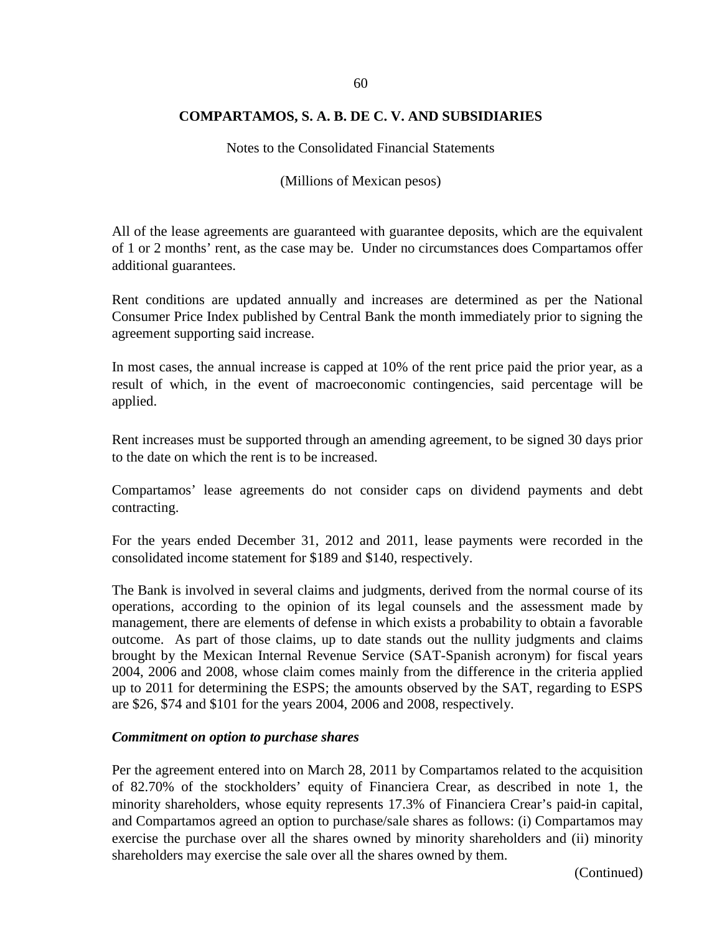Notes to the Consolidated Financial Statements

(Millions of Mexican pesos)

All of the lease agreements are guaranteed with guarantee deposits, which are the equivalent of 1 or 2 months' rent, as the case may be. Under no circumstances does Compartamos offer additional guarantees.

Rent conditions are updated annually and increases are determined as per the National Consumer Price Index published by Central Bank the month immediately prior to signing the agreement supporting said increase.

In most cases, the annual increase is capped at 10% of the rent price paid the prior year, as a result of which, in the event of macroeconomic contingencies, said percentage will be applied.

Rent increases must be supported through an amending agreement, to be signed 30 days prior to the date on which the rent is to be increased.

Compartamos' lease agreements do not consider caps on dividend payments and debt contracting.

For the years ended December 31, 2012 and 2011, lease payments were recorded in the consolidated income statement for \$189 and \$140, respectively.

The Bank is involved in several claims and judgments, derived from the normal course of its operations, according to the opinion of its legal counsels and the assessment made by management, there are elements of defense in which exists a probability to obtain a favorable outcome. As part of those claims, up to date stands out the nullity judgments and claims brought by the Mexican Internal Revenue Service (SAT-Spanish acronym) for fiscal years 2004, 2006 and 2008, whose claim comes mainly from the difference in the criteria applied up to 2011 for determining the ESPS; the amounts observed by the SAT, regarding to ESPS are \$26, \$74 and \$101 for the years 2004, 2006 and 2008, respectively.

#### *Commitment on option to purchase shares*

Per the agreement entered into on March 28, 2011 by Compartamos related to the acquisition of 82.70% of the stockholders' equity of Financiera Crear, as described in note 1, the minority shareholders, whose equity represents 17.3% of Financiera Crear's paid-in capital, and Compartamos agreed an option to purchase/sale shares as follows: (i) Compartamos may exercise the purchase over all the shares owned by minority shareholders and (ii) minority shareholders may exercise the sale over all the shares owned by them.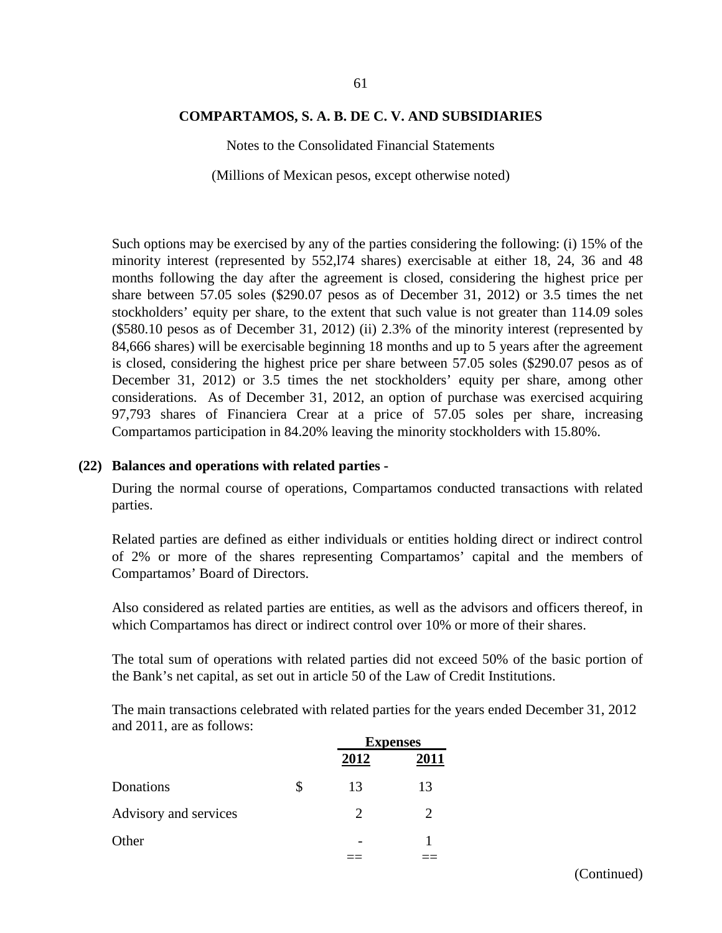Notes to the Consolidated Financial Statements

(Millions of Mexican pesos, except otherwise noted)

Such options may be exercised by any of the parties considering the following: (i) 15% of the minority interest (represented by 552,l74 shares) exercisable at either 18, 24, 36 and 48 months following the day after the agreement is closed, considering the highest price per share between 57.05 soles (\$290.07 pesos as of December 31, 2012) or 3.5 times the net stockholders' equity per share, to the extent that such value is not greater than 114.09 soles (\$580.10 pesos as of December 31, 2012) (ii) 2.3% of the minority interest (represented by 84,666 shares) will be exercisable beginning 18 months and up to 5 years after the agreement is closed, considering the highest price per share between 57.05 soles (\$290.07 pesos as of December 31, 2012) or 3.5 times the net stockholders' equity per share, among other considerations. As of December 31, 2012, an option of purchase was exercised acquiring 97,793 shares of Financiera Crear at a price of 57.05 soles per share, increasing Compartamos participation in 84.20% leaving the minority stockholders with 15.80%.

#### **(22) Balances and operations with related parties -**

During the normal course of operations, Compartamos conducted transactions with related parties.

Related parties are defined as either individuals or entities holding direct or indirect control of 2% or more of the shares representing Compartamos' capital and the members of Compartamos' Board of Directors.

Also considered as related parties are entities, as well as the advisors and officers thereof, in which Compartamos has direct or indirect control over 10% or more of their shares.

The total sum of operations with related parties did not exceed 50% of the basic portion of the Bank's net capital, as set out in article 50 of the Law of Credit Institutions.

The main transactions celebrated with related parties for the years ended December 31, 2012 and 2011, are as follows:

|                       |                       | <b>Expenses</b> |  |
|-----------------------|-----------------------|-----------------|--|
|                       | 2012                  | 2011            |  |
| Donations             | \$<br>13              | 13              |  |
| Advisory and services | $\mathcal{D}_{\cdot}$ |                 |  |
| Other                 |                       |                 |  |
|                       |                       |                 |  |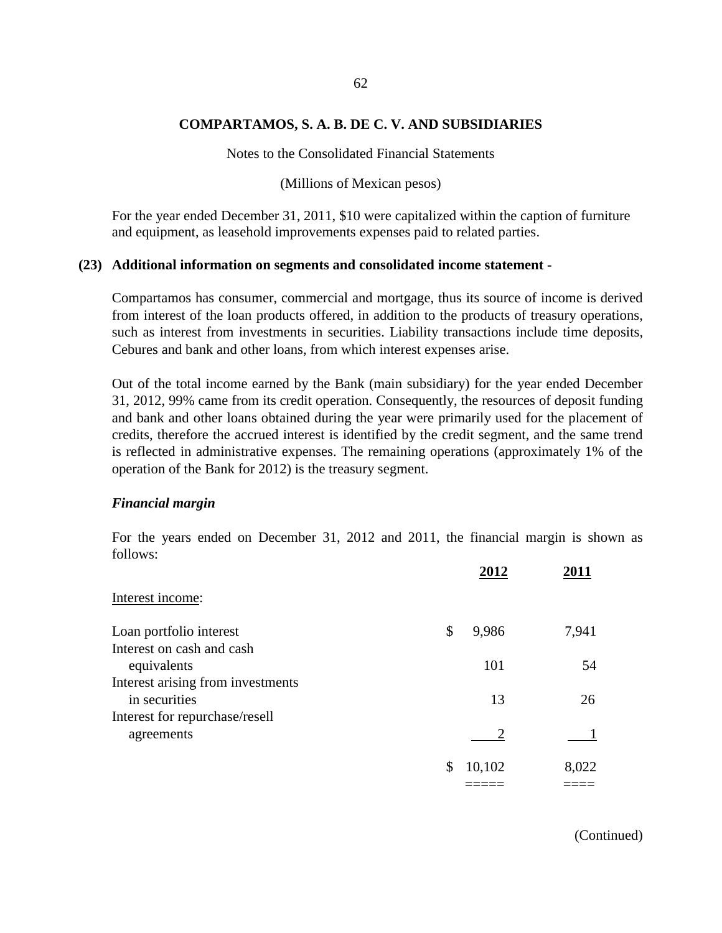Notes to the Consolidated Financial Statements

(Millions of Mexican pesos)

For the year ended December 31, 2011, \$10 were capitalized within the caption of furniture and equipment, as leasehold improvements expenses paid to related parties.

#### **(23) Additional information on segments and consolidated income statement -**

Compartamos has consumer, commercial and mortgage, thus its source of income is derived from interest of the loan products offered, in addition to the products of treasury operations, such as interest from investments in securities. Liability transactions include time deposits, Cebures and bank and other loans, from which interest expenses arise.

Out of the total income earned by the Bank (main subsidiary) for the year ended December 31, 2012, 99% came from its credit operation. Consequently, the resources of deposit funding and bank and other loans obtained during the year were primarily used for the placement of credits, therefore the accrued interest is identified by the credit segment, and the same trend is reflected in administrative expenses. The remaining operations (approximately 1% of the operation of the Bank for 2012) is the treasury segment.

#### *Financial margin*

For the years ended on December 31, 2012 and 2011, the financial margin is shown as follows:

| Interest income:                  |             |       |
|-----------------------------------|-------------|-------|
| Loan portfolio interest           | 9,986<br>\$ | 7,941 |
| Interest on cash and cash         |             |       |
| equivalents                       | 101         | 54    |
| Interest arising from investments |             |       |
| in securities                     | 13          | 26    |
| Interest for repurchase/resell    |             |       |
| agreements                        |             |       |
|                                   | 10,102      | 8,022 |
|                                   |             |       |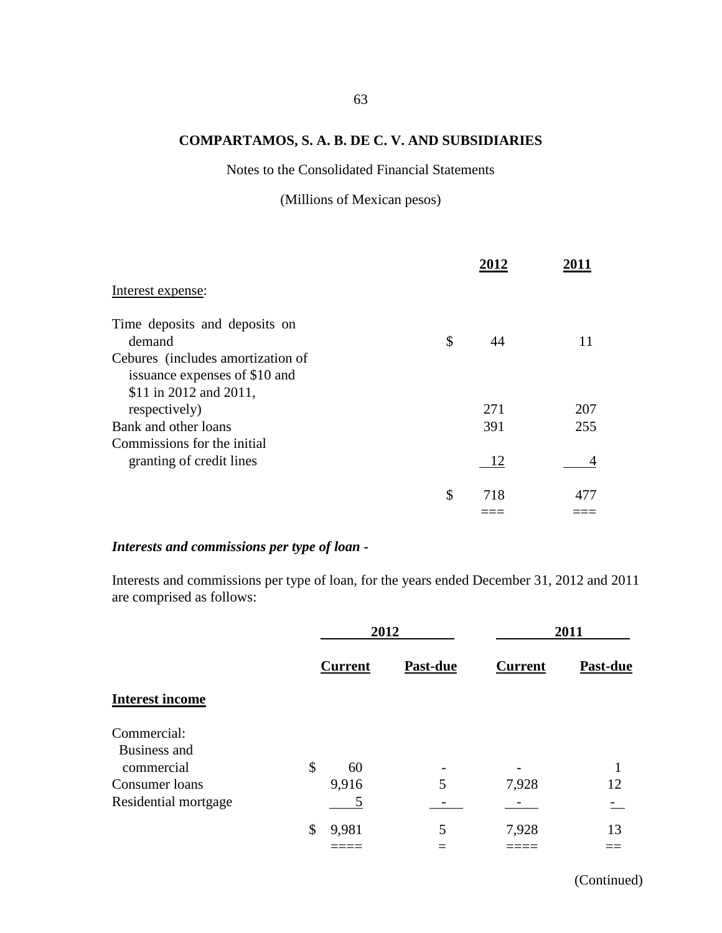Notes to the Consolidated Financial Statements

(Millions of Mexican pesos)

| Interest expense:                                                  |           |     |
|--------------------------------------------------------------------|-----------|-----|
| Time deposits and deposits on                                      |           |     |
| demand                                                             | \$<br>44  | 11  |
| Cebures (includes amortization of<br>issuance expenses of \$10 and |           |     |
|                                                                    |           |     |
| \$11 in 2012 and 2011,                                             |           |     |
| respectively)                                                      | 271       | 207 |
| Bank and other loans                                               | 391       | 255 |
| Commissions for the initial                                        |           |     |
| granting of credit lines                                           | 12        |     |
|                                                                    | \$<br>718 | 477 |
|                                                                    |           |     |

# *Interests and commissions per type of loan -*

Interests and commissions per type of loan, for the years ended December 31, 2012 and 2011 are comprised as follows:

|                        | 2012           |          | 2011           |                 |
|------------------------|----------------|----------|----------------|-----------------|
|                        | <b>Current</b> | Past-due | <b>Current</b> | <b>Past-due</b> |
| <b>Interest income</b> |                |          |                |                 |
| Commercial:            |                |          |                |                 |
| Business and           |                |          |                |                 |
| commercial             | \$<br>60       |          |                | 1               |
| Consumer loans         | 9,916          | 5        | 7,928          | 12              |
| Residential mortgage   |                |          |                |                 |
|                        | \$<br>9,981    | 5        | 7,928          | 13              |
|                        |                |          |                |                 |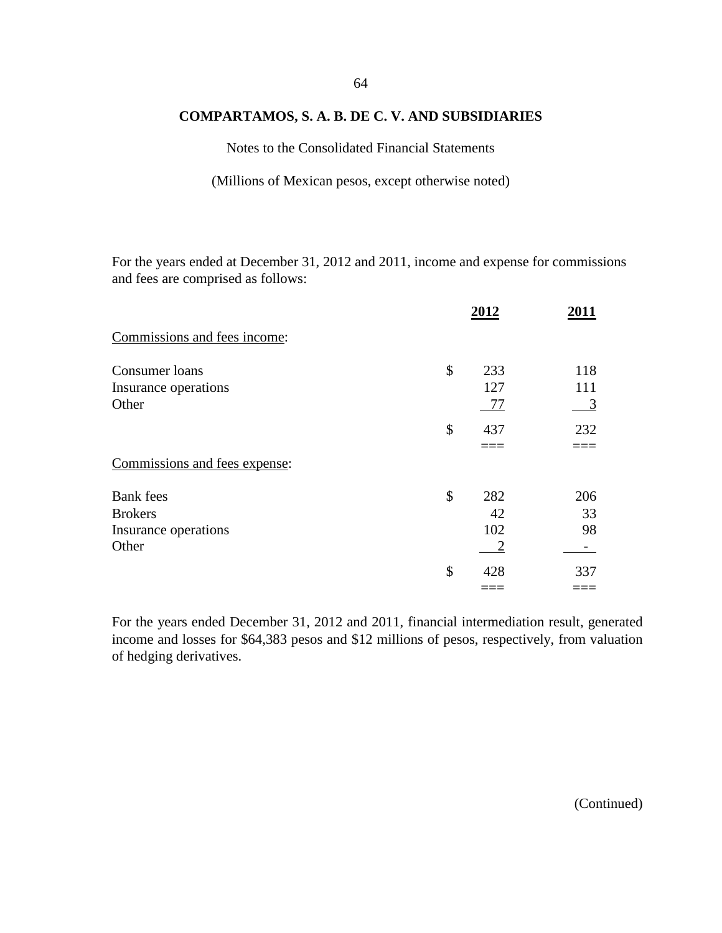Notes to the Consolidated Financial Statements

(Millions of Mexican pesos, except otherwise noted)

For the years ended at December 31, 2012 and 2011, income and expense for commissions and fees are comprised as follows:

|                               | 2012      | 2011 |
|-------------------------------|-----------|------|
| Commissions and fees income:  |           |      |
| Consumer loans                | \$<br>233 | 118  |
| Insurance operations          | 127       | 111  |
| Other                         | 77        | 3    |
|                               | \$<br>437 | 232  |
|                               |           |      |
| Commissions and fees expense: |           |      |
| <b>Bank</b> fees              | \$<br>282 | 206  |
| <b>Brokers</b>                | 42        | 33   |
| Insurance operations          | 102       | 98   |
| Other                         |           |      |
|                               | \$<br>428 | 337  |
|                               |           |      |

For the years ended December 31, 2012 and 2011, financial intermediation result, generated income and losses for \$64,383 pesos and \$12 millions of pesos, respectively, from valuation of hedging derivatives.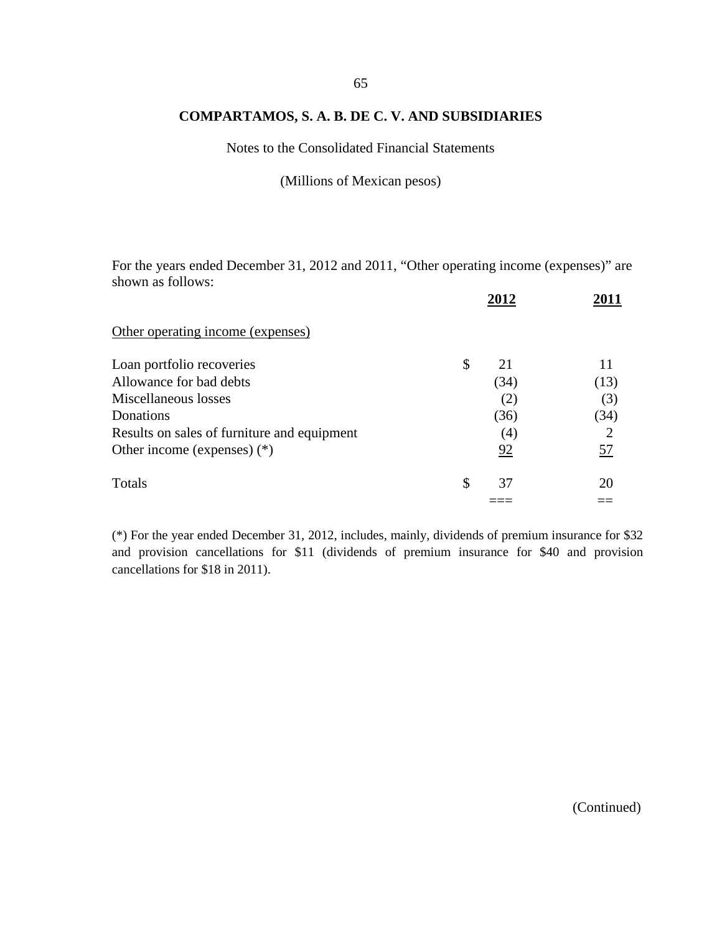Notes to the Consolidated Financial Statements

(Millions of Mexican pesos)

For the years ended December 31, 2012 and 2011, "Other operating income (expenses)" are shown as follows:

|                                             | 2012     |      |
|---------------------------------------------|----------|------|
| Other operating income (expenses)           |          |      |
| Loan portfolio recoveries                   | \$<br>21 | 11   |
| Allowance for bad debts                     | (34)     | (13) |
| Miscellaneous losses                        | (2)      | (3)  |
| Donations                                   | (36)     | (34) |
| Results on sales of furniture and equipment | (4)      | 2    |
| Other income (expenses) $(*)$               | 92       | 57   |
| Totals                                      | \$<br>37 | 20   |
|                                             |          |      |

(\*) For the year ended December 31, 2012, includes, mainly, dividends of premium insurance for \$32 and provision cancellations for \$11 (dividends of premium insurance for \$40 and provision cancellations for \$18 in 2011).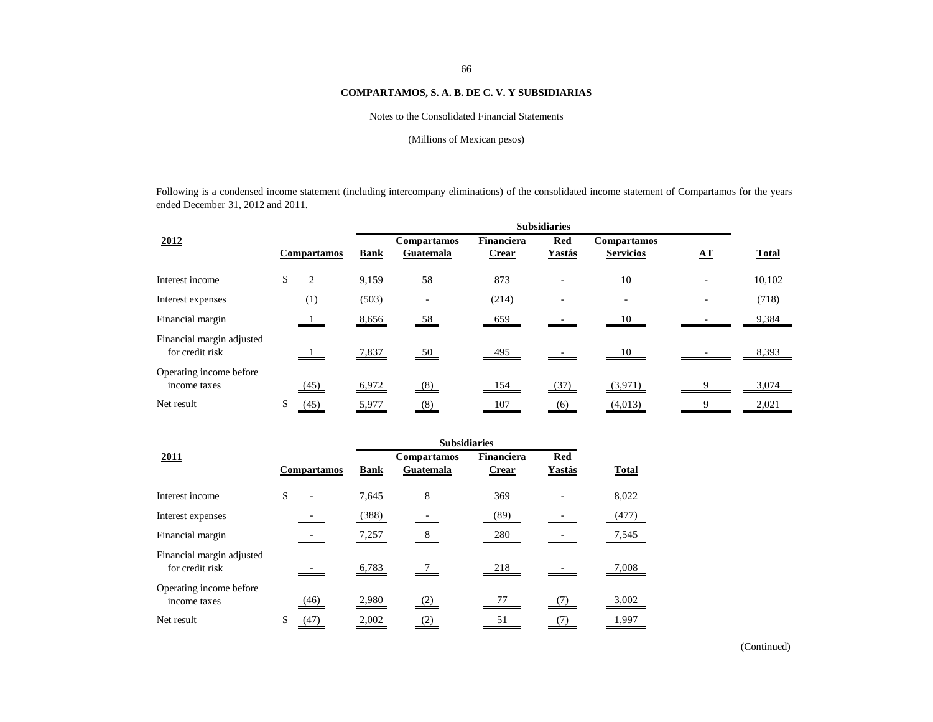# Notes to the Consolidated Financial Statements

# (Millions of Mexican pesos)

Following is a condensed income statement (including intercompany eliminations) of the consolidated income statement of Compartamos for the years ended December 31, 2012 and 2011.

|                                              |                    | <b>Subsidiaries</b> |                                 |                                   |                               |                                        |                        |              |  |
|----------------------------------------------|--------------------|---------------------|---------------------------------|-----------------------------------|-------------------------------|----------------------------------------|------------------------|--------------|--|
| 2012                                         | <b>Compartamos</b> | <b>Bank</b>         | <b>Compartamos</b><br>Guatemala | <b>Financiera</b><br><b>Crear</b> | <b>Red</b><br>Yastás          | <b>Compartamos</b><br><b>Servicios</b> | ${\bf \underline{AT}}$ | <b>Total</b> |  |
| Interest income                              | 2<br>\$            | 9,159               | 58                              | 873                               |                               | 10                                     |                        | 10,102       |  |
| Interest expenses                            | (1)                | (503)               |                                 | (214)                             |                               |                                        |                        | (718)        |  |
| Financial margin                             |                    | 8,656               | 58                              | 659                               |                               | 10                                     |                        | 9,384        |  |
| Financial margin adjusted<br>for credit risk |                    | 7,837               | $\underline{50}$                | 495                               |                               | 10                                     |                        | 8,393        |  |
| Operating income before<br>income taxes      | (45)               | 6,972               | (8)                             | 154                               | (37)                          | (3,971)                                |                        | 3,074        |  |
| Net result                                   | $\frac{(45)}{2}$   | 5,977               | $\underline{(8)}$               | <u>107</u>                        | $\underline{\underline{(6)}}$ | (4,013)                                |                        | 2,021        |  |

| 2011                                         |    | <b>Compartamos</b> | <b>Bank</b> | <b>Compartamos</b><br>Guatemala | Financiera<br><b>Crear</b> | <b>Red</b><br>Yastás | <b>Total</b> |
|----------------------------------------------|----|--------------------|-------------|---------------------------------|----------------------------|----------------------|--------------|
| Interest income                              | \$ |                    | 7,645       | 8                               | 369                        |                      | 8,022        |
| Interest expenses                            |    |                    | (388)       |                                 | (89)                       |                      | (477)        |
| Financial margin                             |    |                    | 7,257       | 8                               | 280                        |                      | 7,545        |
| Financial margin adjusted<br>for credit risk |    |                    | 6,783       |                                 | 218                        |                      | 7,008        |
| Operating income before<br>income taxes      |    | (46)               | 2,980       | (2)                             | 77                         |                      | 3,002        |
| Net result                                   | \$ |                    | 2,002       |                                 | 51                         |                      | 1,997        |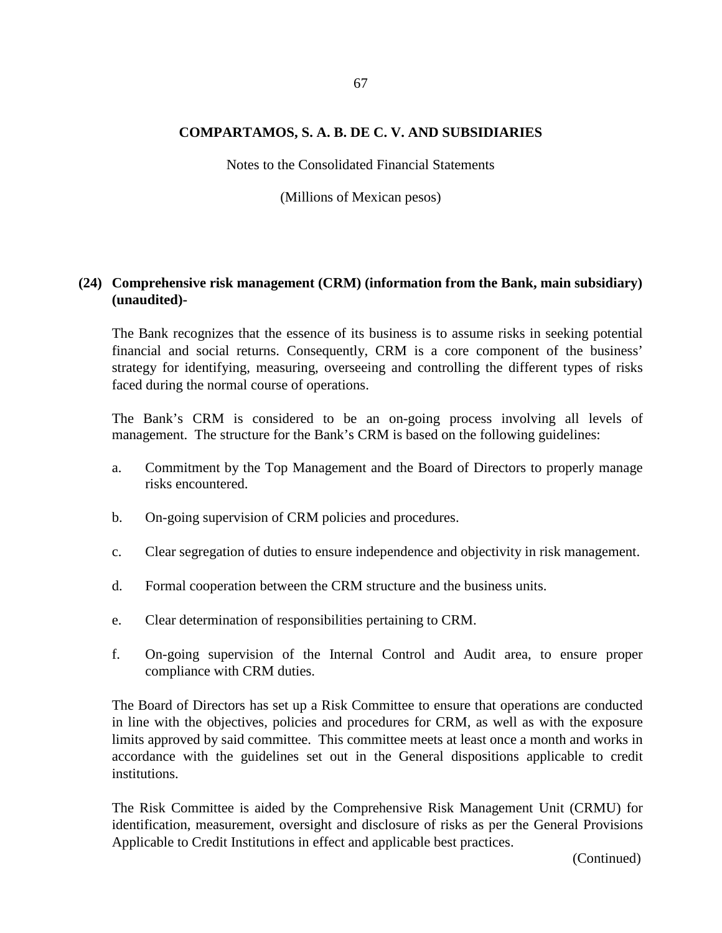Notes to the Consolidated Financial Statements

(Millions of Mexican pesos)

# **(24) Comprehensive risk management (CRM) (information from the Bank, main subsidiary) (unaudited)-**

The Bank recognizes that the essence of its business is to assume risks in seeking potential financial and social returns. Consequently, CRM is a core component of the business' strategy for identifying, measuring, overseeing and controlling the different types of risks faced during the normal course of operations.

The Bank's CRM is considered to be an on-going process involving all levels of management. The structure for the Bank's CRM is based on the following guidelines:

- a. Commitment by the Top Management and the Board of Directors to properly manage risks encountered.
- b. On-going supervision of CRM policies and procedures.
- c. Clear segregation of duties to ensure independence and objectivity in risk management.
- d. Formal cooperation between the CRM structure and the business units.
- e. Clear determination of responsibilities pertaining to CRM.
- f. On-going supervision of the Internal Control and Audit area, to ensure proper compliance with CRM duties.

The Board of Directors has set up a Risk Committee to ensure that operations are conducted in line with the objectives, policies and procedures for CRM, as well as with the exposure limits approved by said committee. This committee meets at least once a month and works in accordance with the guidelines set out in the General dispositions applicable to credit institutions.

The Risk Committee is aided by the Comprehensive Risk Management Unit (CRMU) for identification, measurement, oversight and disclosure of risks as per the General Provisions Applicable to Credit Institutions in effect and applicable best practices.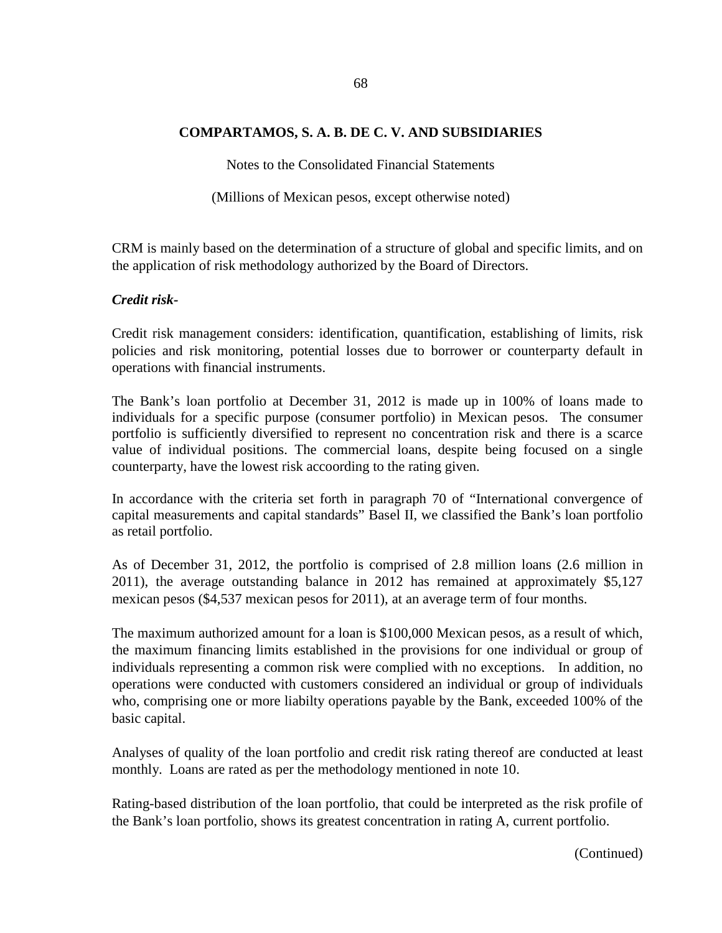Notes to the Consolidated Financial Statements

(Millions of Mexican pesos, except otherwise noted)

CRM is mainly based on the determination of a structure of global and specific limits, and on the application of risk methodology authorized by the Board of Directors.

## *Credit risk-*

Credit risk management considers: identification, quantification, establishing of limits, risk policies and risk monitoring, potential losses due to borrower or counterparty default in operations with financial instruments.

The Bank's loan portfolio at December 31, 2012 is made up in 100% of loans made to individuals for a specific purpose (consumer portfolio) in Mexican pesos. The consumer portfolio is sufficiently diversified to represent no concentration risk and there is a scarce value of individual positions. The commercial loans, despite being focused on a single counterparty, have the lowest risk accoording to the rating given.

In accordance with the criteria set forth in paragraph 70 of "International convergence of capital measurements and capital standards" Basel II, we classified the Bank's loan portfolio as retail portfolio.

As of December 31, 2012, the portfolio is comprised of 2.8 million loans (2.6 million in 2011), the average outstanding balance in 2012 has remained at approximately \$5,127 mexican pesos (\$4,537 mexican pesos for 2011), at an average term of four months.

The maximum authorized amount for a loan is \$100,000 Mexican pesos, as a result of which, the maximum financing limits established in the provisions for one individual or group of individuals representing a common risk were complied with no exceptions. In addition, no operations were conducted with customers considered an individual or group of individuals who, comprising one or more liabilty operations payable by the Bank, exceeded 100% of the basic capital.

Analyses of quality of the loan portfolio and credit risk rating thereof are conducted at least monthly. Loans are rated as per the methodology mentioned in note 10.

Rating-based distribution of the loan portfolio, that could be interpreted as the risk profile of the Bank's loan portfolio, shows its greatest concentration in rating A, current portfolio.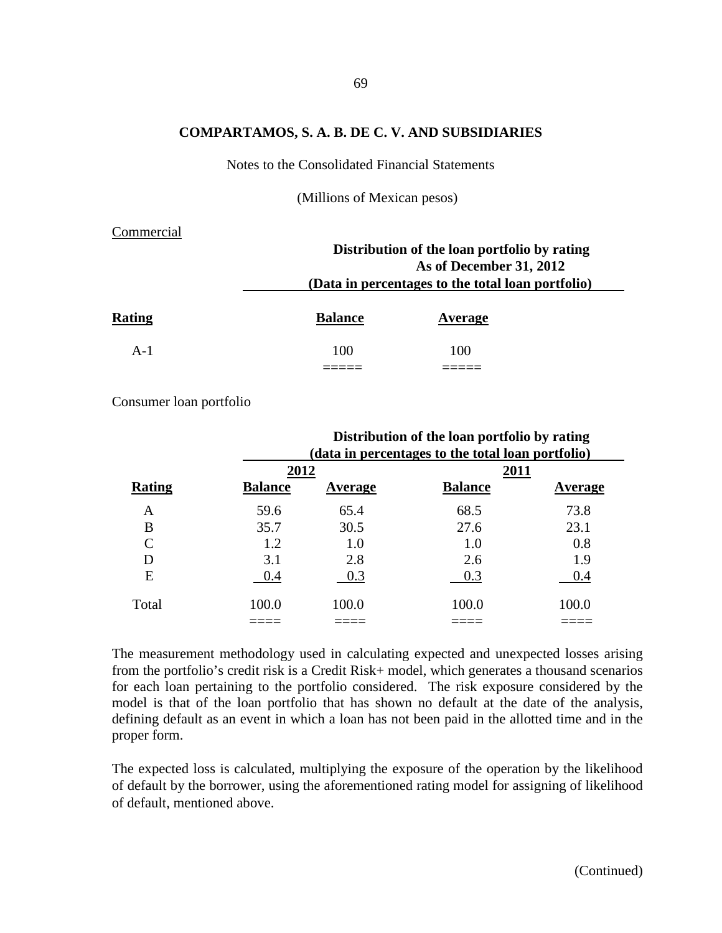Notes to the Consolidated Financial Statements

(Millions of Mexican pesos)

#### Commercial

|               | Distribution of the loan portfolio by rating<br>As of December 31, 2012<br>(Data in percentages to the total loan portfolio) |         |  |  |  |
|---------------|------------------------------------------------------------------------------------------------------------------------------|---------|--|--|--|
| <b>Rating</b> | <b>Balance</b>                                                                                                               | Average |  |  |  |
| $A-1$         | 100                                                                                                                          | 100     |  |  |  |
|               |                                                                                                                              |         |  |  |  |

Consumer loan portfolio

|        | Distribution of the loan portfolio by rating<br>(data in percentages to the total loan portfolio) |         |                |                |  |  |  |
|--------|---------------------------------------------------------------------------------------------------|---------|----------------|----------------|--|--|--|
|        | 2012                                                                                              |         | 2011           |                |  |  |  |
| Rating | <b>Balance</b>                                                                                    | Average | <b>Balance</b> | <b>Average</b> |  |  |  |
| A      | 59.6                                                                                              | 65.4    | 68.5           | 73.8           |  |  |  |
| B      | 35.7                                                                                              | 30.5    | 27.6           | 23.1           |  |  |  |
|        | 1.2                                                                                               | 1.0     | 1.0            | 0.8            |  |  |  |
| D      | 3.1                                                                                               | 2.8     | 2.6            | 1.9            |  |  |  |
| E      | 0.4                                                                                               | 0.3     | 0.3            | 0.4            |  |  |  |
| Total  | 100.0                                                                                             | 100.0   | 100.0          | 100.0          |  |  |  |
|        |                                                                                                   |         |                |                |  |  |  |

The measurement methodology used in calculating expected and unexpected losses arising from the portfolio's credit risk is a Credit Risk+ model, which generates a thousand scenarios for each loan pertaining to the portfolio considered. The risk exposure considered by the model is that of the loan portfolio that has shown no default at the date of the analysis, defining default as an event in which a loan has not been paid in the allotted time and in the proper form.

The expected loss is calculated, multiplying the exposure of the operation by the likelihood of default by the borrower, using the aforementioned rating model for assigning of likelihood of default, mentioned above.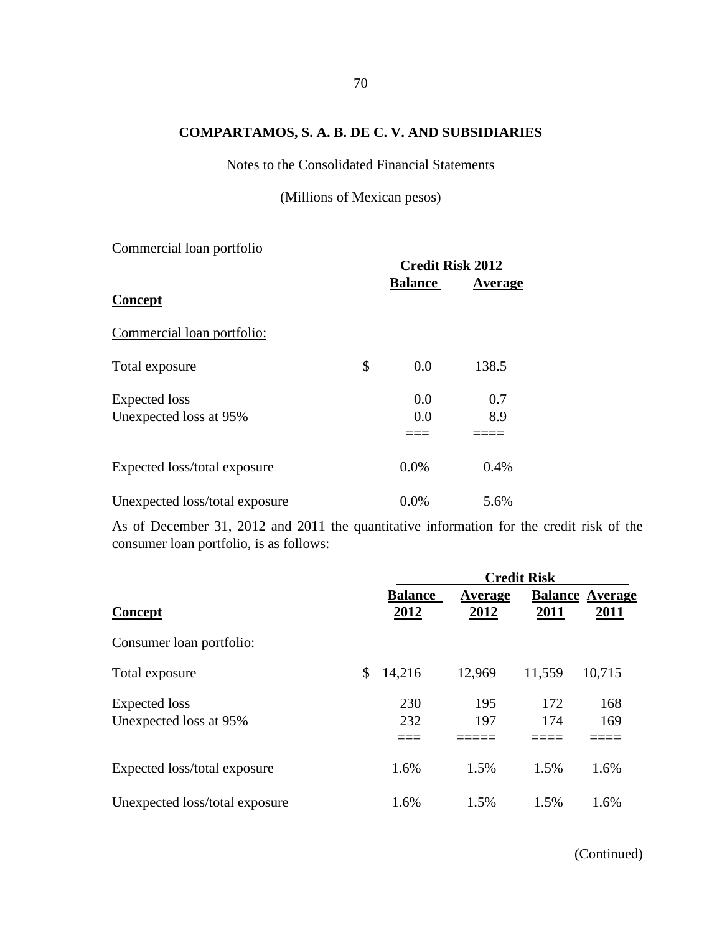Notes to the Consolidated Financial Statements

(Millions of Mexican pesos)

Commercial loan portfolio

|                                | <b>Credit Risk 2012</b> |         |
|--------------------------------|-------------------------|---------|
| Concept                        | <b>Balance</b>          | Average |
| Commercial loan portfolio:     |                         |         |
| Total exposure                 | \$<br>0.0               | 138.5   |
| <b>Expected</b> loss           | 0.0                     | 0.7     |
| Unexpected loss at 95%         | 0.0                     | 8.9     |
| Expected loss/total exposure   | 0.0%                    | 0.4%    |
| Unexpected loss/total exposure | 0.0%                    | 5.6%    |

As of December 31, 2012 and 2011 the quantitative information for the credit risk of the consumer loan portfolio, is as follows:

|                                                |                        | <b>Credit Risk</b> |            |                                |  |  |  |
|------------------------------------------------|------------------------|--------------------|------------|--------------------------------|--|--|--|
| <b>Concept</b>                                 | <b>Balance</b><br>2012 | Average<br>2012    | 2011       | <b>Balance Average</b><br>2011 |  |  |  |
| Consumer loan portfolio:                       |                        |                    |            |                                |  |  |  |
| Total exposure                                 | \$<br>14,216           | 12,969             | 11,559     | 10,715                         |  |  |  |
| <b>Expected</b> loss<br>Unexpected loss at 95% | 230<br>232             | 195<br>197         | 172<br>174 | 168<br>169                     |  |  |  |
|                                                |                        |                    |            |                                |  |  |  |
| Expected loss/total exposure                   | 1.6%                   | 1.5%               | 1.5%       | 1.6%                           |  |  |  |
| Unexpected loss/total exposure                 | 1.6%                   | 1.5%               | 1.5%       | 1.6%                           |  |  |  |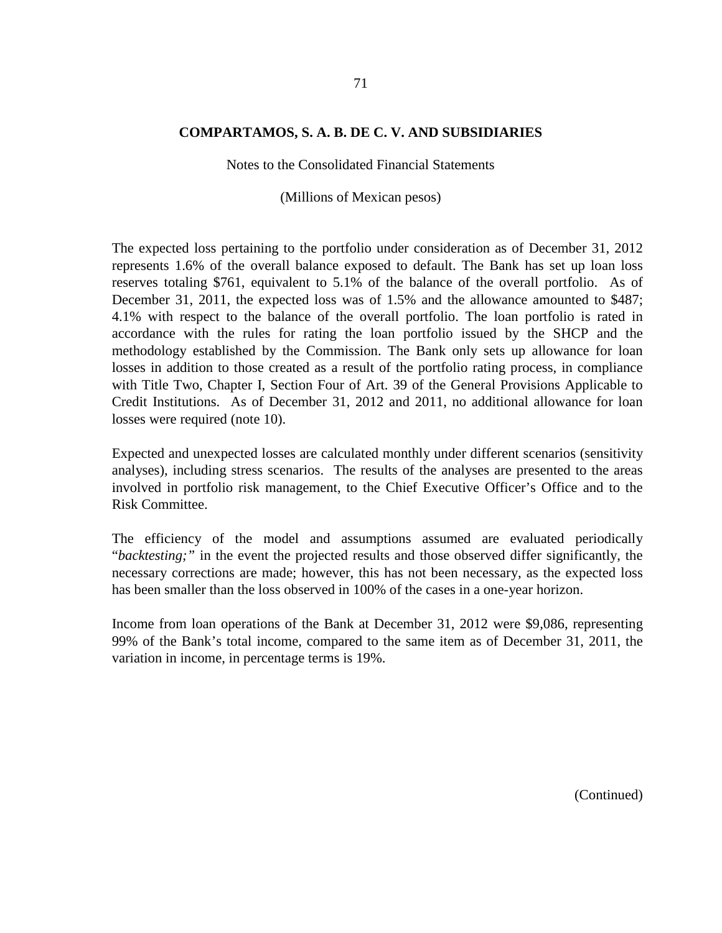Notes to the Consolidated Financial Statements

(Millions of Mexican pesos)

The expected loss pertaining to the portfolio under consideration as of December 31, 2012 represents 1.6% of the overall balance exposed to default. The Bank has set up loan loss reserves totaling \$761, equivalent to 5.1% of the balance of the overall portfolio. As of December 31, 2011, the expected loss was of 1.5% and the allowance amounted to \$487; 4.1% with respect to the balance of the overall portfolio. The loan portfolio is rated in accordance with the rules for rating the loan portfolio issued by the SHCP and the methodology established by the Commission. The Bank only sets up allowance for loan losses in addition to those created as a result of the portfolio rating process, in compliance with Title Two, Chapter I, Section Four of Art. 39 of the General Provisions Applicable to Credit Institutions. As of December 31, 2012 and 2011, no additional allowance for loan losses were required (note 10).

Expected and unexpected losses are calculated monthly under different scenarios (sensitivity analyses), including stress scenarios. The results of the analyses are presented to the areas involved in portfolio risk management, to the Chief Executive Officer's Office and to the Risk Committee.

The efficiency of the model and assumptions assumed are evaluated periodically "*backtesting;"* in the event the projected results and those observed differ significantly, the necessary corrections are made; however, this has not been necessary, as the expected loss has been smaller than the loss observed in 100% of the cases in a one-year horizon.

Income from loan operations of the Bank at December 31, 2012 were \$9,086, representing 99% of the Bank's total income, compared to the same item as of December 31, 2011, the variation in income, in percentage terms is 19%.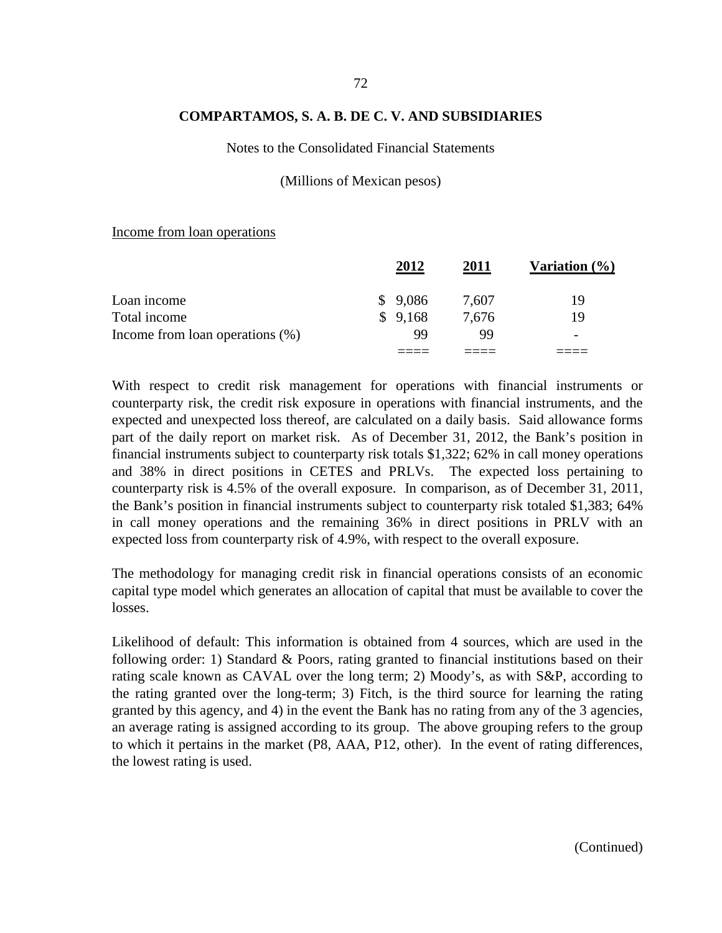#### Notes to the Consolidated Financial Statements

#### (Millions of Mexican pesos)

#### Income from loan operations

|                                    | 2012    | 2011  | Variation $(\% )$        |
|------------------------------------|---------|-------|--------------------------|
| Loan income                        | \$9,086 | 7,607 | 19                       |
| Total income                       | \$9,168 | 7,676 | 19                       |
| Income from loan operations $(\%)$ | 99      | 99    | $\overline{\phantom{0}}$ |
|                                    |         |       |                          |

With respect to credit risk management for operations with financial instruments or counterparty risk, the credit risk exposure in operations with financial instruments, and the expected and unexpected loss thereof, are calculated on a daily basis. Said allowance forms part of the daily report on market risk. As of December 31, 2012, the Bank's position in financial instruments subject to counterparty risk totals \$1,322; 62% in call money operations and 38% in direct positions in CETES and PRLVs. The expected loss pertaining to counterparty risk is 4.5% of the overall exposure. In comparison, as of December 31, 2011, the Bank's position in financial instruments subject to counterparty risk totaled \$1,383; 64% in call money operations and the remaining 36% in direct positions in PRLV with an expected loss from counterparty risk of 4.9%, with respect to the overall exposure.

The methodology for managing credit risk in financial operations consists of an economic capital type model which generates an allocation of capital that must be available to cover the losses.

Likelihood of default: This information is obtained from 4 sources, which are used in the following order: 1) Standard & Poors, rating granted to financial institutions based on their rating scale known as CAVAL over the long term; 2) Moody's, as with S&P, according to the rating granted over the long-term; 3) Fitch, is the third source for learning the rating granted by this agency, and 4) in the event the Bank has no rating from any of the 3 agencies, an average rating is assigned according to its group. The above grouping refers to the group to which it pertains in the market (P8, AAA, P12, other). In the event of rating differences, the lowest rating is used.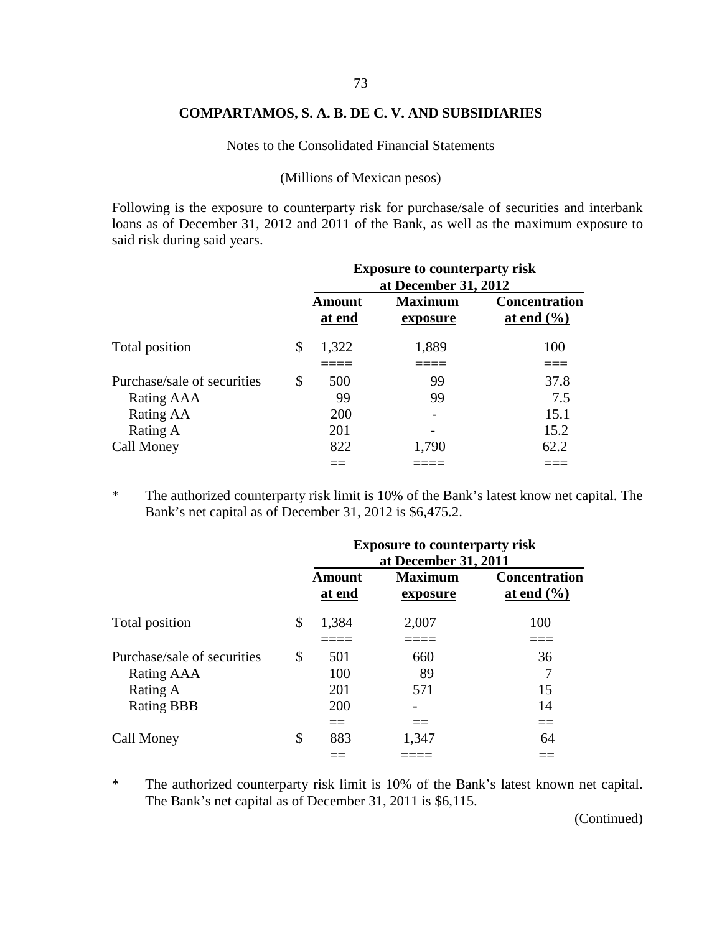Notes to the Consolidated Financial Statements

(Millions of Mexican pesos)

Following is the exposure to counterparty risk for purchase/sale of securities and interbank loans as of December 31, 2012 and 2011 of the Bank, as well as the maximum exposure to said risk during said years.

|                             | <b>Exposure to counterparty risk</b><br>at December 31, 2012 |                            |                                        |  |  |
|-----------------------------|--------------------------------------------------------------|----------------------------|----------------------------------------|--|--|
|                             | <b>Amount</b><br>at end                                      | <b>Maximum</b><br>exposure | <b>Concentration</b><br>at end $(\% )$ |  |  |
| Total position              | \$<br>1,322                                                  | 1,889                      | 100                                    |  |  |
| Purchase/sale of securities | \$<br>500                                                    | 99                         | 37.8                                   |  |  |
| Rating AAA                  | 99                                                           | 99                         | 7.5                                    |  |  |
| Rating AA                   | 200                                                          |                            | 15.1                                   |  |  |
| Rating A                    | 201                                                          |                            | 15.2                                   |  |  |
| Call Money                  | 822                                                          | 1,790                      | 62.2                                   |  |  |
|                             |                                                              |                            |                                        |  |  |

\* The authorized counterparty risk limit is 10% of the Bank's latest know net capital. The Bank's net capital as of December 31, 2012 is \$6,475.2.

|                                                                            | <b>Exposure to counterparty risk</b><br>at December 31, 2011 |                            |                                                                  |  |  |  |
|----------------------------------------------------------------------------|--------------------------------------------------------------|----------------------------|------------------------------------------------------------------|--|--|--|
|                                                                            | <b>Amount</b><br>at end                                      | <b>Maximum</b><br>exposure | <b>Concentration</b><br><u>at end <math>(\frac{6}{6})</math></u> |  |  |  |
| Total position                                                             | \$<br>1,384                                                  | 2,007                      | 100                                                              |  |  |  |
| Purchase/sale of securities<br>Rating AAA<br>Rating A<br><b>Rating BBB</b> | \$<br>501<br>100<br>201<br>200                               | 660<br>89<br>571           | 36<br>15<br>14                                                   |  |  |  |
| Call Money                                                                 | \$<br>$==$<br>883                                            | $==$<br>1,347              | $==$<br>64                                                       |  |  |  |

\* The authorized counterparty risk limit is 10% of the Bank's latest known net capital. The Bank's net capital as of December 31, 2011 is \$6,115.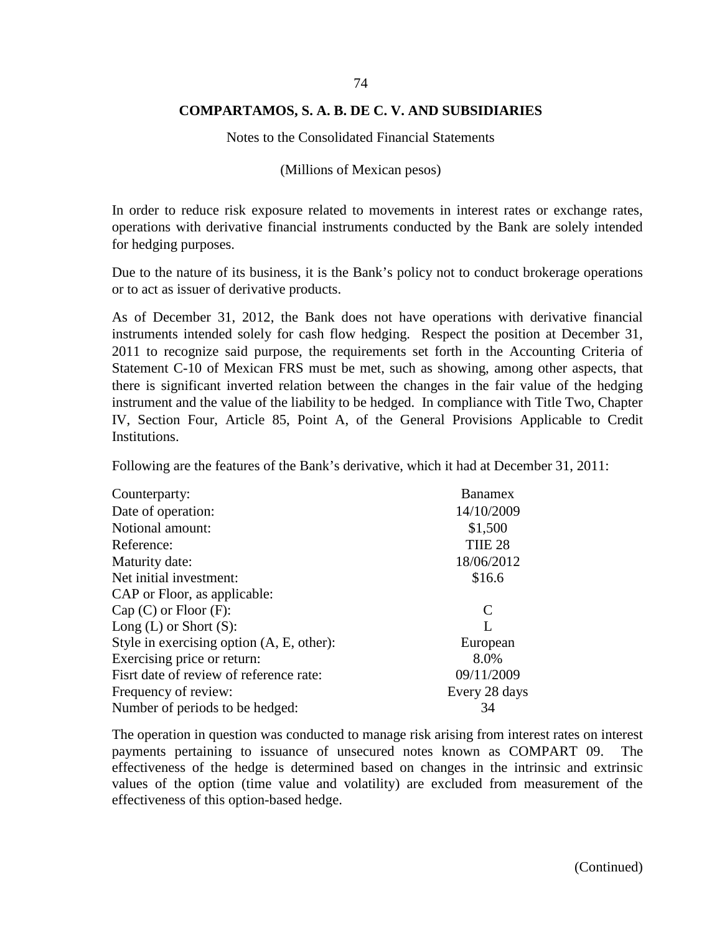Notes to the Consolidated Financial Statements

(Millions of Mexican pesos)

In order to reduce risk exposure related to movements in interest rates or exchange rates, operations with derivative financial instruments conducted by the Bank are solely intended for hedging purposes.

Due to the nature of its business, it is the Bank's policy not to conduct brokerage operations or to act as issuer of derivative products.

As of December 31, 2012, the Bank does not have operations with derivative financial instruments intended solely for cash flow hedging. Respect the position at December 31, 2011 to recognize said purpose, the requirements set forth in the Accounting Criteria of Statement C-10 of Mexican FRS must be met, such as showing, among other aspects, that there is significant inverted relation between the changes in the fair value of the hedging instrument and the value of the liability to be hedged. In compliance with Title Two, Chapter IV, Section Four, Article 85, Point A, of the General Provisions Applicable to Credit Institutions.

Following are the features of the Bank's derivative, which it had at December 31, 2011:

| Counterparty:                             | <b>Banamex</b>              |
|-------------------------------------------|-----------------------------|
| Date of operation:                        | 14/10/2009                  |
| Notional amount:                          | \$1,500                     |
| Reference:                                | TIIE <sub>28</sub>          |
| Maturity date:                            | 18/06/2012                  |
| Net initial investment:                   | \$16.6                      |
| CAP or Floor, as applicable:              |                             |
| $Cap(C)$ or $Floor(F)$ :                  | $\mathcal{C}_{\mathcal{C}}$ |
| Long $(L)$ or Short $(S)$ :               | L                           |
| Style in exercising option (A, E, other): | European                    |
| Exercising price or return:               | 8.0%                        |
| Fisrt date of review of reference rate:   | 09/11/2009                  |
| Frequency of review:                      | Every 28 days               |
| Number of periods to be hedged:           | 34                          |

The operation in question was conducted to manage risk arising from interest rates on interest payments pertaining to issuance of unsecured notes known as COMPART 09. The effectiveness of the hedge is determined based on changes in the intrinsic and extrinsic values of the option (time value and volatility) are excluded from measurement of the effectiveness of this option-based hedge.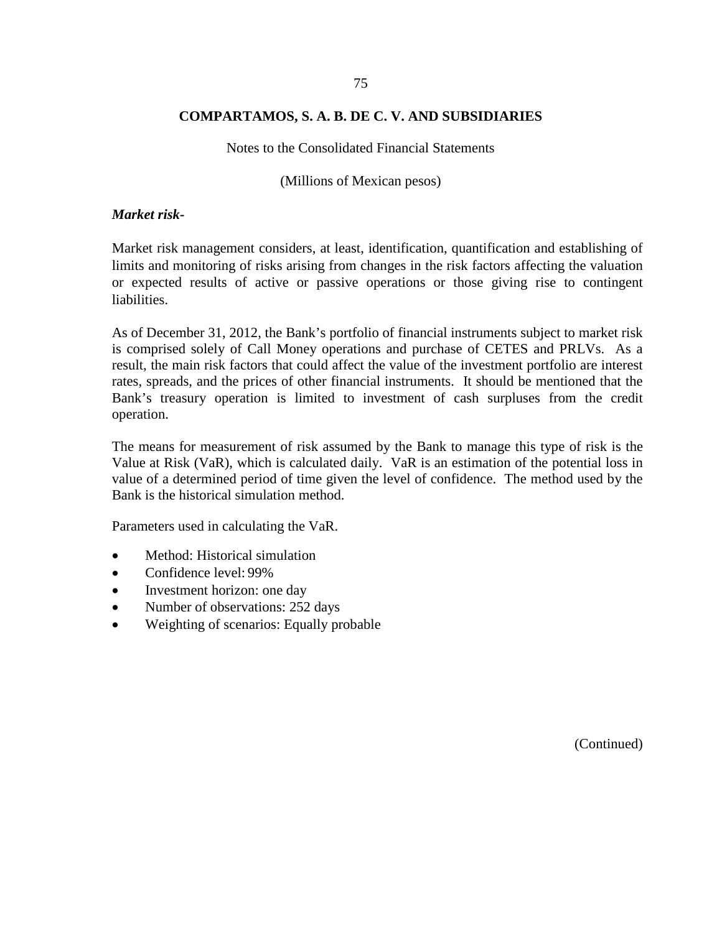Notes to the Consolidated Financial Statements

(Millions of Mexican pesos)

#### *Market risk-*

Market risk management considers, at least, identification, quantification and establishing of limits and monitoring of risks arising from changes in the risk factors affecting the valuation or expected results of active or passive operations or those giving rise to contingent liabilities.

As of December 31, 2012, the Bank's portfolio of financial instruments subject to market risk is comprised solely of Call Money operations and purchase of CETES and PRLVs. As a result, the main risk factors that could affect the value of the investment portfolio are interest rates, spreads, and the prices of other financial instruments. It should be mentioned that the Bank's treasury operation is limited to investment of cash surpluses from the credit operation.

The means for measurement of risk assumed by the Bank to manage this type of risk is the Value at Risk (VaR), which is calculated daily. VaR is an estimation of the potential loss in value of a determined period of time given the level of confidence. The method used by the Bank is the historical simulation method.

Parameters used in calculating the VaR.

- Method: Historical simulation
- Confidence level: 99%
- Investment horizon: one day
- Number of observations: 252 days
- Weighting of scenarios: Equally probable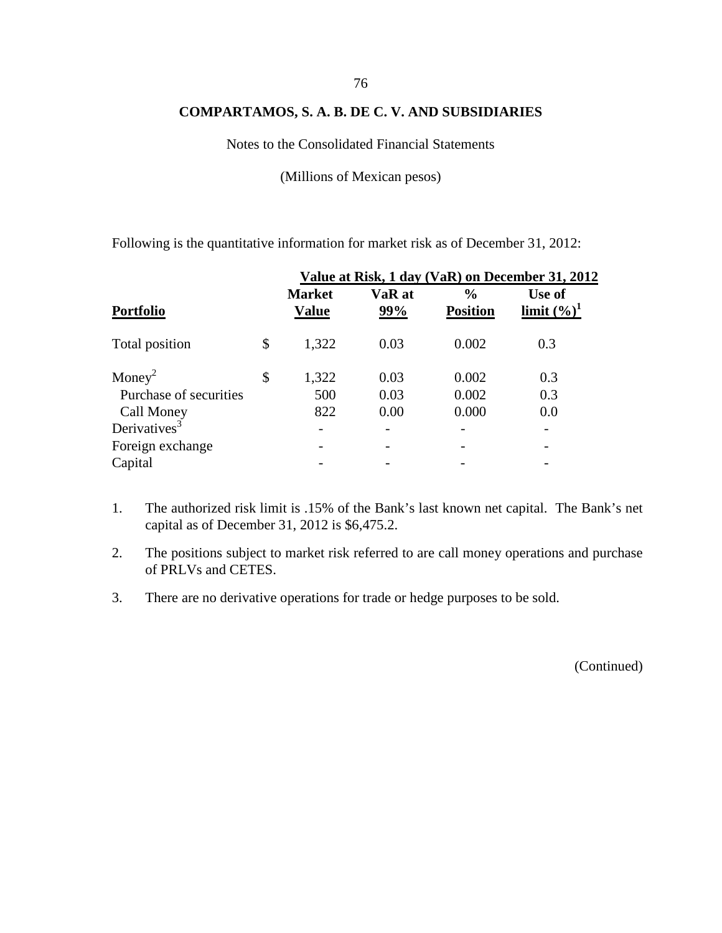Notes to the Consolidated Financial Statements

(Millions of Mexican pesos)

Following is the quantitative information for market risk as of December 31, 2012:

|                          | Value at Risk, 1 day (VaR) on December 31, 2012 |               |                                  |                          |  |  |  |
|--------------------------|-------------------------------------------------|---------------|----------------------------------|--------------------------|--|--|--|
| <b>Portfolio</b>         | <b>Market</b><br><b>Value</b>                   | VaR at<br>99% | $\frac{6}{6}$<br><b>Position</b> | Use of<br>limit $(\%)^1$ |  |  |  |
| Total position           | \$<br>1,322                                     | 0.03          | 0.002                            | 0.3                      |  |  |  |
| Money <sup>2</sup>       | \$<br>1,322                                     | 0.03          | 0.002                            | 0.3                      |  |  |  |
| Purchase of securities   | 500                                             | 0.03          | 0.002                            | 0.3                      |  |  |  |
| Call Money               | 822                                             | 0.00          | 0.000                            | 0.0                      |  |  |  |
| Derivatives <sup>3</sup> |                                                 |               |                                  |                          |  |  |  |
| Foreign exchange         |                                                 |               |                                  |                          |  |  |  |
| Capital                  |                                                 |               |                                  |                          |  |  |  |

- 1. The authorized risk limit is .15% of the Bank's last known net capital. The Bank's net capital as of December 31, 2012 is \$6,475.2.
- 2. The positions subject to market risk referred to are call money operations and purchase of PRLVs and CETES.
- 3. There are no derivative operations for trade or hedge purposes to be sold.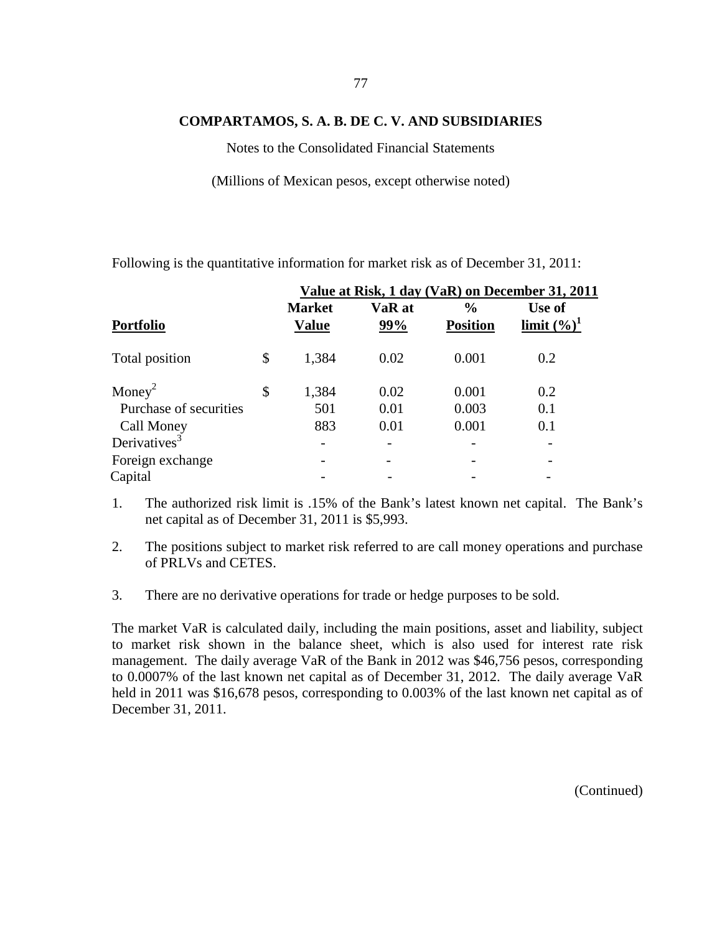Notes to the Consolidated Financial Statements

(Millions of Mexican pesos, except otherwise noted)

Following is the quantitative information for market risk as of December 31, 2011:

|                          |                               |                          |                                  | Value at Risk, 1 day (VaR) on December 31, 2011 |  |
|--------------------------|-------------------------------|--------------------------|----------------------------------|-------------------------------------------------|--|
| <b>Portfolio</b>         | <b>Market</b><br><b>Value</b> | VaR at<br>99%            | $\frac{0}{0}$<br><b>Position</b> | Use of<br>limit $(\%)^1$                        |  |
| Total position           | \$<br>1,384                   | 0.02                     | 0.001                            | 0.2                                             |  |
| Money <sup>2</sup>       | \$<br>1,384                   | 0.02                     | 0.001                            | 0.2                                             |  |
| Purchase of securities   | 501                           | 0.01                     | 0.003                            | 0.1                                             |  |
| Call Money               | 883                           | 0.01                     | 0.001                            | 0.1                                             |  |
| Derivatives <sup>3</sup> |                               |                          |                                  |                                                 |  |
| Foreign exchange         |                               | $\overline{\phantom{0}}$ |                                  |                                                 |  |
| Capital                  |                               |                          |                                  |                                                 |  |
|                          |                               |                          |                                  |                                                 |  |

- 1. The authorized risk limit is .15% of the Bank's latest known net capital. The Bank's net capital as of December 31, 2011 is \$5,993.
- 2. The positions subject to market risk referred to are call money operations and purchase of PRLVs and CETES.
- 3. There are no derivative operations for trade or hedge purposes to be sold.

The market VaR is calculated daily, including the main positions, asset and liability, subject to market risk shown in the balance sheet, which is also used for interest rate risk management. The daily average VaR of the Bank in 2012 was \$46,756 pesos, corresponding to 0.0007% of the last known net capital as of December 31, 2012. The daily average VaR held in 2011 was \$16,678 pesos, corresponding to 0.003% of the last known net capital as of December 31, 2011.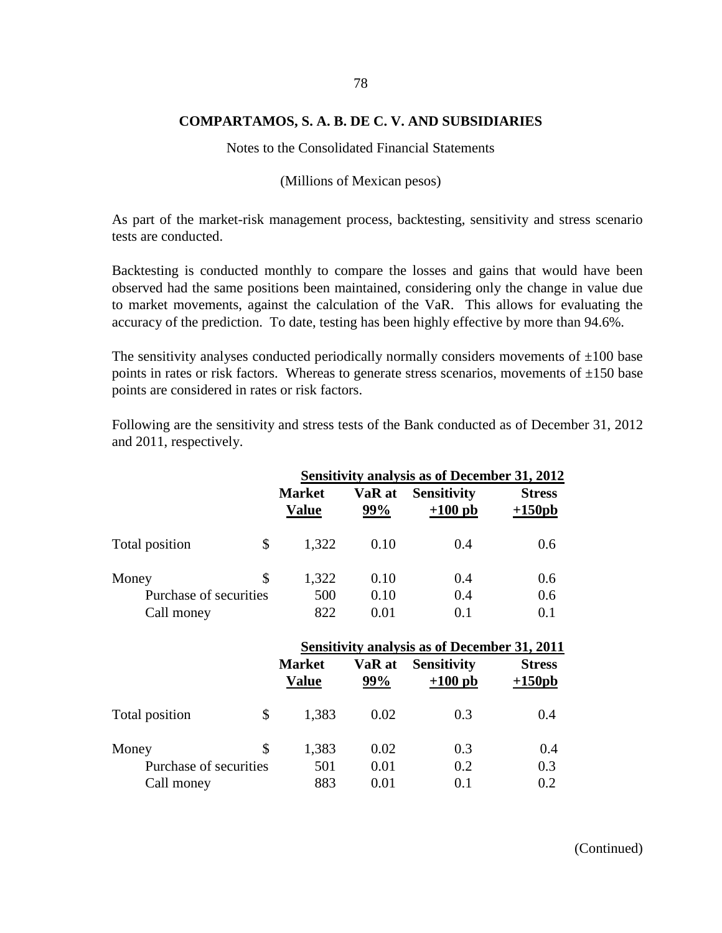Notes to the Consolidated Financial Statements

(Millions of Mexican pesos)

As part of the market-risk management process, backtesting, sensitivity and stress scenario tests are conducted.

Backtesting is conducted monthly to compare the losses and gains that would have been observed had the same positions been maintained, considering only the change in value due to market movements, against the calculation of the VaR. This allows for evaluating the accuracy of the prediction. To date, testing has been highly effective by more than 94.6%.

The sensitivity analyses conducted periodically normally considers movements of  $\pm 100$  base points in rates or risk factors. Whereas to generate stress scenarios, movements of  $\pm 150$  base points are considered in rates or risk factors.

Following are the sensitivity and stress tests of the Bank conducted as of December 31, 2012 and 2011, respectively.

|                                               | <b>Sensitivity analysis as of December 31, 2012</b> |                      |                                 |                           |
|-----------------------------------------------|-----------------------------------------------------|----------------------|---------------------------------|---------------------------|
|                                               | <b>Market</b><br><b>Value</b>                       | VaR at<br>99%        | <b>Sensitivity</b><br>$+100$ pb | <b>Stress</b><br>$+150pb$ |
| Total position                                | \$<br>1,322                                         | 0.10                 | 0.4                             | 0.6                       |
| Money<br>Purchase of securities<br>Call money | \$<br>1,322<br>500<br>822                           | 0.10<br>0.10<br>0.01 | 0.4<br>0.4<br>0.1               | 0.6<br>0.6<br>0.1         |

|                        | <b>Sensitivity analysis as of December 31, 2011</b> |               |                                 |                           |
|------------------------|-----------------------------------------------------|---------------|---------------------------------|---------------------------|
|                        | <b>Market</b><br><b>Value</b>                       | VaR at<br>99% | <b>Sensitivity</b><br>$+100$ pb | <b>Stress</b><br>$+150pb$ |
| Total position<br>\$   | 1,383                                               | 0.02          | 0.3                             | 0.4                       |
| \$<br>Money            | 1,383                                               | 0.02          | 0.3                             | 0.4                       |
| Purchase of securities | 501                                                 | 0.01          | 0.2                             | 0.3                       |
| Call money             | 883                                                 | 0.01          | 0.1                             | 0.2                       |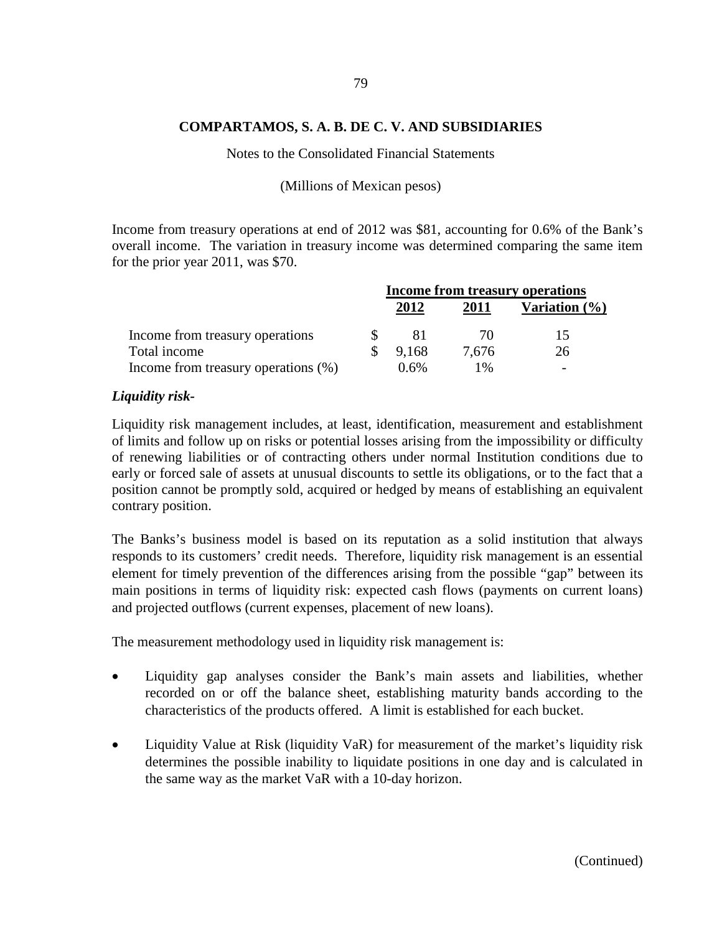#### Notes to the Consolidated Financial Statements

(Millions of Mexican pesos)

Income from treasury operations at end of 2012 was \$81, accounting for 0.6% of the Bank's overall income. The variation in treasury income was determined comparing the same item for the prior year 2011, was \$70.

|                                     | <b>Income from treasury operations</b> |       |       |                  |
|-------------------------------------|----------------------------------------|-------|-------|------------------|
|                                     |                                        | 2012  | 2011  | Variation $(\%)$ |
| Income from treasury operations     |                                        | ΧI    | 70    |                  |
| Total income                        |                                        | 9.168 | 7.676 | 26               |
| Income from treasury operations (%) |                                        | 0.6%  | l %   |                  |

### *Liquidity risk-*

Liquidity risk management includes, at least, identification, measurement and establishment of limits and follow up on risks or potential losses arising from the impossibility or difficulty of renewing liabilities or of contracting others under normal Institution conditions due to early or forced sale of assets at unusual discounts to settle its obligations, or to the fact that a position cannot be promptly sold, acquired or hedged by means of establishing an equivalent contrary position.

The Banks's business model is based on its reputation as a solid institution that always responds to its customers' credit needs. Therefore, liquidity risk management is an essential element for timely prevention of the differences arising from the possible "gap" between its main positions in terms of liquidity risk: expected cash flows (payments on current loans) and projected outflows (current expenses, placement of new loans).

The measurement methodology used in liquidity risk management is:

- Liquidity gap analyses consider the Bank's main assets and liabilities, whether recorded on or off the balance sheet, establishing maturity bands according to the characteristics of the products offered. A limit is established for each bucket.
- Liquidity Value at Risk (liquidity VaR) for measurement of the market's liquidity risk determines the possible inability to liquidate positions in one day and is calculated in the same way as the market VaR with a 10-day horizon.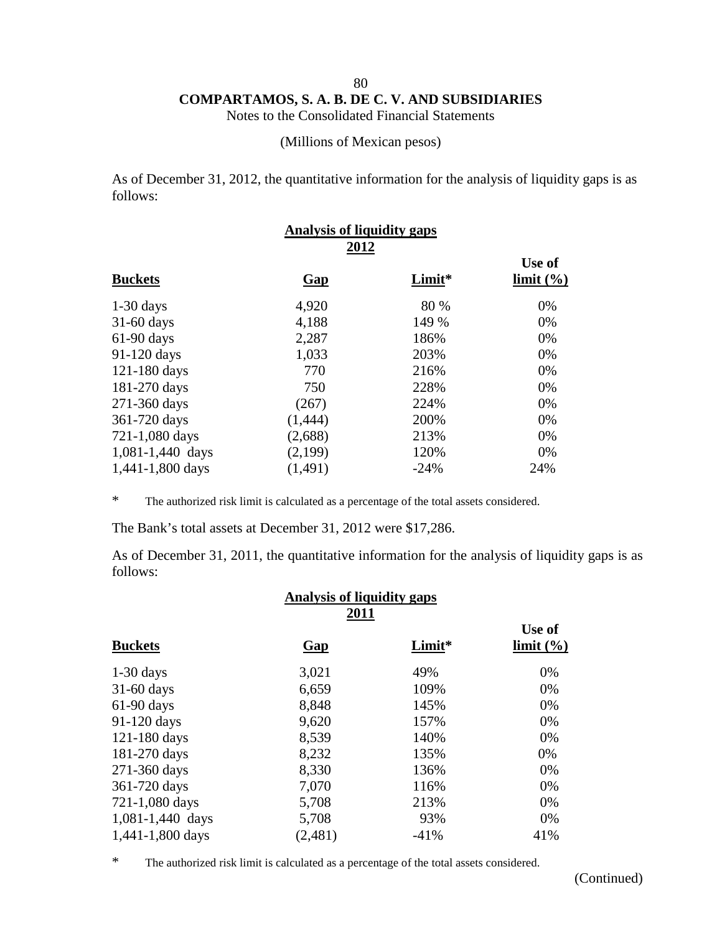Notes to the Consolidated Financial Statements

(Millions of Mexican pesos)

As of December 31, 2012, the quantitative information for the analysis of liquidity gaps is as follows:

| Gap      | Limit* | Use of<br>limit (%)                       |  |
|----------|--------|-------------------------------------------|--|
| 4,920    | 80 %   | 0%                                        |  |
| 4,188    | 149 %  | 0%                                        |  |
| 2,287    | 186%   | 0%                                        |  |
| 1,033    | 203%   | 0%                                        |  |
| 770      | 216%   | 0%                                        |  |
| 750      | 228%   | 0%                                        |  |
| (267)    | 224%   | 0%                                        |  |
| (1,444)  | 200%   | 0%                                        |  |
| (2,688)  | 213%   | 0%                                        |  |
| (2,199)  | 120%   | 0%                                        |  |
| (1, 491) | $-24%$ | 24%                                       |  |
|          |        | <b>Analysis of liquidity gaps</b><br>2012 |  |

\* The authorized risk limit is calculated as a percentage of the total assets considered.

The Bank's total assets at December 31, 2012 were \$17,286.

As of December 31, 2011, the quantitative information for the analysis of liquidity gaps is as follows:

| <b>Analysis of liquidity gaps</b><br>2011 |            |        |                     |  |  |
|-------------------------------------------|------------|--------|---------------------|--|--|
| <b>Buckets</b>                            | <b>Gap</b> | Limit* | Use of<br>limit (%) |  |  |
| $1-30$ days                               | 3,021      | 49%    | 0%                  |  |  |
| $31-60$ days                              | 6,659      | 109%   | 0%                  |  |  |
| 61-90 days                                | 8,848      | 145%   | 0%                  |  |  |
| 91-120 days                               | 9,620      | 157%   | 0%                  |  |  |
| 121-180 days                              | 8,539      | 140%   | 0%                  |  |  |
| 181-270 days                              | 8,232      | 135%   | 0%                  |  |  |
| 271-360 days                              | 8,330      | 136%   | 0%                  |  |  |
| 361-720 days                              | 7,070      | 116%   | 0%                  |  |  |
| 721-1,080 days                            | 5,708      | 213%   | 0%                  |  |  |
| 1,081-1,440 days                          | 5,708      | 93%    | 0%                  |  |  |
| 1,441-1,800 days                          | (2,481)    | $-41%$ | 41%                 |  |  |

\* The authorized risk limit is calculated as a percentage of the total assets considered.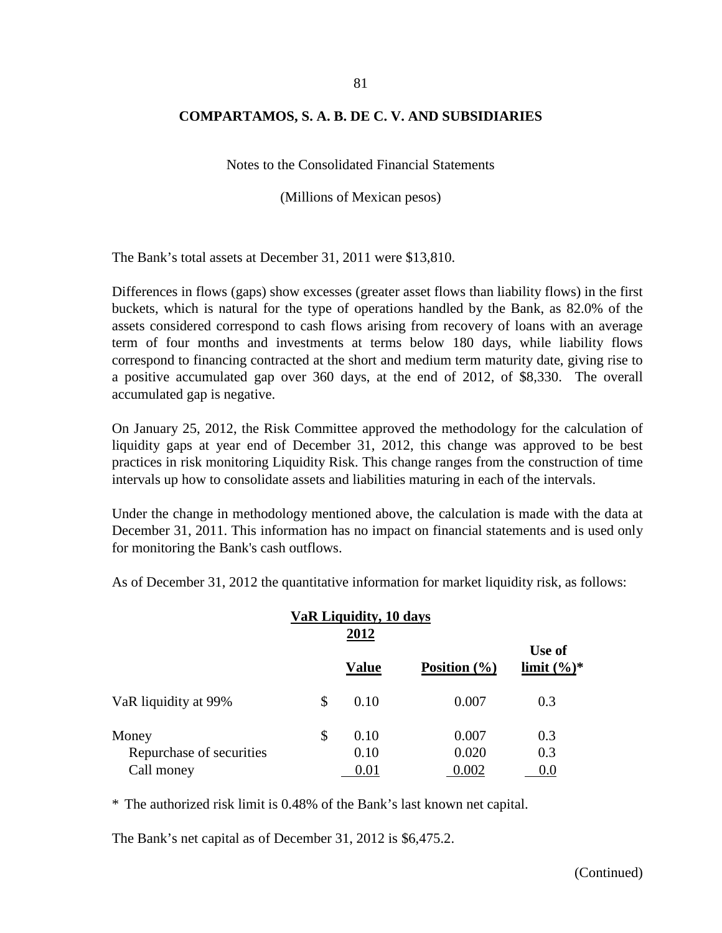Notes to the Consolidated Financial Statements

(Millions of Mexican pesos)

The Bank's total assets at December 31, 2011 were \$13,810.

Differences in flows (gaps) show excesses (greater asset flows than liability flows) in the first buckets, which is natural for the type of operations handled by the Bank, as 82.0% of the assets considered correspond to cash flows arising from recovery of loans with an average term of four months and investments at terms below 180 days, while liability flows correspond to financing contracted at the short and medium term maturity date, giving rise to a positive accumulated gap over 360 days, at the end of 2012, of \$8,330. The overall accumulated gap is negative.

On January 25, 2012, the Risk Committee approved the methodology for the calculation of liquidity gaps at year end of December 31, 2012, this change was approved to be best practices in risk monitoring Liquidity Risk. This change ranges from the construction of time intervals up how to consolidate assets and liabilities maturing in each of the intervals.

Under the change in methodology mentioned above, the calculation is made with the data at December 31, 2011. This information has no impact on financial statements and is used only for monitoring the Bank's cash outflows.

As of December 31, 2012 the quantitative information for market liquidity risk, as follows:

|                          | VaR Liquidity, 10 days |              |                  |                          |
|--------------------------|------------------------|--------------|------------------|--------------------------|
|                          |                        | <b>Value</b> | Position $(\% )$ | Use of<br>limit $(\%)^*$ |
| VaR liquidity at 99%     | \$                     | 0.10         | 0.007            | 0.3                      |
| Money                    | \$                     | 0.10         | 0.007            | 0.3                      |
| Repurchase of securities |                        | 0.10         | 0.020            | 0.3                      |
| Call money               |                        | 0.01         | 0.002            | 0.0                      |

\* The authorized risk limit is 0.48% of the Bank's last known net capital.

The Bank's net capital as of December 31, 2012 is \$6,475.2.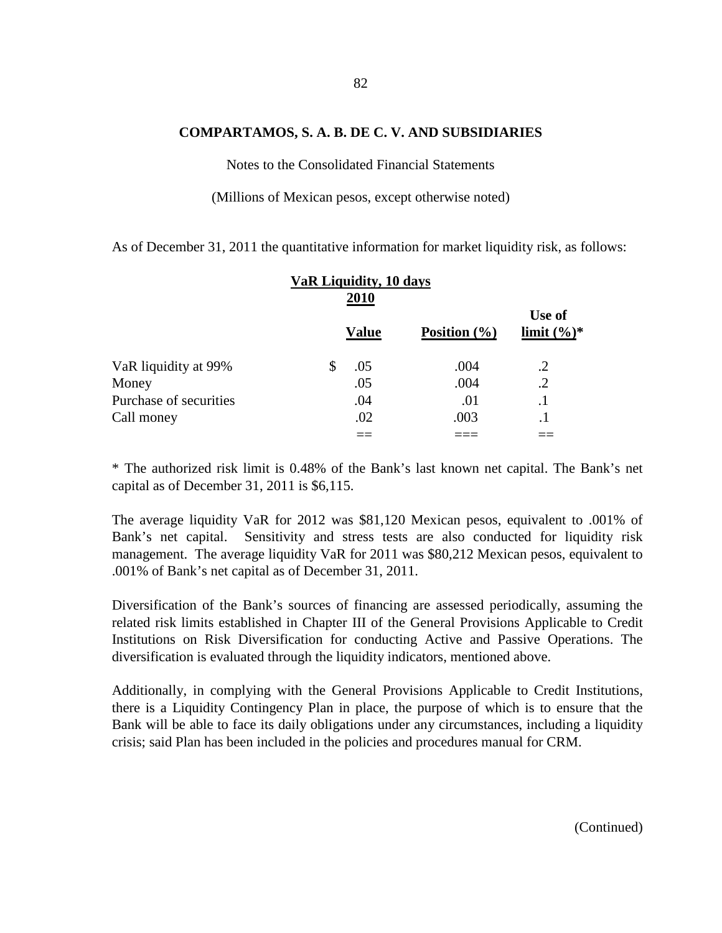## 82

#### **COMPARTAMOS, S. A. B. DE C. V. AND SUBSIDIARIES**

Notes to the Consolidated Financial Statements

(Millions of Mexican pesos, except otherwise noted)

As of December 31, 2011 the quantitative information for market liquidity risk, as follows:

|                        | VaR Liquidity, 10 days |              |                  |                          |
|------------------------|------------------------|--------------|------------------|--------------------------|
|                        |                        | <b>Value</b> | Position $(\% )$ | Use of<br>limit $(\%)^*$ |
| VaR liquidity at 99%   |                        | .05          | .004             | .2                       |
| Money                  |                        | .05          | .004             | $\cdot$ .2               |
| Purchase of securities |                        | .04          | .01              |                          |
| Call money             |                        | .02          | .003             | $\cdot$ 1                |
|                        |                        |              |                  |                          |

\* The authorized risk limit is 0.48% of the Bank's last known net capital. The Bank's net capital as of December 31, 2011 is \$6,115.

The average liquidity VaR for 2012 was \$81,120 Mexican pesos, equivalent to .001% of Bank's net capital. Sensitivity and stress tests are also conducted for liquidity risk management. The average liquidity VaR for 2011 was \$80,212 Mexican pesos, equivalent to .001% of Bank's net capital as of December 31, 2011.

Diversification of the Bank's sources of financing are assessed periodically, assuming the related risk limits established in Chapter III of the General Provisions Applicable to Credit Institutions on Risk Diversification for conducting Active and Passive Operations. The diversification is evaluated through the liquidity indicators, mentioned above.

Additionally, in complying with the General Provisions Applicable to Credit Institutions, there is a Liquidity Contingency Plan in place, the purpose of which is to ensure that the Bank will be able to face its daily obligations under any circumstances, including a liquidity crisis; said Plan has been included in the policies and procedures manual for CRM.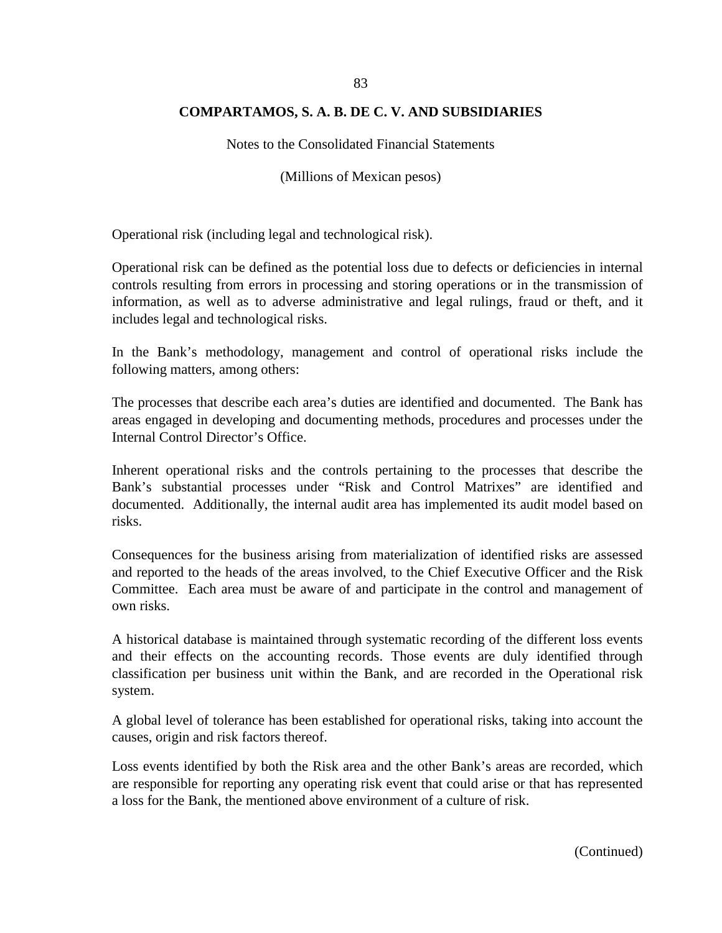Notes to the Consolidated Financial Statements

(Millions of Mexican pesos)

Operational risk (including legal and technological risk).

Operational risk can be defined as the potential loss due to defects or deficiencies in internal controls resulting from errors in processing and storing operations or in the transmission of information, as well as to adverse administrative and legal rulings, fraud or theft, and it includes legal and technological risks.

In the Bank's methodology, management and control of operational risks include the following matters, among others:

The processes that describe each area's duties are identified and documented. The Bank has areas engaged in developing and documenting methods, procedures and processes under the Internal Control Director's Office.

Inherent operational risks and the controls pertaining to the processes that describe the Bank's substantial processes under "Risk and Control Matrixes" are identified and documented. Additionally, the internal audit area has implemented its audit model based on risks.

Consequences for the business arising from materialization of identified risks are assessed and reported to the heads of the areas involved, to the Chief Executive Officer and the Risk Committee. Each area must be aware of and participate in the control and management of own risks.

A historical database is maintained through systematic recording of the different loss events and their effects on the accounting records. Those events are duly identified through classification per business unit within the Bank, and are recorded in the Operational risk system.

A global level of tolerance has been established for operational risks, taking into account the causes, origin and risk factors thereof.

Loss events identified by both the Risk area and the other Bank's areas are recorded, which are responsible for reporting any operating risk event that could arise or that has represented a loss for the Bank, the mentioned above environment of a culture of risk.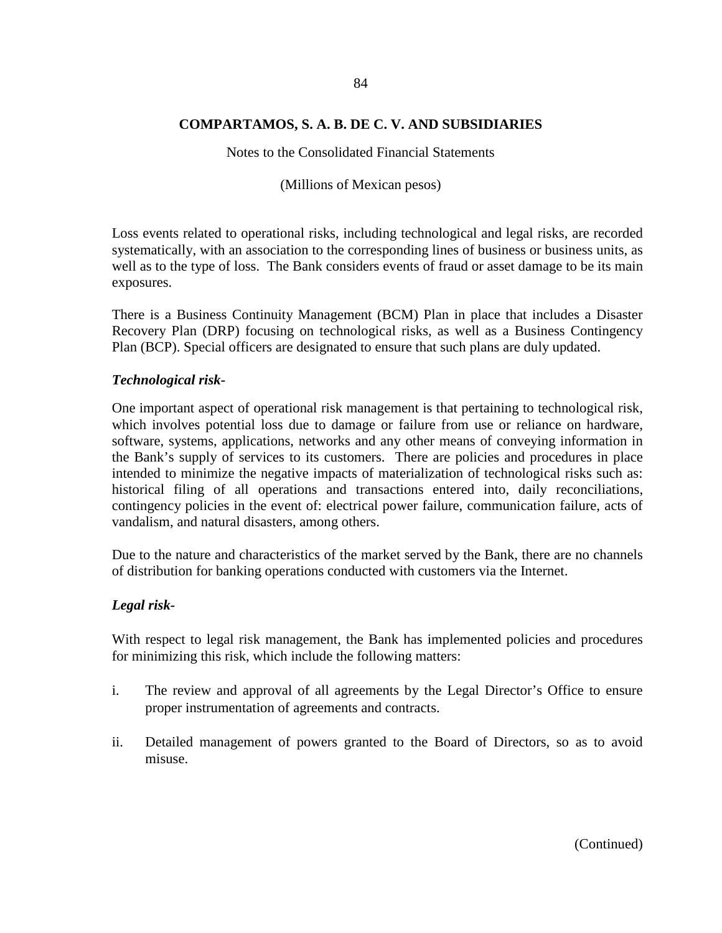Notes to the Consolidated Financial Statements

(Millions of Mexican pesos)

Loss events related to operational risks, including technological and legal risks, are recorded systematically, with an association to the corresponding lines of business or business units, as well as to the type of loss. The Bank considers events of fraud or asset damage to be its main exposures.

There is a Business Continuity Management (BCM) Plan in place that includes a Disaster Recovery Plan (DRP) focusing on technological risks, as well as a Business Contingency Plan (BCP). Special officers are designated to ensure that such plans are duly updated.

### *Technological risk-*

One important aspect of operational risk management is that pertaining to technological risk, which involves potential loss due to damage or failure from use or reliance on hardware, software, systems, applications, networks and any other means of conveying information in the Bank's supply of services to its customers. There are policies and procedures in place intended to minimize the negative impacts of materialization of technological risks such as: historical filing of all operations and transactions entered into, daily reconciliations, contingency policies in the event of: electrical power failure, communication failure, acts of vandalism, and natural disasters, among others.

Due to the nature and characteristics of the market served by the Bank, there are no channels of distribution for banking operations conducted with customers via the Internet.

#### *Legal risk-*

With respect to legal risk management, the Bank has implemented policies and procedures for minimizing this risk, which include the following matters:

- i. The review and approval of all agreements by the Legal Director's Office to ensure proper instrumentation of agreements and contracts.
- ii. Detailed management of powers granted to the Board of Directors, so as to avoid misuse.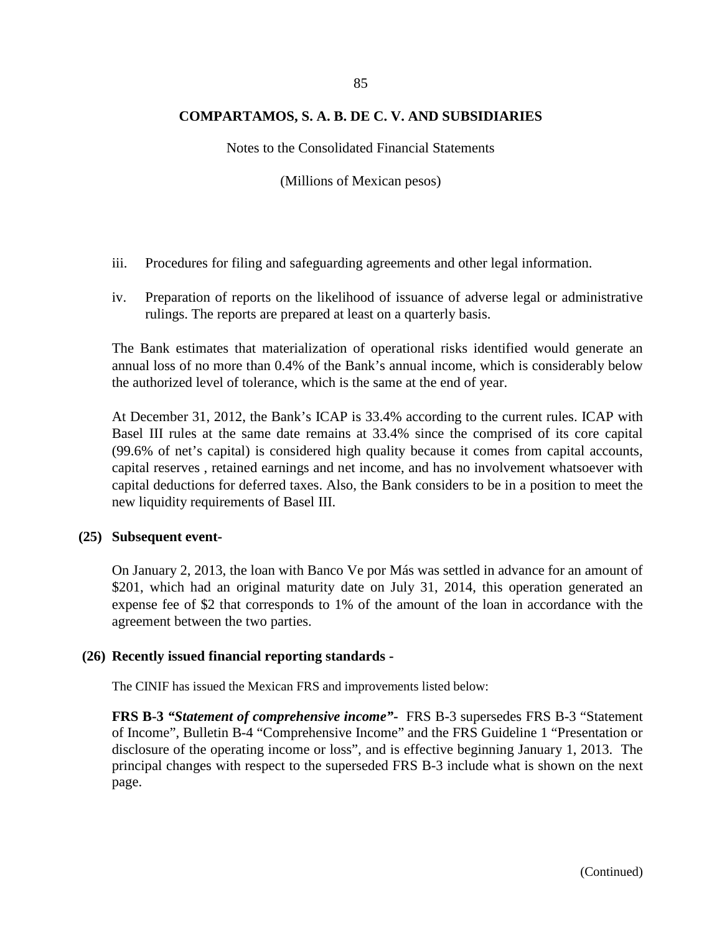Notes to the Consolidated Financial Statements

(Millions of Mexican pesos)

- iii. Procedures for filing and safeguarding agreements and other legal information.
- iv. Preparation of reports on the likelihood of issuance of adverse legal or administrative rulings. The reports are prepared at least on a quarterly basis.

The Bank estimates that materialization of operational risks identified would generate an annual loss of no more than 0.4% of the Bank's annual income, which is considerably below the authorized level of tolerance, which is the same at the end of year.

At December 31, 2012, the Bank's ICAP is 33.4% according to the current rules. ICAP with Basel III rules at the same date remains at 33.4% since the comprised of its core capital (99.6% of net's capital) is considered high quality because it comes from capital accounts, capital reserves , retained earnings and net income, and has no involvement whatsoever with capital deductions for deferred taxes. Also, the Bank considers to be in a position to meet the new liquidity requirements of Basel III.

### **(25) Subsequent event-**

On January 2, 2013, the loan with Banco Ve por Más was settled in advance for an amount of \$201, which had an original maturity date on July 31, 2014, this operation generated an expense fee of \$2 that corresponds to 1% of the amount of the loan in accordance with the agreement between the two parties.

### **(26) Recently issued financial reporting standards -**

The CINIF has issued the Mexican FRS and improvements listed below:

**FRS B-3** *"Statement of comprehensive income"-* FRS B-3 supersedes FRS B-3 "Statement of Income", Bulletin B-4 "Comprehensive Income" and the FRS Guideline 1 "Presentation or disclosure of the operating income or loss", and is effective beginning January 1, 2013. The principal changes with respect to the superseded FRS B-3 include what is shown on the next page.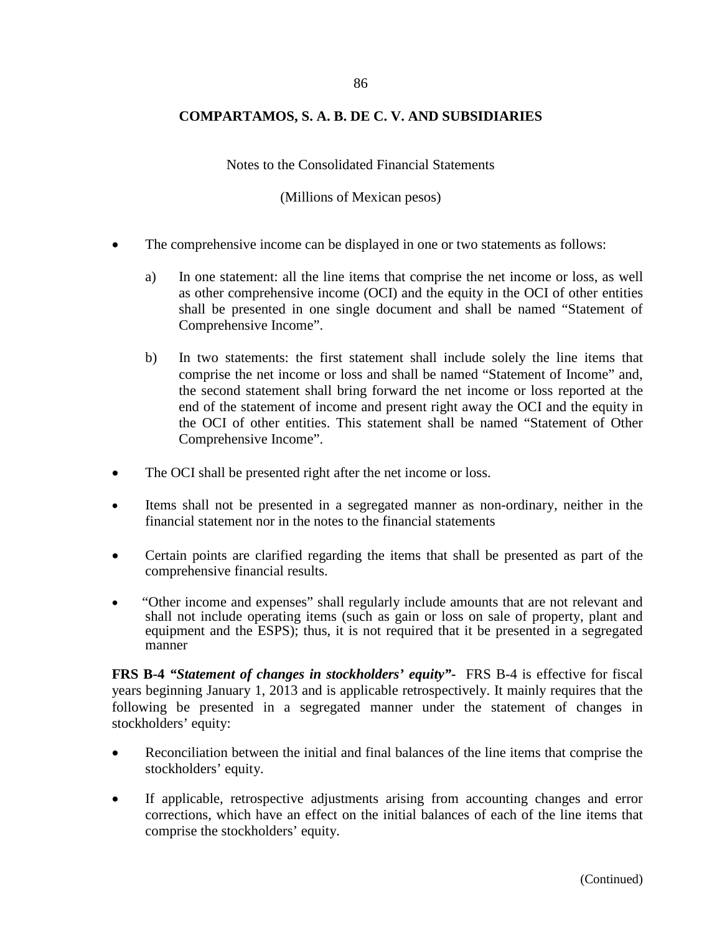Notes to the Consolidated Financial Statements

(Millions of Mexican pesos)

- The comprehensive income can be displayed in one or two statements as follows:
	- a) In one statement: all the line items that comprise the net income or loss, as well as other comprehensive income (OCI) and the equity in the OCI of other entities shall be presented in one single document and shall be named "Statement of Comprehensive Income".
	- b) In two statements: the first statement shall include solely the line items that comprise the net income or loss and shall be named "Statement of Income" and, the second statement shall bring forward the net income or loss reported at the end of the statement of income and present right away the OCI and the equity in the OCI of other entities. This statement shall be named "Statement of Other Comprehensive Income".
- The OCI shall be presented right after the net income or loss.
- Items shall not be presented in a segregated manner as non-ordinary, neither in the financial statement nor in the notes to the financial statements
- Certain points are clarified regarding the items that shall be presented as part of the comprehensive financial results.
- "Other income and expenses" shall regularly include amounts that are not relevant and shall not include operating items (such as gain or loss on sale of property, plant and equipment and the ESPS); thus, it is not required that it be presented in a segregated manner

**FRS B-4** *"Statement of changes in stockholders' equity"-* FRS B-4 is effective for fiscal years beginning January 1, 2013 and is applicable retrospectively. It mainly requires that the following be presented in a segregated manner under the statement of changes in stockholders' equity:

- Reconciliation between the initial and final balances of the line items that comprise the stockholders' equity.
- If applicable, retrospective adjustments arising from accounting changes and error corrections, which have an effect on the initial balances of each of the line items that comprise the stockholders' equity.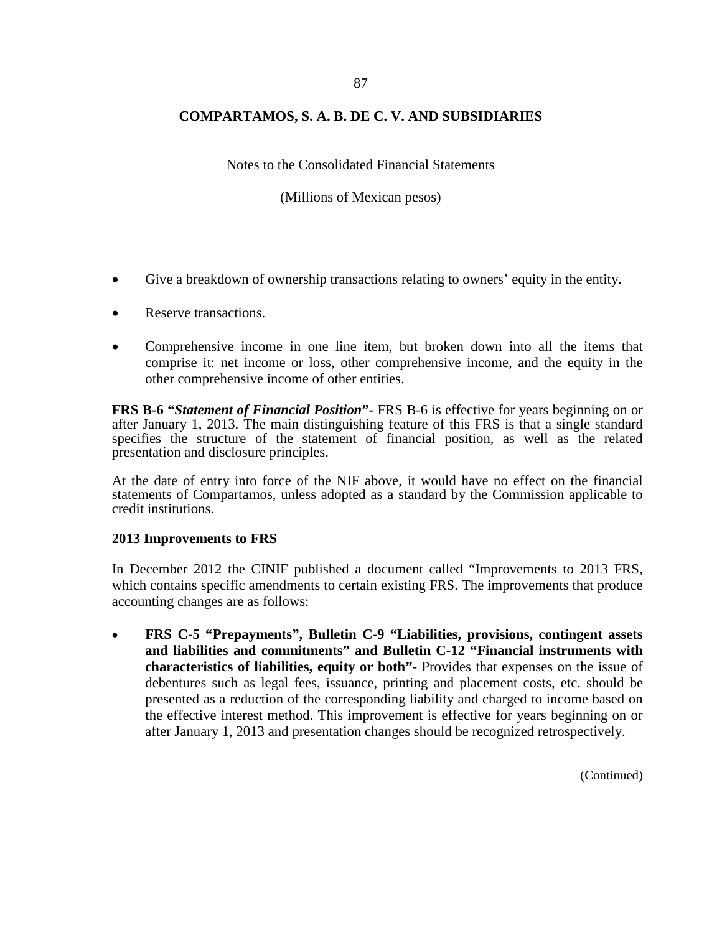Notes to the Consolidated Financial Statements

(Millions of Mexican pesos)

- Give a breakdown of ownership transactions relating to owners' equity in the entity.
- Reserve transactions.
- Comprehensive income in one line item, but broken down into all the items that comprise it: net income or loss, other comprehensive income, and the equity in the other comprehensive income of other entities.

**FRS B-6 "***Statement of Financial Position***"-** FRS B-6 is effective for years beginning on or after January 1, 2013. The main distinguishing feature of this FRS is that a single standard specifies the structure of the statement of financial position, as well as the related presentation and disclosure principles.

At the date of entry into force of the NIF above, it would have no effect on the financial statements of Compartamos, unless adopted as a standard by the Commission applicable to credit institutions.

### **2013 Improvements to FRS**

In December 2012 the CINIF published a document called "Improvements to 2013 FRS, which contains specific amendments to certain existing FRS. The improvements that produce accounting changes are as follows:

• **FRS C-5 "Prepayments", Bulletin C-9 "Liabilities, provisions, contingent assets and liabilities and commitments" and Bulletin C-12 "Financial instruments with characteristics of liabilities, equity or both"-** Provides that expenses on the issue of debentures such as legal fees, issuance, printing and placement costs, etc. should be presented as a reduction of the corresponding liability and charged to income based on the effective interest method. This improvement is effective for years beginning on or after January 1, 2013 and presentation changes should be recognized retrospectively.